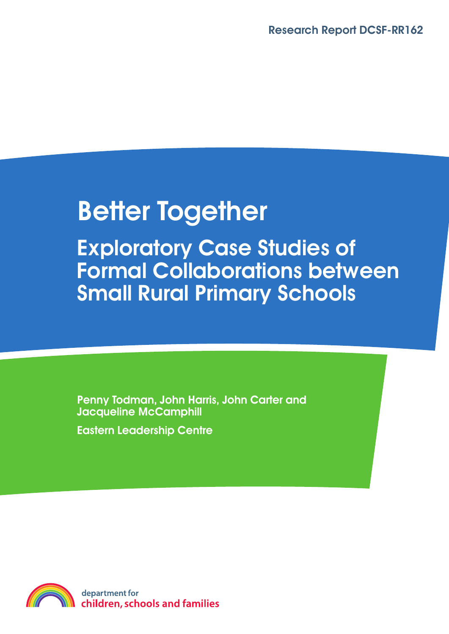# **Better Together**

**Exploratory Case Studies of Formal Collaborations between Small Rural Primary Schools**

**Penny Todman, John Harris, John Carter and Jacqueline McCamphill Eastern Leadership Centre**

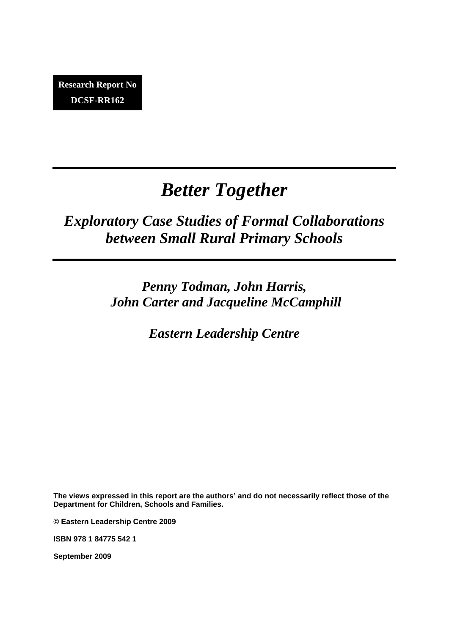## *Better Together*

### *Exploratory Case Studies of Formal Collaborations between Small Rural Primary Schools*

*Penny Todman, John Harris, John Carter and Jacqueline McCamphill* 

*Eastern Leadership Centre* 

**The views expressed in this report are the authors' and do not necessarily reflect those of the Department for Children, Schools and Families.** 

**© Eastern Leadership Centre 2009** 

**ISBN 978 1 84775 542 1** 

**September 2009**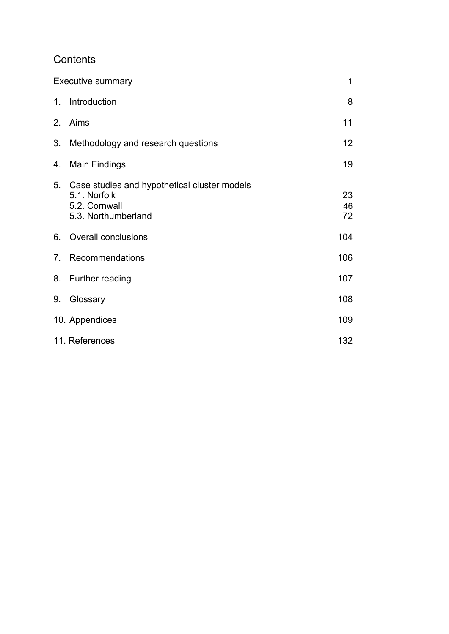### Contents

|         | <b>Executive summary</b>                                                                                | 1              |
|---------|---------------------------------------------------------------------------------------------------------|----------------|
| $1_{-}$ | Introduction                                                                                            | 8              |
| 2.      | Aims                                                                                                    | 11             |
| 3.      | Methodology and research questions                                                                      | 12             |
| 4.      | <b>Main Findings</b>                                                                                    | 19             |
|         | 5. Case studies and hypothetical cluster models<br>5.1. Norfolk<br>5.2. Cornwall<br>5.3. Northumberland | 23<br>46<br>72 |
|         | 6. Overall conclusions                                                                                  | 104            |
| 7.      | Recommendations                                                                                         | 106            |
|         | 8. Further reading                                                                                      | 107            |
| 9.      | Glossary                                                                                                | 108            |
|         | 10. Appendices                                                                                          | 109            |
|         | 11. References                                                                                          | 132            |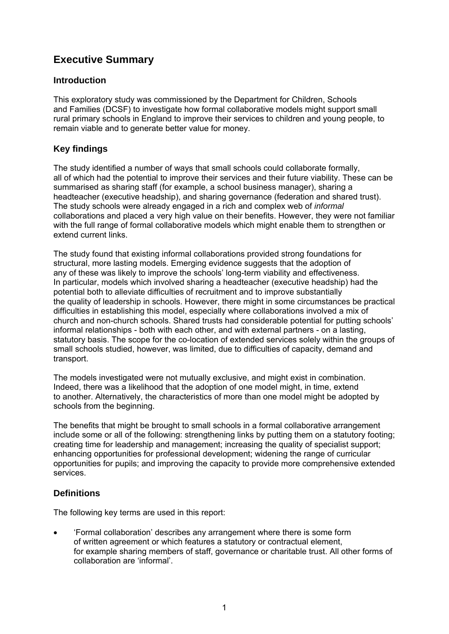### <span id="page-4-0"></span>**Executive Summary**

### **Introduction**

This exploratory study was commissioned by the Department for Children, Schools and Families (DCSF) to investigate how formal collaborative models might support small rural primary schools in England to improve their services to children and young people, to remain viable and to generate better value for money.

### **Key findings**

The study identified a number of ways that small schools could collaborate formally, all of which had the potential to improve their services and their future viability. These can be summarised as sharing staff (for example, a school business manager), sharing a headteacher (executive headship), and sharing governance (federation and shared trust). The study schools were already engaged in a rich and complex web of *informal* collaborations and placed a very high value on their benefits. However, they were not familiar with the full range of formal collaborative models which might enable them to strengthen or extend current links.

The study found that existing informal collaborations provided strong foundations for structural, more lasting models. Emerging evidence suggests that the adoption of any of these was likely to improve the schools' long-term viability and effectiveness. In particular, models which involved sharing a headteacher (executive headship) had the potential both to alleviate difficulties of recruitment and to improve substantially the quality of leadership in schools. However, there might in some circumstances be practical difficulties in establishing this model, especially where collaborations involved a mix of church and non-church schools. Shared trusts had considerable potential for putting schools' informal relationships - both with each other, and with external partners - on a lasting, statutory basis. The scope for the co-location of extended services solely within the groups of small schools studied, however, was limited, due to difficulties of capacity, demand and transport.

The models investigated were not mutually exclusive, and might exist in combination. Indeed, there was a likelihood that the adoption of one model might, in time, extend to another. Alternatively, the characteristics of more than one model might be adopted by schools from the beginning.

The benefits that might be brought to small schools in a formal collaborative arrangement include some or all of the following: strengthening links by putting them on a statutory footing; creating time for leadership and management; increasing the quality of specialist support; enhancing opportunities for professional development; widening the range of curricular opportunities for pupils; and improving the capacity to provide more comprehensive extended services.

### **Definitions**

The following key terms are used in this report:

• 'Formal collaboration' describes any arrangement where there is some form of written agreement or which features a statutory or contractual element, for example sharing members of staff, governance or charitable trust. All other forms of collaboration are 'informal'.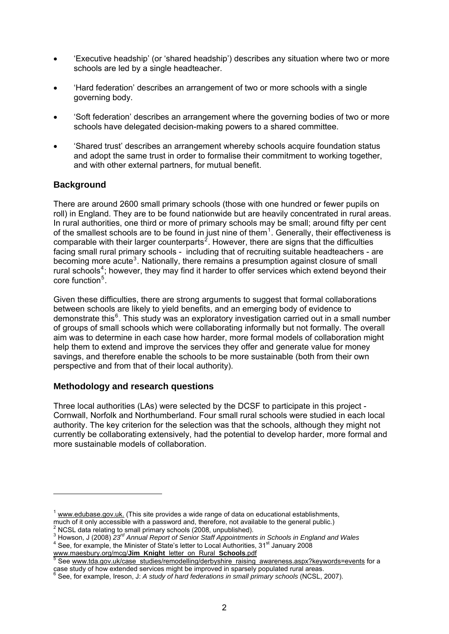- 'Executive headship' (or 'shared headship') describes any situation where two or more schools are led by a single headteacher.
- 'Hard federation' describes an arrangement of two or more schools with a single governing body.
- 'Soft federation' describes an arrangement where the governing bodies of two or more schools have delegated decision-making powers to a shared committee.
- 'Shared trust' describes an arrangement whereby schools acquire foundation status and adopt the same trust in order to formalise their commitment to working together, and with other external partners, for mutual benefit.

### **Background**

1

There are around 2600 small primary schools (those with one hundred or fewer pupils on roll) in England. They are to be found nationwide but are heavily concentrated in rural areas. In rural authorities, one third or more of primary schools may be small; around fifty per cent of the smallest schools are to be found in just nine of them<sup>[1](#page-5-0)</sup>. Generally, their effectiveness is comparable with their larger counterparts<sup>[2](#page-5-1)</sup>. However, there are signs that the difficulties facing small rural primary schools - including that of recruiting suitable headteachers - are becoming more acute<sup>[3](#page-5-2)</sup>. Nationally, there remains a presumption against closure of small rural schools<sup>[4](#page-5-3)</sup>; however, they may find it harder to offer services which extend beyond their core function<sup>[5](#page-5-4)</sup>.

Given these difficulties, there are strong arguments to suggest that formal collaborations between schools are likely to yield benefits, and an emerging body of evidence to demonstrate this<sup>[6](#page-5-5)</sup>. This study was an exploratory investigation carried out in a small number of groups of small schools which were collaborating informally but not formally. The overall aim was to determine in each case how harder, more formal models of collaboration might help them to extend and improve the services they offer and generate value for money savings, and therefore enable the schools to be more sustainable (both from their own perspective and from that of their local authority).

### **Methodology and research questions**

Three local authorities (LAs) were selected by the DCSF to participate in this project - Cornwall, Norfolk and Northumberland. Four small rural schools were studied in each local authority. The key criterion for the selection was that the schools, although they might not currently be collaborating extensively, had the potential to develop harder, more formal and more sustainable models of collaboration.

<span id="page-5-0"></span><sup>&</sup>lt;sup>1</sup> www.edubase.gov.uk. (This site provides a wide range of data on educational establishments. much of it only accessible with a password and, therefore, not available to the general public.) 2

<span id="page-5-1"></span> $\mu$ <sup>2</sup> NCSL data relating to small primary schools (2008, unpublished).

<span id="page-5-2"></span><sup>&</sup>lt;sup>3</sup> Howson, J (2008) 23<sup>rd</sup> Annual Report of Senior Staff Appointments in Schools in England and Wales<br><sup>4</sup> See, for example, the Minister of State's letter to Local Authorities, 31<sup>st</sup> January 2008

<span id="page-5-4"></span><span id="page-5-3"></span>www.maesbury.org/mcg/**Jim\_Knight**\_letter\_on\_Rural\_**Schools**.pdf<br>
<sup>5</sup> See <u>[www.tda.gov.uk/case\\_studies/remodelling/derbyshire\\_raising\\_awareness.aspx?keywords=events](http://www.tda.gov.uk/case_studies/remodelling/derbyshire_raising_awareness.aspx?keywords=events)</u> for a case study of how extended services might be improved in sparsely populated rural areas. 6

<span id="page-5-5"></span>See, for example, Ireson, J: *A study of hard federations in small primary schools* (NCSL, 2007).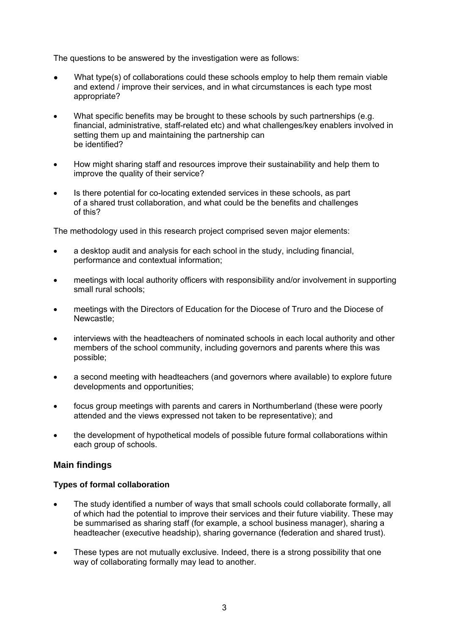The questions to be answered by the investigation were as follows:

- What type(s) of collaborations could these schools employ to help them remain viable and extend / improve their services, and in what circumstances is each type most appropriate?
- What specific benefits may be brought to these schools by such partnerships (e.g. financial, administrative, staff-related etc) and what challenges/key enablers involved in setting them up and maintaining the partnership can be identified?
- How might sharing staff and resources improve their sustainability and help them to improve the quality of their service?
- Is there potential for co-locating extended services in these schools, as part of a shared trust collaboration, and what could be the benefits and challenges of this?

The methodology used in this research project comprised seven major elements:

- a desktop audit and analysis for each school in the study, including financial, performance and contextual information;
- meetings with local authority officers with responsibility and/or involvement in supporting small rural schools;
- meetings with the Directors of Education for the Diocese of Truro and the Diocese of Newcastle;
- interviews with the headteachers of nominated schools in each local authority and other members of the school community, including governors and parents where this was possible;
- a second meeting with headteachers (and governors where available) to explore future developments and opportunities;
- focus group meetings with parents and carers in Northumberland (these were poorly attended and the views expressed not taken to be representative); and
- the development of hypothetical models of possible future formal collaborations within each group of schools.

### **Main findings**

### **Types of formal collaboration**

- The study identified a number of ways that small schools could collaborate formally, all of which had the potential to improve their services and their future viability. These may be summarised as sharing staff (for example, a school business manager), sharing a headteacher (executive headship), sharing governance (federation and shared trust).
- These types are not mutually exclusive. Indeed, there is a strong possibility that one way of collaborating formally may lead to another.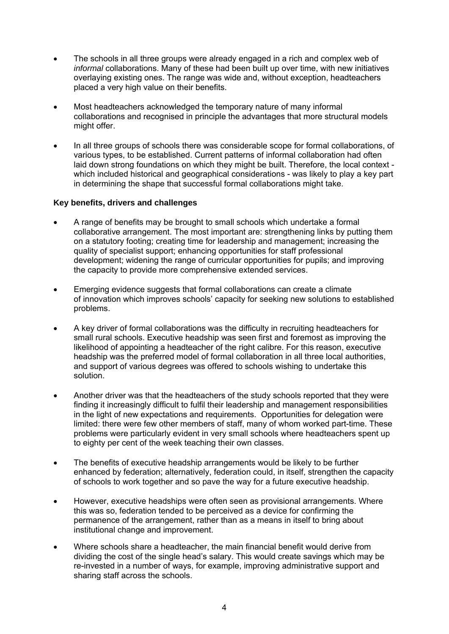- The schools in all three groups were already engaged in a rich and complex web of *informal* collaborations. Many of these had been built up over time, with new initiatives overlaying existing ones. The range was wide and, without exception, headteachers placed a very high value on their benefits.
- Most headteachers acknowledged the temporary nature of many informal collaborations and recognised in principle the advantages that more structural models might offer.
- In all three groups of schools there was considerable scope for formal collaborations, of various types, to be established. Current patterns of informal collaboration had often laid down strong foundations on which they might be built. Therefore, the local context which included historical and geographical considerations - was likely to play a key part in determining the shape that successful formal collaborations might take.

### **Key benefits, drivers and challenges**

- A range of benefits may be brought to small schools which undertake a formal collaborative arrangement. The most important are: strengthening links by putting them on a statutory footing; creating time for leadership and management; increasing the quality of specialist support; enhancing opportunities for staff professional development; widening the range of curricular opportunities for pupils; and improving the capacity to provide more comprehensive extended services.
- Emerging evidence suggests that formal collaborations can create a climate of innovation which improves schools' capacity for seeking new solutions to established problems.
- A key driver of formal collaborations was the difficulty in recruiting headteachers for small rural schools. Executive headship was seen first and foremost as improving the likelihood of appointing a headteacher of the right calibre. For this reason, executive headship was the preferred model of formal collaboration in all three local authorities, and support of various degrees was offered to schools wishing to undertake this solution.
- Another driver was that the headteachers of the study schools reported that they were finding it increasingly difficult to fulfil their leadership and management responsibilities in the light of new expectations and requirements. Opportunities for delegation were limited: there were few other members of staff, many of whom worked part-time. These problems were particularly evident in very small schools where headteachers spent up to eighty per cent of the week teaching their own classes.
- The benefits of executive headship arrangements would be likely to be further enhanced by federation; alternatively, federation could, in itself, strengthen the capacity of schools to work together and so pave the way for a future executive headship.
- However, executive headships were often seen as provisional arrangements. Where this was so, federation tended to be perceived as a device for confirming the permanence of the arrangement, rather than as a means in itself to bring about institutional change and improvement.
- Where schools share a headteacher, the main financial benefit would derive from dividing the cost of the single head's salary. This would create savings which may be re-invested in a number of ways, for example, improving administrative support and sharing staff across the schools.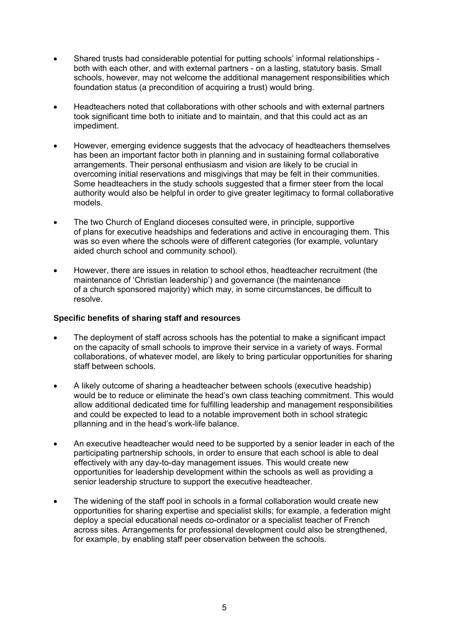- Shared trusts had considerable potential for putting schools' informal relationships both with each other, and with external partners - on a lasting, statutory basis. Small schools, however, may not welcome the additional management responsibilities which foundation status (a precondition of acquiring a trust) would bring.
- Headteachers noted that collaborations with other schools and with external partners took significant time both to initiate and to maintain, and that this could act as an impediment.
- However, emerging evidence suggests that the advocacy of headteachers themselves has been an important factor both in planning and in sustaining formal collaborative arrangements. Their personal enthusiasm and vision are likely to be crucial in overcoming initial reservations and misgivings that may be felt in their communities. Some headteachers in the study schools suggested that a firmer steer from the local authority would also be helpful in order to give greater legitimacy to formal collaborative models.
- The two Church of England dioceses consulted were, in principle, supportive of plans for executive headships and federations and active in encouraging them. This was so even where the schools were of different categories (for example, voluntary aided church school and community school).
- However, there are issues in relation to school ethos, headteacher recruitment (the maintenance of 'Christian leadership') and governance (the maintenance of a church sponsored majority) which may, in some circumstances, be difficult to resolve.

#### **Specific benefits of sharing staff and resources**

- The deployment of staff across schools has the potential to make a significant impact on the capacity of small schools to improve their service in a variety of ways. Formal collaborations, of whatever model, are likely to bring particular opportunities for sharing staff between schools.
- A likely outcome of sharing a headteacher between schools (executive headship) would be to reduce or eliminate the head's own class teaching commitment. This would allow additional dedicated time for fulfilling leadership and management responsibilities and could be expected to lead to a notable improvement both in school strategic pllanning and in the head's work-life balance.
- An executive headteacher would need to be supported by a senior leader in each of the participating partnership schools, in order to ensure that each school is able to deal effectively with any day-to-day management issues. This would create new opportunities for leadership development within the schools as well as providing a senior leadership structure to support the executive headteacher.
- The widening of the staff pool in schools in a formal collaboration would create new opportunities for sharing expertise and specialist skills; for example, a federation might deploy a special educational needs co-ordinator or a specialist teacher of French across sites. Arrangements for professional development could also be strengthened, for example, by enabling staff peer observation between the schools.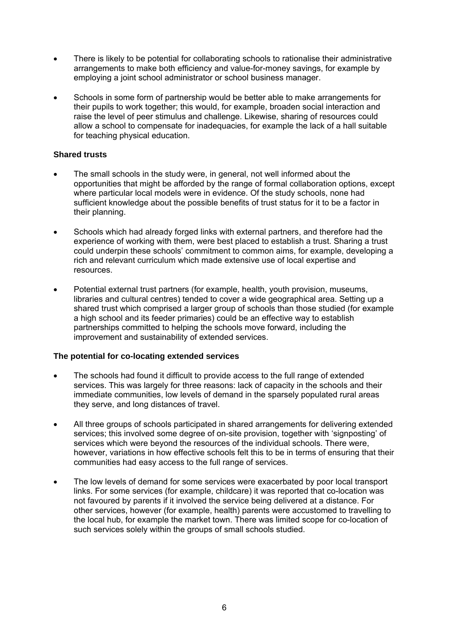- There is likely to be potential for collaborating schools to rationalise their administrative arrangements to make both efficiency and value-for-money savings, for example by employing a joint school administrator or school business manager.
- Schools in some form of partnership would be better able to make arrangements for their pupils to work together; this would, for example, broaden social interaction and raise the level of peer stimulus and challenge. Likewise, sharing of resources could allow a school to compensate for inadequacies, for example the lack of a hall suitable for teaching physical education.

### **Shared trusts**

- The small schools in the study were, in general, not well informed about the opportunities that might be afforded by the range of formal collaboration options, except where particular local models were in evidence. Of the study schools, none had sufficient knowledge about the possible benefits of trust status for it to be a factor in their planning.
- Schools which had already forged links with external partners, and therefore had the experience of working with them, were best placed to establish a trust. Sharing a trust could underpin these schools' commitment to common aims, for example, developing a rich and relevant curriculum which made extensive use of local expertise and resources.
- Potential external trust partners (for example, health, youth provision, museums, libraries and cultural centres) tended to cover a wide geographical area. Setting up a shared trust which comprised a larger group of schools than those studied (for example a high school and its feeder primaries) could be an effective way to establish partnerships committed to helping the schools move forward, including the improvement and sustainability of extended services.

### **The potential for co-locating extended services**

- The schools had found it difficult to provide access to the full range of extended services. This was largely for three reasons: lack of capacity in the schools and their immediate communities, low levels of demand in the sparsely populated rural areas they serve, and long distances of travel.
- All three groups of schools participated in shared arrangements for delivering extended services; this involved some degree of on-site provision, together with 'signposting' of services which were beyond the resources of the individual schools. There were, however, variations in how effective schools felt this to be in terms of ensuring that their communities had easy access to the full range of services.
- The low levels of demand for some services were exacerbated by poor local transport links. For some services (for example, childcare) it was reported that co-location was not favoured by parents if it involved the service being delivered at a distance. For other services, however (for example, health) parents were accustomed to travelling to the local hub, for example the market town. There was limited scope for co-location of such services solely within the groups of small schools studied.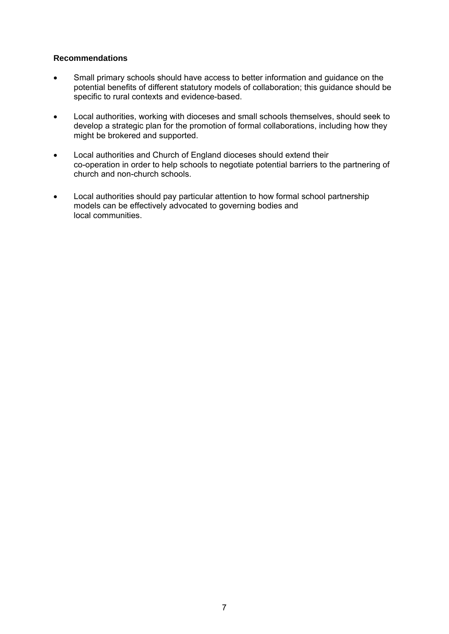### <span id="page-10-0"></span>**Recommendations**

- Small primary schools should have access to better information and guidance on the potential benefits of different statutory models of collaboration; this guidance should be specific to rural contexts and evidence-based.
- Local authorities, working with dioceses and small schools themselves, should seek to develop a strategic plan for the promotion of formal collaborations, including how they might be brokered and supported.
- Local authorities and Church of England dioceses should extend their co-operation in order to help schools to negotiate potential barriers to the partnering of church and non-church schools.
- Local authorities should pay particular attention to how formal school partnership models can be effectively advocated to governing bodies and local communities.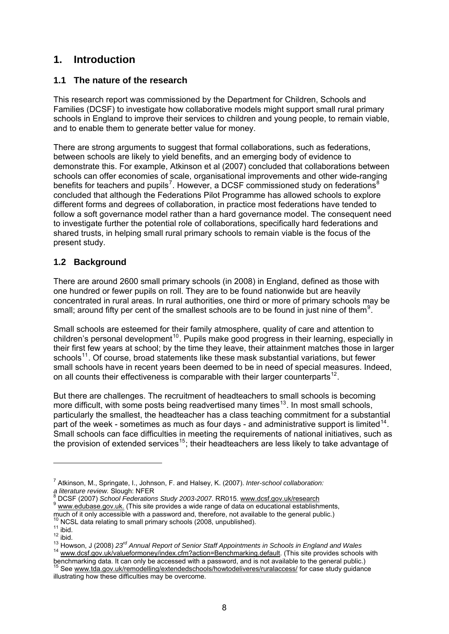### **1. Introduction**

### **1.1 The nature of the research**

This research report was commissioned by the Department for Children, Schools and Families (DCSF) to investigate how collaborative models might support small rural primary schools in England to improve their services to children and young people, to remain viable, and to enable them to generate better value for money.

There are strong arguments to suggest that formal collaborations, such as federations, between schools are likely to yield benefits, and an emerging body of evidence to demonstrate this. For example, Atkinson et al (2007) concluded that collaborations between schools can offer economies of scale, organisational improvements and other wide-ranging benefits for teachers and pupils<sup>[7](#page-11-0)</sup>. However, a DCSF commissioned study on federations<sup>[8](#page-11-1)</sup> concluded that although the Federations Pilot Programme has allowed schools to explore different forms and degrees of collaboration, in practice most federations have tended to follow a soft governance model rather than a hard governance model. The consequent need to investigate further the potential role of collaborations, specifically hard federations and shared trusts, in helping small rural primary schools to remain viable is the focus of the present study.

### **1.2 Background**

There are around 2600 small primary schools (in 2008) in England, defined as those with one hundred or fewer pupils on roll. They are to be found nationwide but are heavily concentrated in rural areas. In rural authorities, one third or more of primary schools may be small; around fifty per cent of the smallest schools are to be found in just nine of them<sup>[9](#page-11-2)</sup>.

Small schools are esteemed for their family atmosphere, quality of care and attention to children's personal development<sup>[10](#page-11-3)</sup>. Pupils make good progress in their learning, especially in their first few years at school; by the time they leave, their attainment matches those in larger schools<sup>[11](#page-11-4)</sup>. Of course, broad statements like these mask substantial variations, but fewer small schools have in recent years been deemed to be in need of special measures. Indeed, on all counts their effectiveness is comparable with their larger counterparts $12$ .

But there are challenges. The recruitment of headteachers to small schools is becoming more difficult, with some posts being readvertised many times<sup>[13](#page-11-6)</sup>. In most small schools, particularly the smallest, the headteacher has a class teaching commitment for a substantial part of the week - sometimes as much as four days - and administrative support is limited<sup>[14](#page-11-7)</sup>. Small schools can face difficulties in meeting the requirements of national initiatives, such as the provision of extended services<sup>[15](#page-11-8)</sup>; their headteachers are less likely to take advantage of

-

<span id="page-11-0"></span><sup>7</sup> Atkinson, M., Springate, I., Johnson, F. and Halsey, K. (2007). *Inter-school collaboration:*  a literature review. Slough: NFER<br><sup>8</sup> DCSF (2007) School Federations Study 2003-2007. RR015. www.dcsf.gov.uk/research

<span id="page-11-1"></span>**BUSH (2007) School Federations Study 2003-2007**. RRD: <u>Research 9 www.edubase.gov.uk.</u> (This site provides a wide range of data on educational establishments,

<span id="page-11-4"></span><span id="page-11-3"></span><span id="page-11-2"></span>

<span id="page-11-5"></span>

much of it only accessible with a password and, therefore, not available to the general public.)<br><sup>10</sup> NCSL data relating to small primary schools (2008, unpublished).<br><sup>11</sup> libid.<br><sup>12</sup> libid.<br><sup>13</sup> Howson, J (2008) 23<sup>rd</sup> A

<span id="page-11-8"></span><span id="page-11-7"></span><span id="page-11-6"></span>bench[marking data. It can only be accessed with a password, and is not available](http://www.tda.gov.uk/remodelling/extendedschools/howtodeliveres/ruralaccess/) to the general public.)<br><sup>15</sup> See <u>www.tda.gov.uk/remodelling/extendedschools/howtodeliveres/ruralaccess/</u> for case study guidance illustrating how these difficulties may be overcome.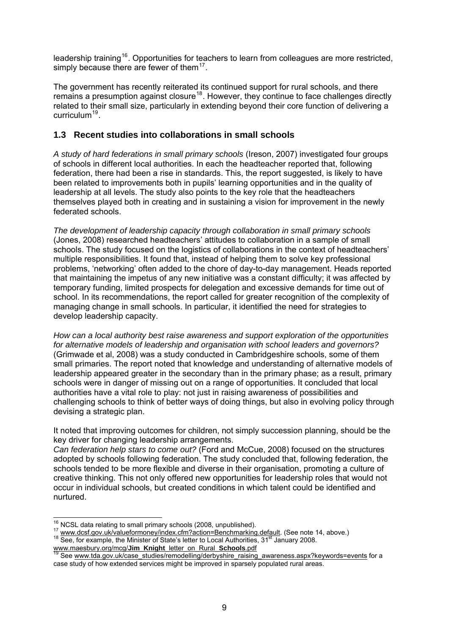leadership training<sup>[16](#page-12-0)</sup>. Opportunities for teachers to learn from colleagues are more restricted, simply because there are fewer of them $17$ .

The government has recently reiterated its continued support for rural schools, and there remains a presumption against closure<sup>[18](#page-12-2)</sup>. However, they continue to face challenges directly related to their small size, particularly in extending beyond their core function of delivering a curriculum<sup>[19](#page-12-3)</sup>.

### **1.3 Recent studies into collaborations in small schools**

*A study of hard federations in small primary schools* (Ireson, 2007) investigated four groups of schools in different local authorities. In each the headteacher reported that, following federation, there had been a rise in standards. This, the report suggested, is likely to have been related to improvements both in pupils' learning opportunities and in the quality of leadership at all levels. The study also points to the key role that the headteachers themselves played both in creating and in sustaining a vision for improvement in the newly federated schools.

*The development of leadership capacity through collaboration in small primary schools*  (Jones, 2008) researched headteachers' attitudes to collaboration in a sample of small schools. The study focused on the logistics of collaborations in the context of headteachers' multiple responsibilities. It found that, instead of helping them to solve key professional problems, 'networking' often added to the chore of day-to-day management. Heads reported that maintaining the impetus of any new initiative was a constant difficulty; it was affected by temporary funding, limited prospects for delegation and excessive demands for time out of school. In its recommendations, the report called for greater recognition of the complexity of managing change in small schools. In particular, it identified the need for strategies to develop leadership capacity.

*How can a local authority best raise awareness and support exploration of the opportunities for alternative models of leadership and organisation with school leaders and governors?* (Grimwade et al, 2008) was a study conducted in Cambridgeshire schools, some of them small primaries. The report noted that knowledge and understanding of alternative models of leadership appeared greater in the secondary than in the primary phase; as a result, primary schools were in danger of missing out on a range of opportunities. It concluded that local authorities have a vital role to play: not just in raising awareness of possibilities and challenging schools to think of better ways of doing things, but also in evolving policy through devising a strategic plan.

It noted that improving outcomes for children, not simply succession planning, should be the key driver for changing leadership arrangements.

*Can federation help stars to come out?* (Ford and McCue, 2008) focused on the structures adopted by schools following federation. The study concluded that, following federation, the schools tended to be more flexible and diverse in their organisation, promoting a culture of creative thinking. This not only offered new opportunities for leadership roles that would not occur in individual schools, but created conditions in which talent could be identified and nurtured.

<span id="page-12-0"></span><sup>&</sup>lt;sup>16</sup> NCSL data relating to small primary schools (2008, unpublished).

<span id="page-12-2"></span><span id="page-12-1"></span><sup>&</sup>lt;sup>17</sup><br>[www.dcsf.gov.uk/valueformoney/index.cfm?action=Benchmarking.default.](http://www.dcsf.gov.uk/valueformoney/index.cfm?action=Benchmarking.default) (See note 14, above.)<br><sup>18</sup> See, for example, the Mini[st](http://www.dcsf.gov.uk/valueformoney/index.cfm?action=Benchmarking.default)er of State's letter to Local Authorities, 31<sup>st</sup> January 2008.<br>www.maesbury.org/mcg/**Jim\_Kni** 

<span id="page-12-3"></span>See [www.tda.gov.uk/case\\_studies/remodelling/derbyshire\\_raising\\_awareness.aspx?keywords=events](http://www.tda.gov.uk/case_studies/remodelling/derbyshire_raising_awareness.aspx?keywords=events) for a case study of how extended services might be improved in sparsely populated rural areas.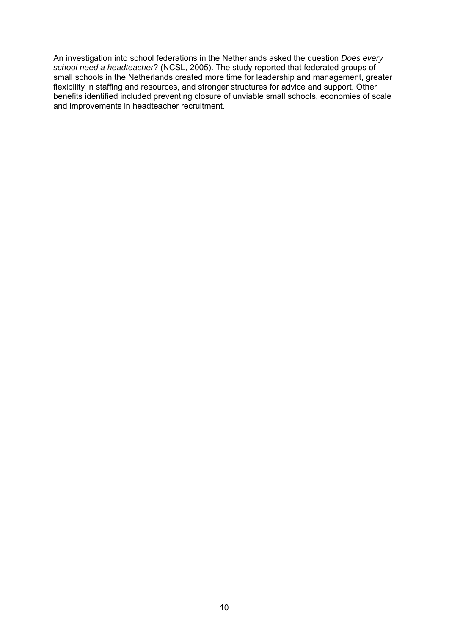<span id="page-13-0"></span>An investigation into school federations in the Netherlands asked the question *Does every school need a headteacher*? (NCSL, 2005). The study reported that federated groups of small schools in the Netherlands created more time for leadership and management, greater flexibility in staffing and resources, and stronger structures for advice and support. Other benefits identified included preventing closure of unviable small schools, economies of scale and improvements in headteacher recruitment.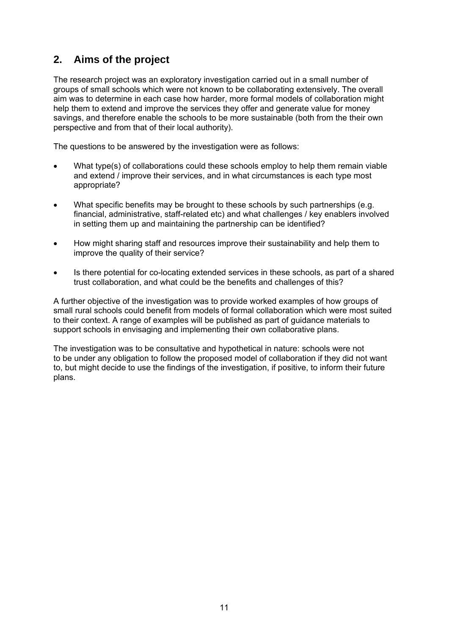### **2. Aims of the project**

The research project was an exploratory investigation carried out in a small number of groups of small schools which were not known to be collaborating extensively. The overall aim was to determine in each case how harder, more formal models of collaboration might help them to extend and improve the services they offer and generate value for money savings, and therefore enable the schools to be more sustainable (both from the their own perspective and from that of their local authority).

The questions to be answered by the investigation were as follows:

- What type(s) of collaborations could these schools employ to help them remain viable and extend / improve their services, and in what circumstances is each type most appropriate?
- What specific benefits may be brought to these schools by such partnerships (e.g. financial, administrative, staff-related etc) and what challenges / key enablers involved in setting them up and maintaining the partnership can be identified?
- How might sharing staff and resources improve their sustainability and help them to improve the quality of their service?
- Is there potential for co-locating extended services in these schools, as part of a shared trust collaboration, and what could be the benefits and challenges of this?

A further objective of the investigation was to provide worked examples of how groups of small rural schools could benefit from models of formal collaboration which were most suited to their context. A range of examples will be published as part of guidance materials to support schools in envisaging and implementing their own collaborative plans.

The investigation was to be consultative and hypothetical in nature: schools were not to be under any obligation to follow the proposed model of collaboration if they did not want to, but might decide to use the findings of the investigation, if positive, to inform their future plans.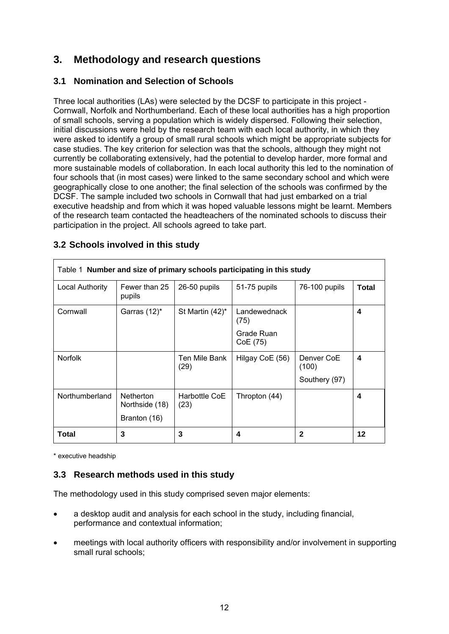### <span id="page-15-0"></span>**3. Methodology and research questions**

### **3.1 Nomination and Selection of Schools**

Three local authorities (LAs) were selected by the DCSF to participate in this project - Cornwall, Norfolk and Northumberland. Each of these local authorities has a high proportion of small schools, serving a population which is widely dispersed. Following their selection, initial discussions were held by the research team with each local authority, in which they were asked to identify a group of small rural schools which might be appropriate subjects for case studies. The key criterion for selection was that the schools, although they might not currently be collaborating extensively, had the potential to develop harder, more formal and more sustainable models of collaboration. In each local authority this led to the nomination of four schools that (in most cases) were linked to the same secondary school and which were geographically close to one another; the final selection of the schools was confirmed by the DCSF. The sample included two schools in Cornwall that had just embarked on a trial executive headship and from which it was hoped valuable lessons might be learnt. Members of the research team contacted the headteachers of the nominated schools to discuss their participation in the project. All schools agreed to take part.

| Table 1 Number and size of primary schools participating in this study |                                    |                       |                        |                     |              |
|------------------------------------------------------------------------|------------------------------------|-----------------------|------------------------|---------------------|--------------|
| <b>Local Authority</b>                                                 | Fewer than 25<br>pupils            | 26-50 pupils          | 51-75 pupils           | 76-100 pupils       | <b>Total</b> |
| Cornwall                                                               | Garras $(12)^*$                    | St Martin $(42)^*$    | Landewednack<br>(75)   |                     | 4            |
|                                                                        |                                    |                       | Grade Ruan<br>CoE (75) |                     |              |
| <b>Norfolk</b>                                                         |                                    | Ten Mile Bank<br>(29) | Hilgay CoE (56)        | Denver CoE<br>(100) | 4            |
|                                                                        |                                    |                       |                        | Southery (97)       |              |
| Northumberland                                                         | <b>Netherton</b><br>Northside (18) | Harbottle CoE<br>(23) | Thropton (44)          |                     | 4            |
|                                                                        | Branton (16)                       |                       |                        |                     |              |
| <b>Total</b>                                                           | 3                                  | 3                     | 4                      | $\mathbf{2}$        | $12 \,$      |

### **3.2 Schools involved in this study**

\* executive headship

### **3.3 Research methods used in this study**

The methodology used in this study comprised seven major elements:

- a desktop audit and analysis for each school in the study, including financial, performance and contextual information;
- meetings with local authority officers with responsibility and/or involvement in supporting small rural schools;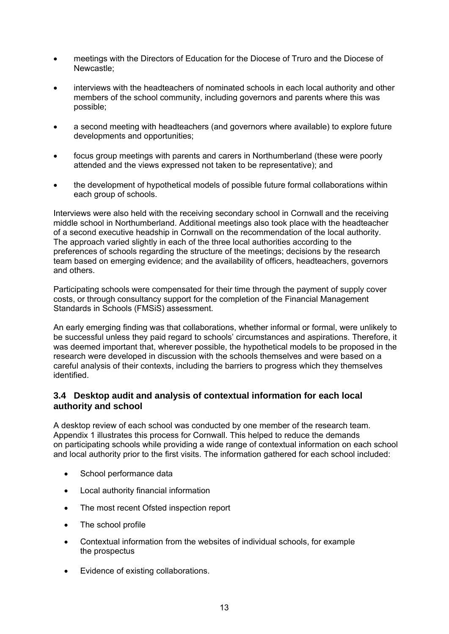- meetings with the Directors of Education for the Diocese of Truro and the Diocese of Newcastle;
- interviews with the headteachers of nominated schools in each local authority and other members of the school community, including governors and parents where this was possible;
- a second meeting with headteachers (and governors where available) to explore future developments and opportunities;
- focus group meetings with parents and carers in Northumberland (these were poorly attended and the views expressed not taken to be representative); and
- the development of hypothetical models of possible future formal collaborations within each group of schools.

Interviews were also held with the receiving secondary school in Cornwall and the receiving middle school in Northumberland. Additional meetings also took place with the headteacher of a second executive headship in Cornwall on the recommendation of the local authority. The approach varied slightly in each of the three local authorities according to the preferences of schools regarding the structure of the meetings; decisions by the research team based on emerging evidence; and the availability of officers, headteachers, governors and others.

Participating schools were compensated for their time through the payment of supply cover costs, or through consultancy support for the completion of the Financial Management Standards in Schools (FMSiS) assessment.

An early emerging finding was that collaborations, whether informal or formal, were unlikely to be successful unless they paid regard to schools' circumstances and aspirations. Therefore, it was deemed important that, wherever possible, the hypothetical models to be proposed in the research were developed in discussion with the schools themselves and were based on a careful analysis of their contexts, including the barriers to progress which they themselves identified.

### **3.4 Desktop audit and analysis of contextual information for each local authority and school**

A desktop review of each school was conducted by one member of the research team. Appendix 1 illustrates this process for Cornwall. This helped to reduce the demands on participating schools while providing a wide range of contextual information on each school and local authority prior to the first visits. The information gathered for each school included:

- School performance data
- Local authority financial information
- The most recent Ofsted inspection report
- The school profile
- Contextual information from the websites of individual schools, for example the prospectus
- Evidence of existing collaborations.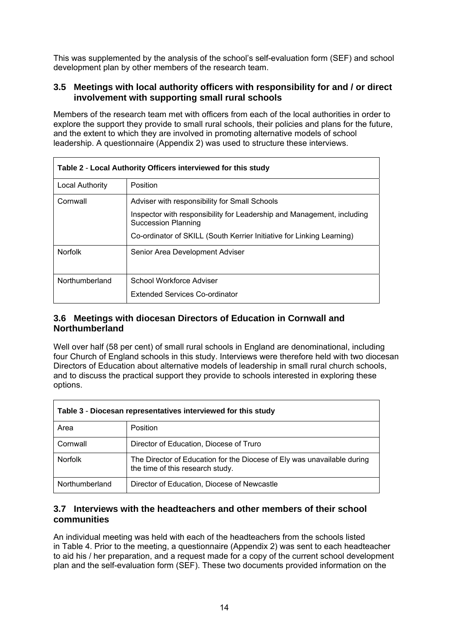This was supplemented by the analysis of the school's self-evaluation form (SEF) and school development plan by other members of the research team.

### **3.5 Meetings with local authority officers with responsibility for and / or direct involvement with supporting small rural schools**

Members of the research team met with officers from each of the local authorities in order to explore the support they provide to small rural schools, their policies and plans for the future, and the extent to which they are involved in promoting alternative models of school leadership. A questionnaire (Appendix 2) was used to structure these interviews.

| Table 2 - Local Authority Officers interviewed for this study |                                                                                               |  |  |
|---------------------------------------------------------------|-----------------------------------------------------------------------------------------------|--|--|
| Local Authority                                               | Position                                                                                      |  |  |
| Cornwall                                                      | Adviser with responsibility for Small Schools                                                 |  |  |
|                                                               | Inspector with responsibility for Leadership and Management, including<br>Succession Planning |  |  |
|                                                               | Co-ordinator of SKILL (South Kerrier Initiative for Linking Learning)                         |  |  |
| <b>Norfolk</b>                                                | Senior Area Development Adviser                                                               |  |  |
| Northumberland                                                | School Workforce Adviser                                                                      |  |  |
|                                                               | Extended Services Co-ordinator                                                                |  |  |

### **3.6 Meetings with diocesan Directors of Education in Cornwall and Northumberland**

Well over half (58 per cent) of small rural schools in England are denominational, including four Church of England schools in this study. Interviews were therefore held with two diocesan Directors of Education about alternative models of leadership in small rural church schools, and to discuss the practical support they provide to schools interested in exploring these options.

| Table 3 - Diocesan representatives interviewed for this study |                                                                                                             |  |  |
|---------------------------------------------------------------|-------------------------------------------------------------------------------------------------------------|--|--|
| Area                                                          | <b>Position</b>                                                                                             |  |  |
| Cornwall                                                      | Director of Education, Diocese of Truro                                                                     |  |  |
| <b>Norfolk</b>                                                | The Director of Education for the Diocese of Ely was unavailable during<br>the time of this research study. |  |  |
| Northumberland                                                | Director of Education, Diocese of Newcastle                                                                 |  |  |

### **3.7 Interviews with the headteachers and other members of their school communities**

An individual meeting was held with each of the headteachers from the schools listed in Table 4. Prior to the meeting, a questionnaire (Appendix 2) was sent to each headteacher to aid his / her preparation, and a request made for a copy of the current school development plan and the self-evaluation form (SEF). These two documents provided information on the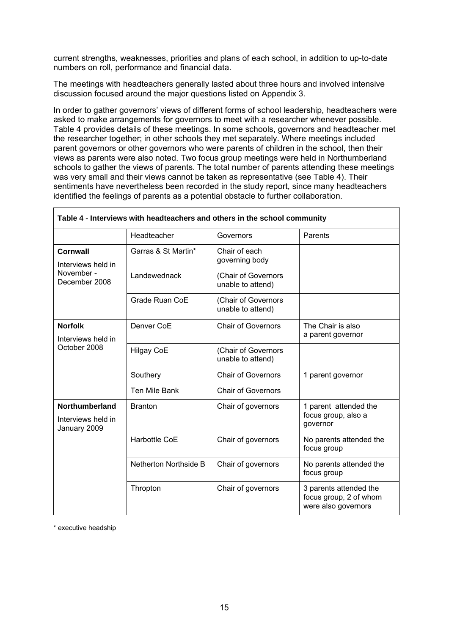current strengths, weaknesses, priorities and plans of each school, in addition to up-to-date numbers on roll, performance and financial data.

The meetings with headteachers generally lasted about three hours and involved intensive discussion focused around the major questions listed on Appendix 3.

In order to gather governors' views of different forms of school leadership, headteachers were asked to make arrangements for governors to meet with a researcher whenever possible. Table 4 provides details of these meetings. In some schools, governors and headteacher met the researcher together; in other schools they met separately. Where meetings included parent governors or other governors who were parents of children in the school, then their views as parents were also noted. Two focus group meetings were held in Northumberland schools to gather the views of parents. The total number of parents attending these meetings was very small and their views cannot be taken as representative (see Table 4). Their sentiments have nevertheless been recorded in the study report, since many headteachers identified the feelings of parents as a potential obstacle to further collaboration.

|                                                      | Headteacher           | Governors                                | Parents                                                                 |
|------------------------------------------------------|-----------------------|------------------------------------------|-------------------------------------------------------------------------|
| Cornwall<br>Interviews held in                       | Garras & St Martin*   | Chair of each<br>governing body          |                                                                         |
| November -<br>December 2008                          | Landewednack          | (Chair of Governors<br>unable to attend) |                                                                         |
|                                                      | Grade Ruan CoE        | (Chair of Governors<br>unable to attend) |                                                                         |
| <b>Norfolk</b><br>Interviews held in                 | Denver CoE            | Chair of Governors                       | The Chair is also<br>a parent governor                                  |
| October 2008                                         | <b>Hilgay CoE</b>     | (Chair of Governors<br>unable to attend) |                                                                         |
|                                                      | Southery              | <b>Chair of Governors</b>                | 1 parent governor                                                       |
|                                                      | <b>Ten Mile Bank</b>  | Chair of Governors                       |                                                                         |
| Northumberland<br>Interviews held in<br>January 2009 | <b>Branton</b>        | Chair of governors                       | 1 parent attended the<br>focus group, also a<br>governor                |
|                                                      | Harbottle CoE         | Chair of governors                       | No parents attended the<br>focus group                                  |
|                                                      | Netherton Northside B | Chair of governors                       | No parents attended the<br>focus group                                  |
|                                                      | Thropton              | Chair of governors                       | 3 parents attended the<br>focus group, 2 of whom<br>were also governors |

| Table 4 - Interviews with headteachers and others in the school community |  |
|---------------------------------------------------------------------------|--|
|---------------------------------------------------------------------------|--|

\* executive headship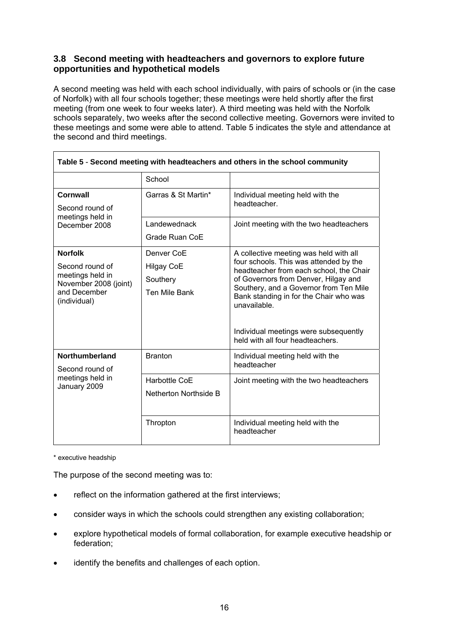### **3.8 Second meeting with headteachers and governors to explore future opportunities and hypothetical models**

A second meeting was held with each school individually, with pairs of schools or (in the case of Norfolk) with all four schools together; these meetings were held shortly after the first meeting (from one week to four weeks later). A third meeting was held with the Norfolk schools separately, two weeks after the second collective meeting. Governors were invited to these meetings and some were able to attend. Table 5 indicates the style and attendance at the second and third meetings.

| Table 5 - Second meeting with headteachers and others in the school community                                  |                                                              |                                                                                                                                                                                                                                                                                                                                                      |  |
|----------------------------------------------------------------------------------------------------------------|--------------------------------------------------------------|------------------------------------------------------------------------------------------------------------------------------------------------------------------------------------------------------------------------------------------------------------------------------------------------------------------------------------------------------|--|
|                                                                                                                | School                                                       |                                                                                                                                                                                                                                                                                                                                                      |  |
| <b>Cornwall</b><br>Second round of                                                                             | Garras & St Martin*                                          | Individual meeting held with the<br>headteacher.                                                                                                                                                                                                                                                                                                     |  |
| meetings held in<br>December 2008                                                                              | Landewednack<br>Grade Ruan CoE                               | Joint meeting with the two headteachers                                                                                                                                                                                                                                                                                                              |  |
| <b>Norfolk</b><br>Second round of<br>meetings held in<br>November 2008 (joint)<br>and December<br>(individual) | Denver CoE<br><b>Hilgay CoE</b><br>Southery<br>Ten Mile Bank | A collective meeting was held with all<br>four schools. This was attended by the<br>headteacher from each school, the Chair<br>of Governors from Denver, Hilgay and<br>Southery, and a Governor from Ten Mile<br>Bank standing in for the Chair who was<br>unavailable.<br>Individual meetings were subsequently<br>held with all four headteachers. |  |
| <b>Northumberland</b><br>Second round of<br>meetings held in<br>January 2009                                   | <b>Branton</b><br>Harbottle CoE<br>Netherton Northside B     | Individual meeting held with the<br>headteacher<br>Joint meeting with the two headteachers                                                                                                                                                                                                                                                           |  |
|                                                                                                                | Thropton                                                     | Individual meeting held with the<br>headteacher                                                                                                                                                                                                                                                                                                      |  |

\* executive headship

The purpose of the second meeting was to:

- reflect on the information gathered at the first interviews;
- consider ways in which the schools could strengthen any existing collaboration;
- explore hypothetical models of formal collaboration, for example executive headship or federation;
- identify the benefits and challenges of each option.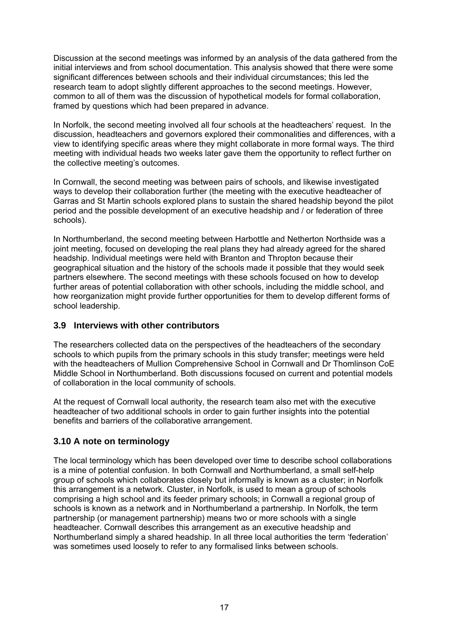Discussion at the second meetings was informed by an analysis of the data gathered from the initial interviews and from school documentation. This analysis showed that there were some significant differences between schools and their individual circumstances; this led the research team to adopt slightly different approaches to the second meetings. However, common to all of them was the discussion of hypothetical models for formal collaboration, framed by questions which had been prepared in advance.

In Norfolk, the second meeting involved all four schools at the headteachers' request. In the discussion, headteachers and governors explored their commonalities and differences, with a view to identifying specific areas where they might collaborate in more formal ways. The third meeting with individual heads two weeks later gave them the opportunity to reflect further on the collective meeting's outcomes.

In Cornwall, the second meeting was between pairs of schools, and likewise investigated ways to develop their collaboration further (the meeting with the executive headteacher of Garras and St Martin schools explored plans to sustain the shared headship beyond the pilot period and the possible development of an executive headship and / or federation of three schools).

In Northumberland, the second meeting between Harbottle and Netherton Northside was a joint meeting, focused on developing the real plans they had already agreed for the shared headship. Individual meetings were held with Branton and Thropton because their geographical situation and the history of the schools made it possible that they would seek partners elsewhere. The second meetings with these schools focused on how to develop further areas of potential collaboration with other schools, including the middle school, and how reorganization might provide further opportunities for them to develop different forms of school leadership.

### **3.9 Interviews with other contributors**

The researchers collected data on the perspectives of the headteachers of the secondary schools to which pupils from the primary schools in this study transfer; meetings were held with the headteachers of Mullion Comprehensive School in Cornwall and Dr Thomlinson CoE Middle School in Northumberland. Both discussions focused on current and potential models of collaboration in the local community of schools.

At the request of Cornwall local authority, the research team also met with the executive headteacher of two additional schools in order to gain further insights into the potential benefits and barriers of the collaborative arrangement.

### **3.10 A note on terminology**

The local terminology which has been developed over time to describe school collaborations is a mine of potential confusion. In both Cornwall and Northumberland, a small self-help group of schools which collaborates closely but informally is known as a cluster; in Norfolk this arrangement is a network. Cluster, in Norfolk, is used to mean a group of schools comprising a high school and its feeder primary schools; in Cornwall a regional group of schools is known as a network and in Northumberland a partnership. In Norfolk, the term partnership (or management partnership) means two or more schools with a single headteacher. Cornwall describes this arrangement as an executive headship and Northumberland simply a shared headship. In all three local authorities the term 'federation' was sometimes used loosely to refer to any formalised links between schools.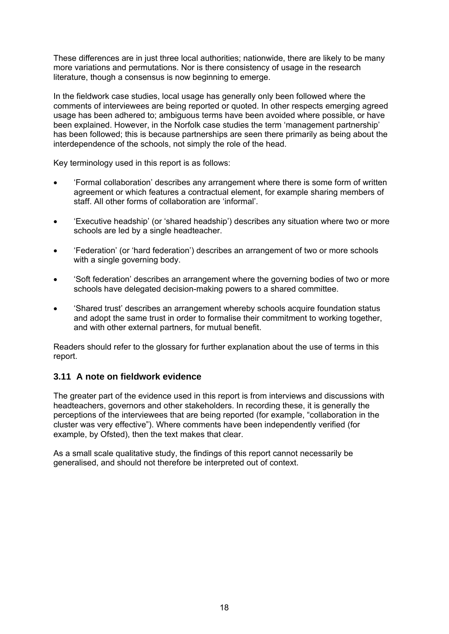<span id="page-21-0"></span>These differences are in just three local authorities; nationwide, there are likely to be many more variations and permutations. Nor is there consistency of usage in the research literature, though a consensus is now beginning to emerge.

In the fieldwork case studies, local usage has generally only been followed where the comments of interviewees are being reported or quoted. In other respects emerging agreed usage has been adhered to; ambiguous terms have been avoided where possible, or have been explained. However, in the Norfolk case studies the term 'management partnership' has been followed; this is because partnerships are seen there primarily as being about the interdependence of the schools, not simply the role of the head.

Key terminology used in this report is as follows:

- 'Formal collaboration' describes any arrangement where there is some form of written agreement or which features a contractual element, for example sharing members of staff. All other forms of collaboration are 'informal'.
- 'Executive headship' (or 'shared headship') describes any situation where two or more schools are led by a single headteacher.
- 'Federation' (or 'hard federation') describes an arrangement of two or more schools with a single governing body.
- 'Soft federation' describes an arrangement where the governing bodies of two or more schools have delegated decision-making powers to a shared committee.
- 'Shared trust' describes an arrangement whereby schools acquire foundation status and adopt the same trust in order to formalise their commitment to working together, and with other external partners, for mutual benefit.

Readers should refer to the glossary for further explanation about the use of terms in this report.

### **3.11 A note on fieldwork evidence**

The greater part of the evidence used in this report is from interviews and discussions with headteachers, governors and other stakeholders. In recording these, it is generally the perceptions of the interviewees that are being reported (for example, "collaboration in the cluster was very effective"). Where comments have been independently verified (for example, by Ofsted), then the text makes that clear.

As a small scale qualitative study, the findings of this report cannot necessarily be generalised, and should not therefore be interpreted out of context.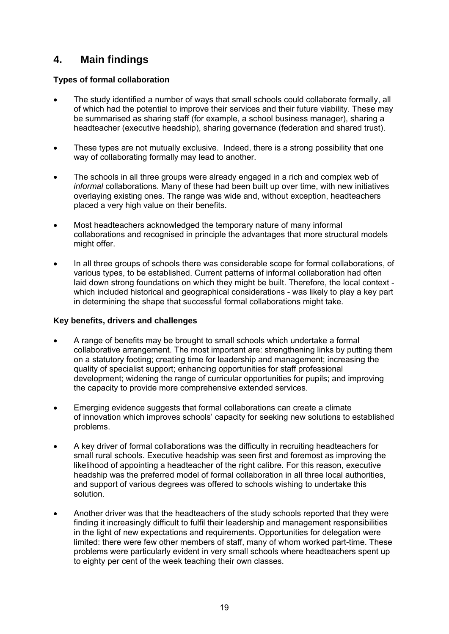### **4. Main findings**

### **Types of formal collaboration**

- The study identified a number of ways that small schools could collaborate formally, all of which had the potential to improve their services and their future viability. These may be summarised as sharing staff (for example, a school business manager), sharing a headteacher (executive headship), sharing governance (federation and shared trust).
- These types are not mutually exclusive. Indeed, there is a strong possibility that one way of collaborating formally may lead to another.
- The schools in all three groups were already engaged in a rich and complex web of *informal* collaborations. Many of these had been built up over time, with new initiatives overlaying existing ones. The range was wide and, without exception, headteachers placed a very high value on their benefits.
- Most headteachers acknowledged the temporary nature of many informal collaborations and recognised in principle the advantages that more structural models might offer.
- In all three groups of schools there was considerable scope for formal collaborations, of various types, to be established. Current patterns of informal collaboration had often laid down strong foundations on which they might be built. Therefore, the local context which included historical and geographical considerations - was likely to play a key part in determining the shape that successful formal collaborations might take.

### **Key benefits, drivers and challenges**

- A range of benefits may be brought to small schools which undertake a formal collaborative arrangement. The most important are: strengthening links by putting them on a statutory footing; creating time for leadership and management; increasing the quality of specialist support; enhancing opportunities for staff professional development; widening the range of curricular opportunities for pupils; and improving the capacity to provide more comprehensive extended services.
- Emerging evidence suggests that formal collaborations can create a climate of innovation which improves schools' capacity for seeking new solutions to established problems.
- A key driver of formal collaborations was the difficulty in recruiting headteachers for small rural schools. Executive headship was seen first and foremost as improving the likelihood of appointing a headteacher of the right calibre. For this reason, executive headship was the preferred model of formal collaboration in all three local authorities, and support of various degrees was offered to schools wishing to undertake this solution.
- Another driver was that the headteachers of the study schools reported that they were finding it increasingly difficult to fulfil their leadership and management responsibilities in the light of new expectations and requirements. Opportunities for delegation were limited: there were few other members of staff, many of whom worked part-time. These problems were particularly evident in very small schools where headteachers spent up to eighty per cent of the week teaching their own classes.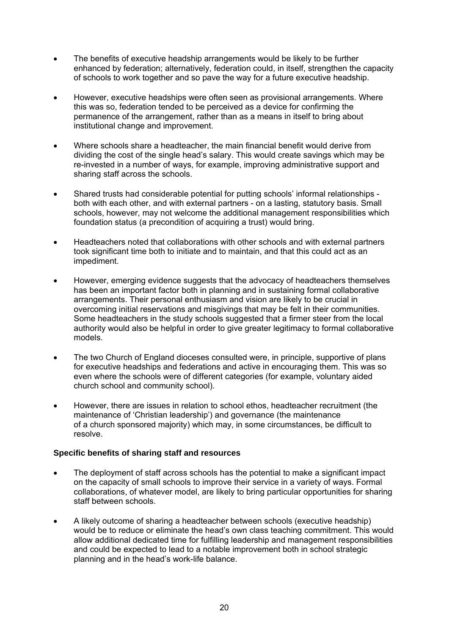- The benefits of executive headship arrangements would be likely to be further enhanced by federation; alternatively, federation could, in itself, strengthen the capacity of schools to work together and so pave the way for a future executive headship.
- However, executive headships were often seen as provisional arrangements. Where this was so, federation tended to be perceived as a device for confirming the permanence of the arrangement, rather than as a means in itself to bring about institutional change and improvement.
- Where schools share a headteacher, the main financial benefit would derive from dividing the cost of the single head's salary. This would create savings which may be re-invested in a number of ways, for example, improving administrative support and sharing staff across the schools.
- Shared trusts had considerable potential for putting schools' informal relationships both with each other, and with external partners - on a lasting, statutory basis. Small schools, however, may not welcome the additional management responsibilities which foundation status (a precondition of acquiring a trust) would bring.
- Headteachers noted that collaborations with other schools and with external partners took significant time both to initiate and to maintain, and that this could act as an impediment.
- However, emerging evidence suggests that the advocacy of headteachers themselves has been an important factor both in planning and in sustaining formal collaborative arrangements. Their personal enthusiasm and vision are likely to be crucial in overcoming initial reservations and misgivings that may be felt in their communities. Some headteachers in the study schools suggested that a firmer steer from the local authority would also be helpful in order to give greater legitimacy to formal collaborative models.
- The two Church of England dioceses consulted were, in principle, supportive of plans for executive headships and federations and active in encouraging them. This was so even where the schools were of different categories (for example, voluntary aided church school and community school).
- However, there are issues in relation to school ethos, headteacher recruitment (the maintenance of 'Christian leadership') and governance (the maintenance of a church sponsored majority) which may, in some circumstances, be difficult to resolve.

### **Specific benefits of sharing staff and resources**

- The deployment of staff across schools has the potential to make a significant impact on the capacity of small schools to improve their service in a variety of ways. Formal collaborations, of whatever model, are likely to bring particular opportunities for sharing staff between schools.
- A likely outcome of sharing a headteacher between schools (executive headship) would be to reduce or eliminate the head's own class teaching commitment. This would allow additional dedicated time for fulfilling leadership and management responsibilities and could be expected to lead to a notable improvement both in school strategic planning and in the head's work-life balance.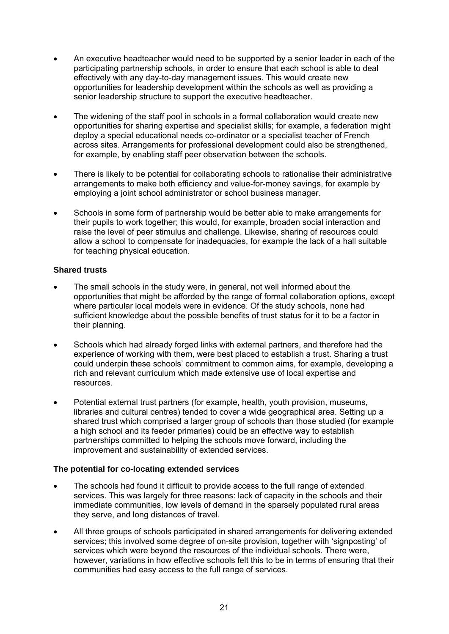- An executive headteacher would need to be supported by a senior leader in each of the participating partnership schools, in order to ensure that each school is able to deal effectively with any day-to-day management issues. This would create new opportunities for leadership development within the schools as well as providing a senior leadership structure to support the executive headteacher.
- The widening of the staff pool in schools in a formal collaboration would create new opportunities for sharing expertise and specialist skills; for example, a federation might deploy a special educational needs co-ordinator or a specialist teacher of French across sites. Arrangements for professional development could also be strengthened, for example, by enabling staff peer observation between the schools.
- There is likely to be potential for collaborating schools to rationalise their administrative arrangements to make both efficiency and value-for-money savings, for example by employing a joint school administrator or school business manager.
- Schools in some form of partnership would be better able to make arrangements for their pupils to work together; this would, for example, broaden social interaction and raise the level of peer stimulus and challenge. Likewise, sharing of resources could allow a school to compensate for inadequacies, for example the lack of a hall suitable for teaching physical education.

### **Shared trusts**

- The small schools in the study were, in general, not well informed about the opportunities that might be afforded by the range of formal collaboration options, except where particular local models were in evidence. Of the study schools, none had sufficient knowledge about the possible benefits of trust status for it to be a factor in their planning.
- Schools which had already forged links with external partners, and therefore had the experience of working with them, were best placed to establish a trust. Sharing a trust could underpin these schools' commitment to common aims, for example, developing a rich and relevant curriculum which made extensive use of local expertise and resources.
- Potential external trust partners (for example, health, youth provision, museums, libraries and cultural centres) tended to cover a wide geographical area. Setting up a shared trust which comprised a larger group of schools than those studied (for example a high school and its feeder primaries) could be an effective way to establish partnerships committed to helping the schools move forward, including the improvement and sustainability of extended services.

### **The potential for co-locating extended services**

- The schools had found it difficult to provide access to the full range of extended services. This was largely for three reasons: lack of capacity in the schools and their immediate communities, low levels of demand in the sparsely populated rural areas they serve, and long distances of travel.
- All three groups of schools participated in shared arrangements for delivering extended services; this involved some degree of on-site provision, together with 'signposting' of services which were beyond the resources of the individual schools. There were, however, variations in how effective schools felt this to be in terms of ensuring that their communities had easy access to the full range of services.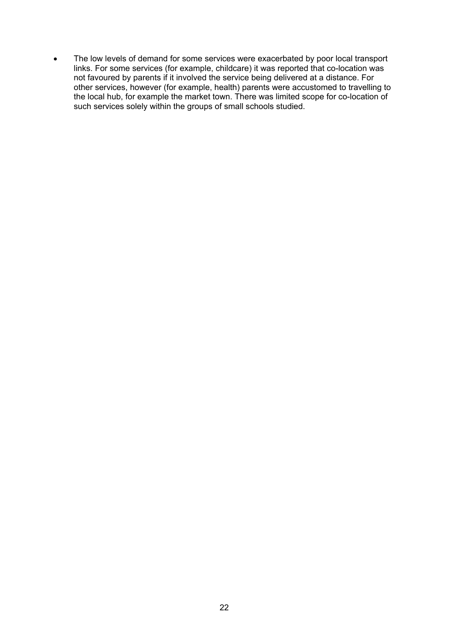• The low levels of demand for some services were exacerbated by poor local transport links. For some services (for example, childcare) it was reported that co-location was not favoured by parents if it involved the service being delivered at a distance. For other services, however (for example, health) parents were accustomed to travelling to the local hub, for example the market town. There was limited scope for co-location of such services solely within the groups of small schools studied.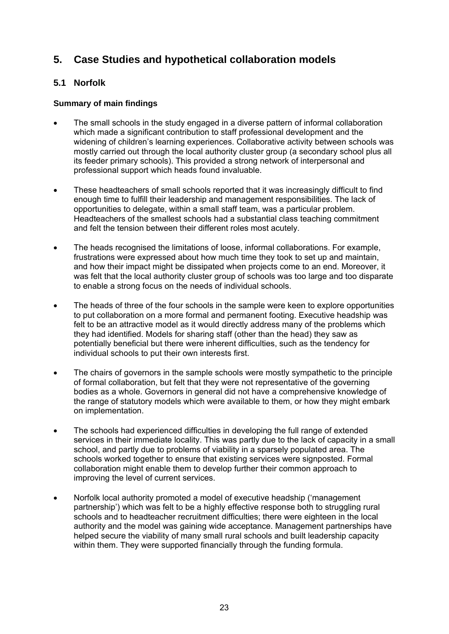### <span id="page-26-0"></span>**5. Case Studies and hypothetical collaboration models**

### **5.1 Norfolk**

### **Summary of main findings**

- The small schools in the study engaged in a diverse pattern of informal collaboration which made a significant contribution to staff professional development and the widening of children's learning experiences. Collaborative activity between schools was mostly carried out through the local authority cluster group (a secondary school plus all its feeder primary schools). This provided a strong network of interpersonal and professional support which heads found invaluable.
- These headteachers of small schools reported that it was increasingly difficult to find enough time to fulfill their leadership and management responsibilities. The lack of opportunities to delegate, within a small staff team, was a particular problem. Headteachers of the smallest schools had a substantial class teaching commitment and felt the tension between their different roles most acutely.
- The heads recognised the limitations of loose, informal collaborations. For example, frustrations were expressed about how much time they took to set up and maintain, and how their impact might be dissipated when projects come to an end. Moreover, it was felt that the local authority cluster group of schools was too large and too disparate to enable a strong focus on the needs of individual schools.
- The heads of three of the four schools in the sample were keen to explore opportunities to put collaboration on a more formal and permanent footing. Executive headship was felt to be an attractive model as it would directly address many of the problems which they had identified. Models for sharing staff (other than the head) they saw as potentially beneficial but there were inherent difficulties, such as the tendency for individual schools to put their own interests first.
- The chairs of governors in the sample schools were mostly sympathetic to the principle of formal collaboration, but felt that they were not representative of the governing bodies as a whole. Governors in general did not have a comprehensive knowledge of the range of statutory models which were available to them, or how they might embark on implementation.
- The schools had experienced difficulties in developing the full range of extended services in their immediate locality. This was partly due to the lack of capacity in a small school, and partly due to problems of viability in a sparsely populated area. The schools worked together to ensure that existing services were signposted. Formal collaboration might enable them to develop further their common approach to improving the level of current services.
- Norfolk local authority promoted a model of executive headship ('management partnership') which was felt to be a highly effective response both to struggling rural schools and to headteacher recruitment difficulties; there were eighteen in the local authority and the model was gaining wide acceptance. Management partnerships have helped secure the viability of many small rural schools and built leadership capacity within them. They were supported financially through the funding formula.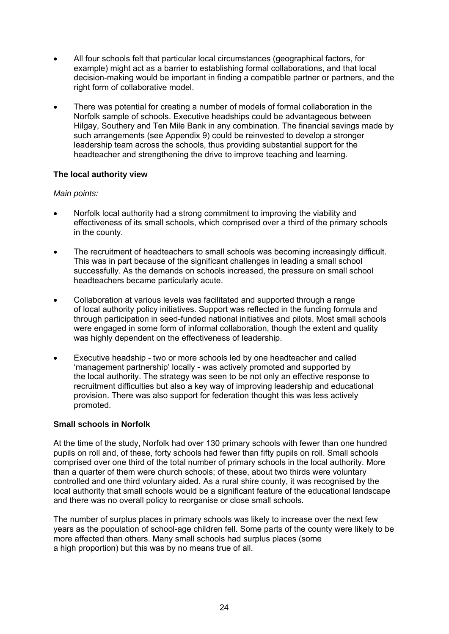- All four schools felt that particular local circumstances (geographical factors, for example) might act as a barrier to establishing formal collaborations, and that local decision-making would be important in finding a compatible partner or partners, and the right form of collaborative model.
- There was potential for creating a number of models of formal collaboration in the Norfolk sample of schools. Executive headships could be advantageous between Hilgay, Southery and Ten Mile Bank in any combination. The financial savings made by such arrangements (see Appendix 9) could be reinvested to develop a stronger leadership team across the schools, thus providing substantial support for the headteacher and strengthening the drive to improve teaching and learning.

### **The local authority view**

### *Main points:*

- Norfolk local authority had a strong commitment to improving the viability and effectiveness of its small schools, which comprised over a third of the primary schools in the county.
- The recruitment of headteachers to small schools was becoming increasingly difficult. This was in part because of the significant challenges in leading a small school successfully. As the demands on schools increased, the pressure on small school headteachers became particularly acute.
- Collaboration at various levels was facilitated and supported through a range of local authority policy initiatives. Support was reflected in the funding formula and through participation in seed-funded national initiatives and pilots. Most small schools were engaged in some form of informal collaboration, though the extent and quality was highly dependent on the effectiveness of leadership.
- Executive headship two or more schools led by one headteacher and called 'management partnership' locally - was actively promoted and supported by the local authority. The strategy was seen to be not only an effective response to recruitment difficulties but also a key way of improving leadership and educational provision. There was also support for federation thought this was less actively promoted.

### **Small schools in Norfolk**

At the time of the study, Norfolk had over 130 primary schools with fewer than one hundred pupils on roll and, of these, forty schools had fewer than fifty pupils on roll. Small schools comprised over one third of the total number of primary schools in the local authority. More than a quarter of them were church schools; of these, about two thirds were voluntary controlled and one third voluntary aided. As a rural shire county, it was recognised by the local authority that small schools would be a significant feature of the educational landscape and there was no overall policy to reorganise or close small schools.

The number of surplus places in primary schools was likely to increase over the next few years as the population of school-age children fell. Some parts of the county were likely to be more affected than others. Many small schools had surplus places (some a high proportion) but this was by no means true of all.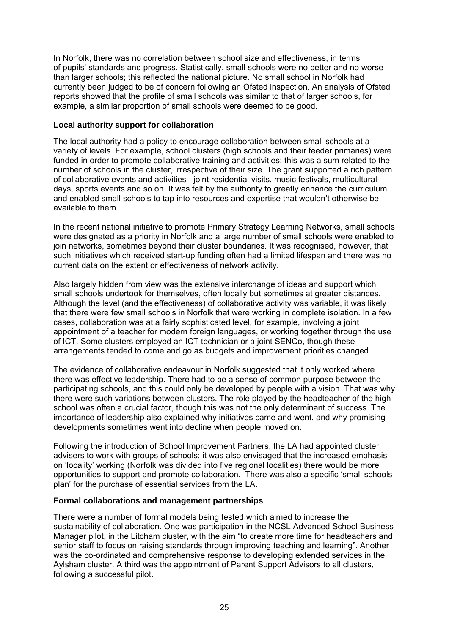In Norfolk, there was no correlation between school size and effectiveness, in terms of pupils' standards and progress. Statistically, small schools were no better and no worse than larger schools; this reflected the national picture. No small school in Norfolk had currently been judged to be of concern following an Ofsted inspection. An analysis of Ofsted reports showed that the profile of small schools was similar to that of larger schools, for example, a similar proportion of small schools were deemed to be good.

### **Local authority support for collaboration**

The local authority had a policy to encourage collaboration between small schools at a variety of levels. For example, school clusters (high schools and their feeder primaries) were funded in order to promote collaborative training and activities; this was a sum related to the number of schools in the cluster, irrespective of their size. The grant supported a rich pattern of collaborative events and activities - joint residential visits, music festivals, multicultural days, sports events and so on. It was felt by the authority to greatly enhance the curriculum and enabled small schools to tap into resources and expertise that wouldn't otherwise be available to them.

In the recent national initiative to promote Primary Strategy Learning Networks, small schools were designated as a priority in Norfolk and a large number of small schools were enabled to join networks, sometimes beyond their cluster boundaries. It was recognised, however, that such initiatives which received start-up funding often had a limited lifespan and there was no current data on the extent or effectiveness of network activity.

Also largely hidden from view was the extensive interchange of ideas and support which small schools undertook for themselves, often locally but sometimes at greater distances. Although the level (and the effectiveness) of collaborative activity was variable, it was likely that there were few small schools in Norfolk that were working in complete isolation. In a few cases, collaboration was at a fairly sophisticated level, for example, involving a joint appointment of a teacher for modern foreign languages, or working together through the use of ICT. Some clusters employed an ICT technician or a joint SENCo, though these arrangements tended to come and go as budgets and improvement priorities changed.

The evidence of collaborative endeavour in Norfolk suggested that it only worked where there was effective leadership. There had to be a sense of common purpose between the participating schools, and this could only be developed by people with a vision. That was why there were such variations between clusters. The role played by the headteacher of the high school was often a crucial factor, though this was not the only determinant of success. The importance of leadership also explained why initiatives came and went, and why promising developments sometimes went into decline when people moved on.

Following the introduction of School Improvement Partners, the LA had appointed cluster advisers to work with groups of schools; it was also envisaged that the increased emphasis on 'locality' working (Norfolk was divided into five regional localities) there would be more opportunities to support and promote collaboration. There was also a specific 'small schools plan' for the purchase of essential services from the LA.

### **Formal collaborations and management partnerships**

There were a number of formal models being tested which aimed to increase the sustainability of collaboration. One was participation in the NCSL Advanced School Business Manager pilot, in the Litcham cluster, with the aim "to create more time for headteachers and senior staff to focus on raising standards through improving teaching and learning". Another was the co-ordinated and comprehensive response to developing extended services in the Aylsham cluster. A third was the appointment of Parent Support Advisors to all clusters, following a successful pilot.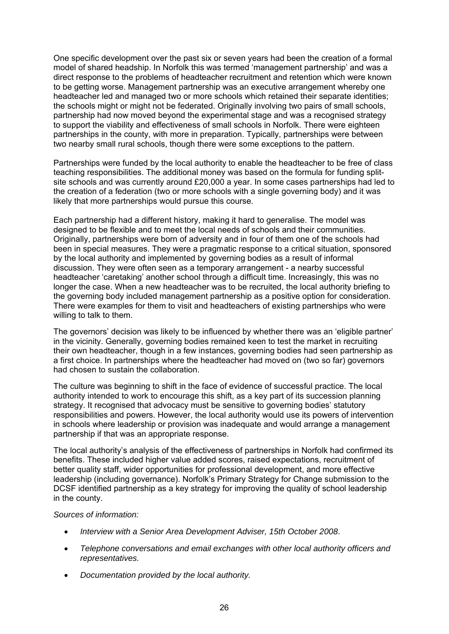One specific development over the past six or seven years had been the creation of a formal model of shared headship. In Norfolk this was termed 'management partnership' and was a direct response to the problems of headteacher recruitment and retention which were known to be getting worse. Management partnership was an executive arrangement whereby one headteacher led and managed two or more schools which retained their separate identities; the schools might or might not be federated. Originally involving two pairs of small schools, partnership had now moved beyond the experimental stage and was a recognised strategy to support the viability and effectiveness of small schools in Norfolk. There were eighteen partnerships in the county, with more in preparation. Typically, partnerships were between two nearby small rural schools, though there were some exceptions to the pattern.

Partnerships were funded by the local authority to enable the headteacher to be free of class teaching responsibilities. The additional money was based on the formula for funding splitsite schools and was currently around £20,000 a year. In some cases partnerships had led to the creation of a federation (two or more schools with a single governing body) and it was likely that more partnerships would pursue this course.

Each partnership had a different history, making it hard to generalise. The model was designed to be flexible and to meet the local needs of schools and their communities. Originally, partnerships were born of adversity and in four of them one of the schools had been in special measures. They were a pragmatic response to a critical situation, sponsored by the local authority and implemented by governing bodies as a result of informal discussion. They were often seen as a temporary arrangement - a nearby successful headteacher 'caretaking' another school through a difficult time. Increasingly, this was no longer the case. When a new headteacher was to be recruited, the local authority briefing to the governing body included management partnership as a positive option for consideration. There were examples for them to visit and headteachers of existing partnerships who were willing to talk to them.

The governors' decision was likely to be influenced by whether there was an 'eligible partner' in the vicinity. Generally, governing bodies remained keen to test the market in recruiting their own headteacher, though in a few instances, governing bodies had seen partnership as a first choice. In partnerships where the headteacher had moved on (two so far) governors had chosen to sustain the collaboration.

The culture was beginning to shift in the face of evidence of successful practice. The local authority intended to work to encourage this shift, as a key part of its succession planning strategy. It recognised that advocacy must be sensitive to governing bodies' statutory responsibilities and powers. However, the local authority would use its powers of intervention in schools where leadership or provision was inadequate and would arrange a management partnership if that was an appropriate response.

The local authority's analysis of the effectiveness of partnerships in Norfolk had confirmed its benefits. These included higher value added scores, raised expectations, recruitment of better quality staff, wider opportunities for professional development, and more effective leadership (including governance). Norfolk's Primary Strategy for Change submission to the DCSF identified partnership as a key strategy for improving the quality of school leadership in the county.

#### *Sources of information:*

- *Interview with a Senior Area Development Adviser, 15th October 2008*.
- *Telephone conversations and email exchanges with other local authority officers and representatives.*
- *Documentation provided by the local authority.*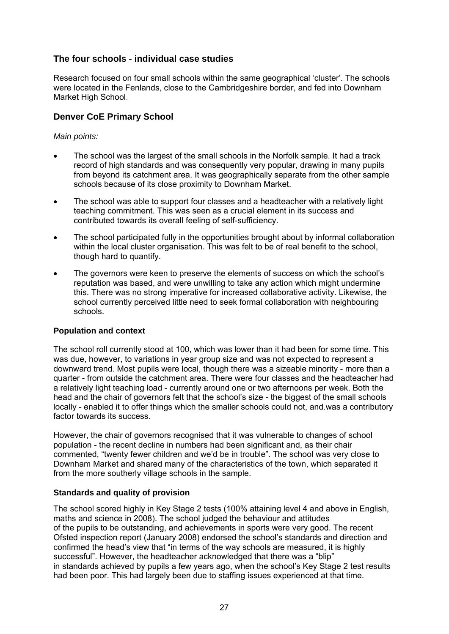### **The four schools - individual case studies**

Research focused on four small schools within the same geographical 'cluster'. The schools were located in the Fenlands, close to the Cambridgeshire border, and fed into Downham Market High School.

### **Denver CoE Primary School**

### *Main points:*

- The school was the largest of the small schools in the Norfolk sample. It had a track record of high standards and was consequently very popular, drawing in many pupils from beyond its catchment area. It was geographically separate from the other sample schools because of its close proximity to Downham Market.
- The school was able to support four classes and a headteacher with a relatively light teaching commitment. This was seen as a crucial element in its success and contributed towards its overall feeling of self-sufficiency.
- The school participated fully in the opportunities brought about by informal collaboration within the local cluster organisation. This was felt to be of real benefit to the school, though hard to quantify.
- The governors were keen to preserve the elements of success on which the school's reputation was based, and were unwilling to take any action which might undermine this. There was no strong imperative for increased collaborative activity. Likewise, the school currently perceived little need to seek formal collaboration with neighbouring schools.

### **Population and context**

The school roll currently stood at 100, which was lower than it had been for some time. This was due, however, to variations in year group size and was not expected to represent a downward trend. Most pupils were local, though there was a sizeable minority - more than a quarter - from outside the catchment area. There were four classes and the headteacher had a relatively light teaching load - currently around one or two afternoons per week. Both the head and the chair of governors felt that the school's size - the biggest of the small schools locally - enabled it to offer things which the smaller schools could not, and.was a contributory factor towards its success.

However, the chair of governors recognised that it was vulnerable to changes of school population - the recent decline in numbers had been significant and, as their chair commented, "twenty fewer children and we'd be in trouble". The school was very close to Downham Market and shared many of the characteristics of the town, which separated it from the more southerly village schools in the sample.

### **Standards and quality of provision**

The school scored highly in Key Stage 2 tests (100% attaining level 4 and above in English, maths and science in 2008). The school judged the behaviour and attitudes of the pupils to be outstanding, and achievements in sports were very good. The recent Ofsted inspection report (January 2008) endorsed the school's standards and direction and confirmed the head's view that "in terms of the way schools are measured, it is highly successful". However, the headteacher acknowledged that there was a "blip" in standards achieved by pupils a few years ago, when the school's Key Stage 2 test results had been poor. This had largely been due to staffing issues experienced at that time.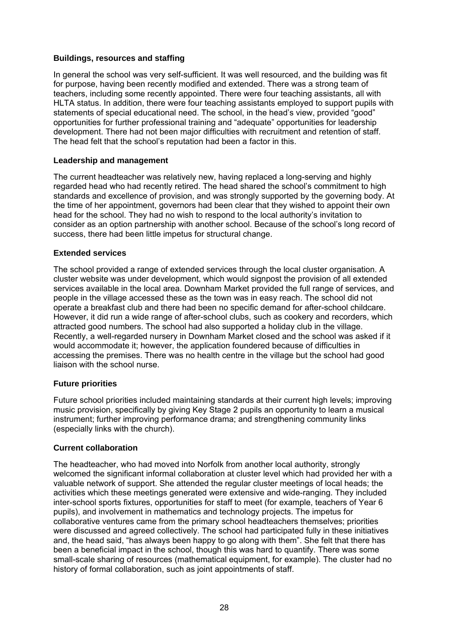### **Buildings, resources and staffing**

In general the school was very self-sufficient. It was well resourced, and the building was fit for purpose, having been recently modified and extended. There was a strong team of teachers, including some recently appointed. There were four teaching assistants, all with HLTA status. In addition, there were four teaching assistants employed to support pupils with statements of special educational need. The school, in the head's view, provided "good" opportunities for further professional training and "adequate" opportunities for leadership development. There had not been major difficulties with recruitment and retention of staff. The head felt that the school's reputation had been a factor in this.

#### **Leadership and management**

The current headteacher was relatively new, having replaced a long-serving and highly regarded head who had recently retired. The head shared the school's commitment to high standards and excellence of provision, and was strongly supported by the governing body. At the time of her appointment, governors had been clear that they wished to appoint their own head for the school. They had no wish to respond to the local authority's invitation to consider as an option partnership with another school. Because of the school's long record of success, there had been little impetus for structural change.

#### **Extended services**

The school provided a range of extended services through the local cluster organisation. A cluster website was under development, which would signpost the provision of all extended services available in the local area. Downham Market provided the full range of services, and people in the village accessed these as the town was in easy reach. The school did not operate a breakfast club and there had been no specific demand for after-school childcare. However, it did run a wide range of after-school clubs, such as cookery and recorders, which attracted good numbers. The school had also supported a holiday club in the village. Recently, a well-regarded nursery in Downham Market closed and the school was asked if it would accommodate it; however, the application foundered because of difficulties in accessing the premises. There was no health centre in the village but the school had good liaison with the school nurse.

### **Future priorities**

Future school priorities included maintaining standards at their current high levels; improving music provision, specifically by giving Key Stage 2 pupils an opportunity to learn a musical instrument; further improving performance drama; and strengthening community links (especially links with the church).

#### **Current collaboration**

The headteacher, who had moved into Norfolk from another local authority, strongly welcomed the significant informal collaboration at cluster level which had provided her with a valuable network of support. She attended the regular cluster meetings of local heads; the activities which these meetings generated were extensive and wide-ranging. They included inter-school sports fixtures, opportunities for staff to meet (for example, teachers of Year 6 pupils), and involvement in mathematics and technology projects. The impetus for collaborative ventures came from the primary school headteachers themselves; priorities were discussed and agreed collectively. The school had participated fully in these initiatives and, the head said, "has always been happy to go along with them". She felt that there has been a beneficial impact in the school, though this was hard to quantify. There was some small-scale sharing of resources (mathematical equipment, for example). The cluster had no history of formal collaboration, such as joint appointments of staff.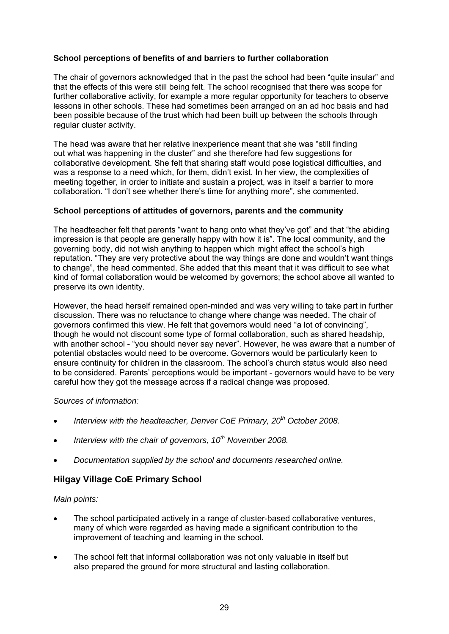### **School perceptions of benefits of and barriers to further collaboration**

The chair of governors acknowledged that in the past the school had been "quite insular" and that the effects of this were still being felt. The school recognised that there was scope for further collaborative activity, for example a more regular opportunity for teachers to observe lessons in other schools. These had sometimes been arranged on an ad hoc basis and had been possible because of the trust which had been built up between the schools through regular cluster activity.

The head was aware that her relative inexperience meant that she was "still finding out what was happening in the cluster" and she therefore had few suggestions for collaborative development. She felt that sharing staff would pose logistical difficulties, and was a response to a need which, for them, didn't exist. In her view, the complexities of meeting together, in order to initiate and sustain a project, was in itself a barrier to more collaboration. "I don't see whether there's time for anything more", she commented.

### **School perceptions of attitudes of governors, parents and the community**

The headteacher felt that parents "want to hang onto what they've got" and that "the abiding impression is that people are generally happy with how it is". The local community, and the governing body, did not wish anything to happen which might affect the school's high reputation. "They are very protective about the way things are done and wouldn't want things to change", the head commented. She added that this meant that it was difficult to see what kind of formal collaboration would be welcomed by governors; the school above all wanted to preserve its own identity.

However, the head herself remained open-minded and was very willing to take part in further discussion. There was no reluctance to change where change was needed. The chair of governors confirmed this view. He felt that governors would need "a lot of convincing", though he would not discount some type of formal collaboration, such as shared headship, with another school - "you should never say never". However, he was aware that a number of potential obstacles would need to be overcome. Governors would be particularly keen to ensure continuity for children in the classroom. The school's church status would also need to be considered. Parents' perceptions would be important - governors would have to be very careful how they got the message across if a radical change was proposed.

*Sources of information:* 

- *Interview with the headteacher, Denver CoE Primary, 20th October 2008.*
- *Interview with the chair of governors, 10th November 2008.*
- *Documentation supplied by the school and documents researched online.*

### **Hilgay Village CoE Primary School**

*Main points:* 

- The school participated actively in a range of cluster-based collaborative ventures, many of which were regarded as having made a significant contribution to the improvement of teaching and learning in the school.
- The school felt that informal collaboration was not only valuable in itself but also prepared the ground for more structural and lasting collaboration.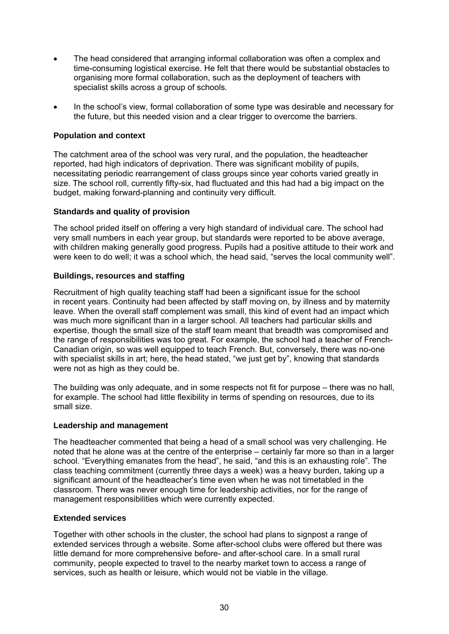- The head considered that arranging informal collaboration was often a complex and time-consuming logistical exercise. He felt that there would be substantial obstacles to organising more formal collaboration, such as the deployment of teachers with specialist skills across a group of schools.
- In the school's view, formal collaboration of some type was desirable and necessary for the future, but this needed vision and a clear trigger to overcome the barriers.

### **Population and context**

The catchment area of the school was very rural, and the population, the headteacher reported, had high indicators of deprivation. There was significant mobility of pupils, necessitating periodic rearrangement of class groups since year cohorts varied greatly in size. The school roll, currently fifty-six, had fluctuated and this had had a big impact on the budget, making forward-planning and continuity very difficult.

### **Standards and quality of provision**

The school prided itself on offering a very high standard of individual care. The school had very small numbers in each year group, but standards were reported to be above average, with children making generally good progress. Pupils had a positive attitude to their work and were keen to do well; it was a school which, the head said, "serves the local community well".

### **Buildings, resources and staffing**

Recruitment of high quality teaching staff had been a significant issue for the school in recent years. Continuity had been affected by staff moving on, by illness and by maternity leave. When the overall staff complement was small, this kind of event had an impact which was much more significant than in a larger school. All teachers had particular skills and expertise, though the small size of the staff team meant that breadth was compromised and the range of responsibilities was too great. For example, the school had a teacher of French-Canadian origin, so was well equipped to teach French. But, conversely, there was no-one with specialist skills in art; here, the head stated, "we just get by", knowing that standards were not as high as they could be.

The building was only adequate, and in some respects not fit for purpose – there was no hall, for example. The school had little flexibility in terms of spending on resources, due to its small size.

### **Leadership and management**

The headteacher commented that being a head of a small school was very challenging. He noted that he alone was at the centre of the enterprise – certainly far more so than in a larger school. "Everything emanates from the head", he said, "and this is an exhausting role". The class teaching commitment (currently three days a week) was a heavy burden, taking up a significant amount of the headteacher's time even when he was not timetabled in the classroom. There was never enough time for leadership activities, nor for the range of management responsibilities which were currently expected.

### **Extended services**

Together with other schools in the cluster, the school had plans to signpost a range of extended services through a website. Some after-school clubs were offered but there was little demand for more comprehensive before- and after-school care. In a small rural community, people expected to travel to the nearby market town to access a range of services, such as health or leisure, which would not be viable in the village.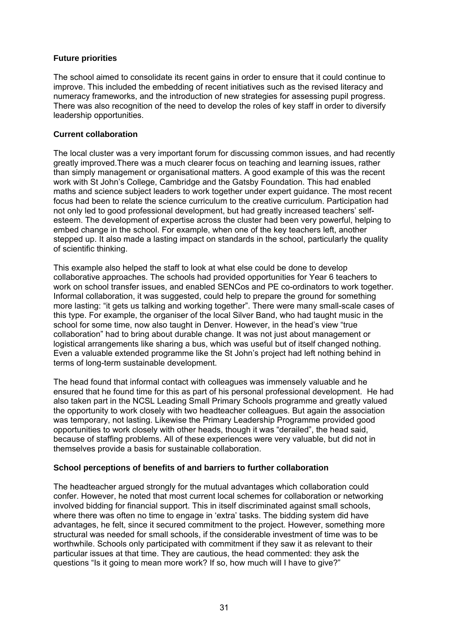### **Future priorities**

The school aimed to consolidate its recent gains in order to ensure that it could continue to improve. This included the embedding of recent initiatives such as the revised literacy and numeracy frameworks, and the introduction of new strategies for assessing pupil progress. There was also recognition of the need to develop the roles of key staff in order to diversify leadership opportunities.

### **Current collaboration**

The local cluster was a very important forum for discussing common issues, and had recently greatly improved.There was a much clearer focus on teaching and learning issues, rather than simply management or organisational matters. A good example of this was the recent work with St John's College, Cambridge and the Gatsby Foundation. This had enabled maths and science subject leaders to work together under expert guidance. The most recent focus had been to relate the science curriculum to the creative curriculum. Participation had not only led to good professional development, but had greatly increased teachers' selfesteem. The development of expertise across the cluster had been very powerful, helping to embed change in the school. For example, when one of the key teachers left, another stepped up. It also made a lasting impact on standards in the school, particularly the quality of scientific thinking.

This example also helped the staff to look at what else could be done to develop collaborative approaches. The schools had provided opportunities for Year 6 teachers to work on school transfer issues, and enabled SENCos and PE co-ordinators to work together. Informal collaboration, it was suggested, could help to prepare the ground for something more lasting: "it gets us talking and working together". There were many small-scale cases of this type. For example, the organiser of the local Silver Band, who had taught music in the school for some time, now also taught in Denver. However, in the head's view "true collaboration" had to bring about durable change. It was not just about management or logistical arrangements like sharing a bus, which was useful but of itself changed nothing. Even a valuable extended programme like the St John's project had left nothing behind in terms of long-term sustainable development.

The head found that informal contact with colleagues was immensely valuable and he ensured that he found time for this as part of his personal professional development. He had also taken part in the NCSL Leading Small Primary Schools programme and greatly valued the opportunity to work closely with two headteacher colleagues. But again the association was temporary, not lasting. Likewise the Primary Leadership Programme provided good opportunities to work closely with other heads, though it was "derailed", the head said, because of staffing problems. All of these experiences were very valuable, but did not in themselves provide a basis for sustainable collaboration.

### **School perceptions of benefits of and barriers to further collaboration**

The headteacher argued strongly for the mutual advantages which collaboration could confer. However, he noted that most current local schemes for collaboration or networking involved bidding for financial support. This in itself discriminated against small schools, where there was often no time to engage in 'extra' tasks. The bidding system did have advantages, he felt, since it secured commitment to the project. However, something more structural was needed for small schools, if the considerable investment of time was to be worthwhile. Schools only participated with commitment if they saw it as relevant to their particular issues at that time. They are cautious, the head commented: they ask the questions "Is it going to mean more work? If so, how much will I have to give?"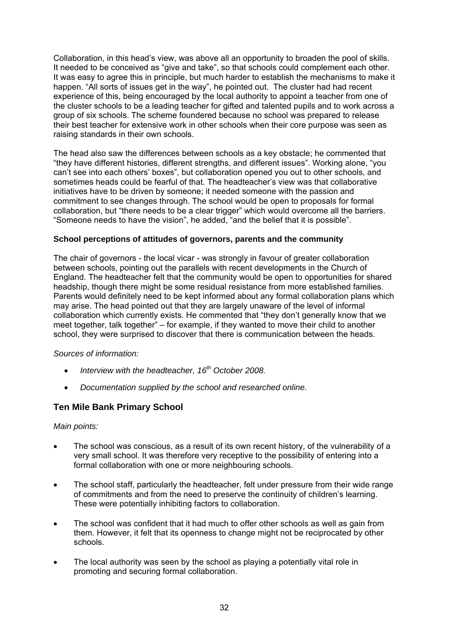Collaboration, in this head's view, was above all an opportunity to broaden the pool of skills. It needed to be conceived as "give and take", so that schools could complement each other. It was easy to agree this in principle, but much harder to establish the mechanisms to make it happen. "All sorts of issues get in the way", he pointed out. The cluster had had recent experience of this, being encouraged by the local authority to appoint a teacher from one of the cluster schools to be a leading teacher for gifted and talented pupils and to work across a group of six schools. The scheme foundered because no school was prepared to release their best teacher for extensive work in other schools when their core purpose was seen as raising standards in their own schools.

The head also saw the differences between schools as a key obstacle; he commented that "they have different histories, different strengths, and different issues". Working alone, "you can't see into each others' boxes", but collaboration opened you out to other schools, and sometimes heads could be fearful of that. The headteacher's view was that collaborative initiatives have to be driven by someone; it needed someone with the passion and commitment to see changes through. The school would be open to proposals for formal collaboration, but "there needs to be a clear trigger" which would overcome all the barriers. "Someone needs to have the vision", he added, "and the belief that it is possible".

### **School perceptions of attitudes of governors, parents and the community**

The chair of governors - the local vicar - was strongly in favour of greater collaboration between schools, pointing out the parallels with recent developments in the Church of England. The headteacher felt that the community would be open to opportunities for shared headship, though there might be some residual resistance from more established families. Parents would definitely need to be kept informed about any formal collaboration plans which may arise. The head pointed out that they are largely unaware of the level of informal collaboration which currently exists. He commented that "they don't generally know that we meet together, talk together" – for example, if they wanted to move their child to another school, they were surprised to discover that there is communication between the heads.

#### *Sources of information:*

- *Interview with the headteacher, 16th October 2008.*
- *Documentation supplied by the school and researched online.*

### **Ten Mile Bank Primary School**

#### *Main points:*

- The school was conscious, as a result of its own recent history, of the vulnerability of a very small school. It was therefore very receptive to the possibility of entering into a formal collaboration with one or more neighbouring schools.
- The school staff, particularly the headteacher, felt under pressure from their wide range of commitments and from the need to preserve the continuity of children's learning. These were potentially inhibiting factors to collaboration.
- The school was confident that it had much to offer other schools as well as gain from them. However, it felt that its openness to change might not be reciprocated by other schools.
- The local authority was seen by the school as playing a potentially vital role in promoting and securing formal collaboration.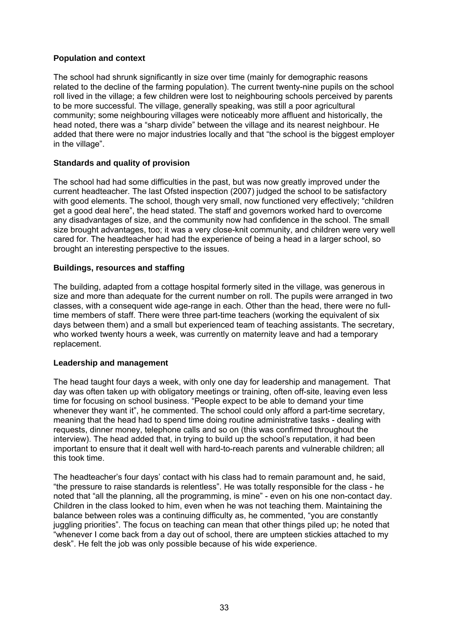## **Population and context**

The school had shrunk significantly in size over time (mainly for demographic reasons related to the decline of the farming population). The current twenty-nine pupils on the school roll lived in the village; a few children were lost to neighbouring schools perceived by parents to be more successful. The village, generally speaking, was still a poor agricultural community; some neighbouring villages were noticeably more affluent and historically, the head noted, there was a "sharp divide" between the village and its nearest neighbour. He added that there were no major industries locally and that "the school is the biggest employer in the village".

## **Standards and quality of provision**

The school had had some difficulties in the past, but was now greatly improved under the current headteacher. The last Ofsted inspection (2007) judged the school to be satisfactory with good elements. The school, though very small, now functioned very effectively; "children get a good deal here", the head stated. The staff and governors worked hard to overcome any disadvantages of size, and the community now had confidence in the school. The small size brought advantages, too; it was a very close-knit community, and children were very well cared for. The headteacher had had the experience of being a head in a larger school, so brought an interesting perspective to the issues.

## **Buildings, resources and staffing**

The building, adapted from a cottage hospital formerly sited in the village, was generous in size and more than adequate for the current number on roll. The pupils were arranged in two classes, with a consequent wide age-range in each. Other than the head, there were no fulltime members of staff. There were three part-time teachers (working the equivalent of six days between them) and a small but experienced team of teaching assistants. The secretary, who worked twenty hours a week, was currently on maternity leave and had a temporary replacement.

#### **Leadership and management**

The head taught four days a week, with only one day for leadership and management. That day was often taken up with obligatory meetings or training, often off-site, leaving even less time for focusing on school business. "People expect to be able to demand your time whenever they want it", he commented. The school could only afford a part-time secretary, meaning that the head had to spend time doing routine administrative tasks - dealing with requests, dinner money, telephone calls and so on (this was confirmed throughout the interview). The head added that, in trying to build up the school's reputation, it had been important to ensure that it dealt well with hard-to-reach parents and vulnerable children; all this took time.

The headteacher's four days' contact with his class had to remain paramount and, he said, "the pressure to raise standards is relentless". He was totally responsible for the class - he noted that "all the planning, all the programming, is mine" - even on his one non-contact day. Children in the class looked to him, even when he was not teaching them. Maintaining the balance between roles was a continuing difficulty as, he commented, "you are constantly juggling priorities". The focus on teaching can mean that other things piled up; he noted that "whenever I come back from a day out of school, there are umpteen stickies attached to my desk". He felt the job was only possible because of his wide experience.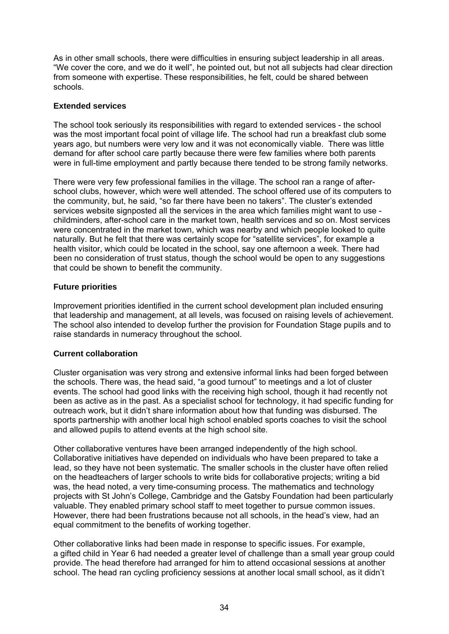As in other small schools, there were difficulties in ensuring subject leadership in all areas. "We cover the core, and we do it well", he pointed out, but not all subjects had clear direction from someone with expertise. These responsibilities, he felt, could be shared between schools.

#### **Extended services**

The school took seriously its responsibilities with regard to extended services - the school was the most important focal point of village life. The school had run a breakfast club some years ago, but numbers were very low and it was not economically viable. There was little demand for after school care partly because there were few families where both parents were in full-time employment and partly because there tended to be strong family networks.

There were very few professional families in the village. The school ran a range of afterschool clubs, however, which were well attended. The school offered use of its computers to the community, but, he said, "so far there have been no takers". The cluster's extended services website signposted all the services in the area which families might want to use childminders, after-school care in the market town, health services and so on. Most services were concentrated in the market town, which was nearby and which people looked to quite naturally. But he felt that there was certainly scope for "satellite services", for example a health visitor, which could be located in the school, say one afternoon a week. There had been no consideration of trust status, though the school would be open to any suggestions that could be shown to benefit the community.

## **Future priorities**

Improvement priorities identified in the current school development plan included ensuring that leadership and management, at all levels, was focused on raising levels of achievement. The school also intended to develop further the provision for Foundation Stage pupils and to raise standards in numeracy throughout the school.

#### **Current collaboration**

Cluster organisation was very strong and extensive informal links had been forged between the schools. There was, the head said, "a good turnout" to meetings and a lot of cluster events. The school had good links with the receiving high school, though it had recently not been as active as in the past. As a specialist school for technology, it had specific funding for outreach work, but it didn't share information about how that funding was disbursed. The sports partnership with another local high school enabled sports coaches to visit the school and allowed pupils to attend events at the high school site.

Other collaborative ventures have been arranged independently of the high school. Collaborative initiatives have depended on individuals who have been prepared to take a lead, so they have not been systematic. The smaller schools in the cluster have often relied on the headteachers of larger schools to write bids for collaborative projects; writing a bid was, the head noted, a very time-consuming process. The mathematics and technology projects with St John's College, Cambridge and the Gatsby Foundation had been particularly valuable. They enabled primary school staff to meet together to pursue common issues. However, there had been frustrations because not all schools, in the head's view, had an equal commitment to the benefits of working together.

Other collaborative links had been made in response to specific issues. For example, a gifted child in Year 6 had needed a greater level of challenge than a small year group could provide. The head therefore had arranged for him to attend occasional sessions at another school. The head ran cycling proficiency sessions at another local small school, as it didn't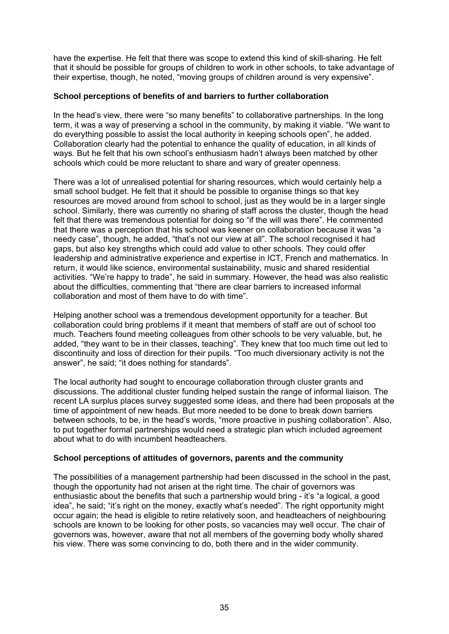have the expertise. He felt that there was scope to extend this kind of skill-sharing. He felt that it should be possible for groups of children to work in other schools, to take advantage of their expertise, though, he noted, "moving groups of children around is very expensive".

#### **School perceptions of benefits of and barriers to further collaboration**

In the head's view, there were "so many benefits" to collaborative partnerships. In the long term, it was a way of preserving a school in the community, by making it viable. "We want to do everything possible to assist the local authority in keeping schools open", he added. Collaboration clearly had the potential to enhance the quality of education, in all kinds of ways. But he felt that his own school's enthusiasm hadn't always been matched by other schools which could be more reluctant to share and wary of greater openness.

There was a lot of unrealised potential for sharing resources, which would certainly help a small school budget. He felt that it should be possible to organise things so that key resources are moved around from school to school, just as they would be in a larger single school. Similarly, there was currently no sharing of staff across the cluster, though the head felt that there was tremendous potential for doing so "if the will was there". He commented that there was a perception that his school was keener on collaboration because it was "a needy case", though, he added, "that's not our view at all". The school recognised it had gaps, but also key strengths which could add value to other schools. They could offer leadership and administrative experience and expertise in ICT, French and mathematics. In return, it would like science, environmental sustainability, music and shared residential activities. "We're happy to trade", he said in summary. However, the head was also realistic about the difficulties, commenting that "there are clear barriers to increased informal collaboration and most of them have to do with time".

Helping another school was a tremendous development opportunity for a teacher. But collaboration could bring problems if it meant that members of staff are out of school too much. Teachers found meeting colleagues from other schools to be very valuable, but, he added, "they want to be in their classes, teaching". They knew that too much time out led to discontinuity and loss of direction for their pupils. "Too much diversionary activity is not the answer", he said; "it does nothing for standards".

The local authority had sought to encourage collaboration through cluster grants and discussions. The additional cluster funding helped sustain the range of informal liaison. The recent LA surplus places survey suggested some ideas, and there had been proposals at the time of appointment of new heads. But more needed to be done to break down barriers between schools, to be, in the head's words, "more proactive in pushing collaboration". Also, to put together formal partnerships would need a strategic plan which included agreement about what to do with incumbent headteachers.

#### **School perceptions of attitudes of governors, parents and the community**

The possibilities of a management partnership had been discussed in the school in the past, though the opportunity had not arisen at the right time. The chair of governors was enthusiastic about the benefits that such a partnership would bring - it's "a logical, a good idea", he said; "it's right on the money, exactly what's needed". The right opportunity might occur again; the head is eligible to retire relatively soon, and headteachers of neighbouring schools are known to be looking for other posts, so vacancies may well occur. The chair of governors was, however, aware that not all members of the governing body wholly shared his view. There was some convincing to do, both there and in the wider community.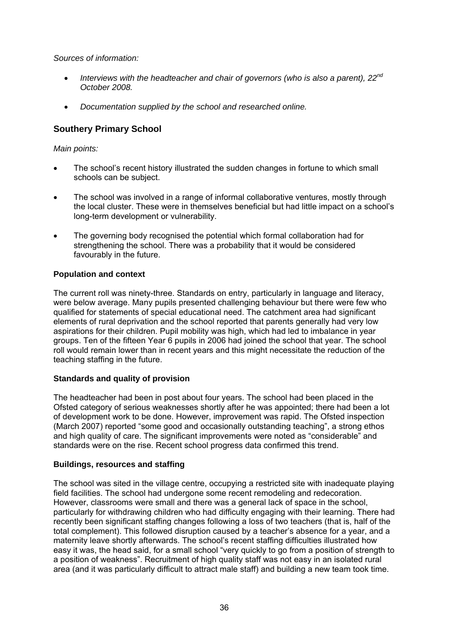*Sources of information:* 

- *Interviews with the headteacher and chair of governors (who is also a parent), 22nd October 2008.*
- *Documentation supplied by the school and researched online.*

# **Southery Primary School**

*Main points:* 

- The school's recent history illustrated the sudden changes in fortune to which small schools can be subject.
- The school was involved in a range of informal collaborative ventures, mostly through the local cluster. These were in themselves beneficial but had little impact on a school's long-term development or vulnerability.
- The governing body recognised the potential which formal collaboration had for strengthening the school. There was a probability that it would be considered favourably in the future.

# **Population and context**

The current roll was ninety-three. Standards on entry, particularly in language and literacy, were below average. Many pupils presented challenging behaviour but there were few who qualified for statements of special educational need. The catchment area had significant elements of rural deprivation and the school reported that parents generally had very low aspirations for their children. Pupil mobility was high, which had led to imbalance in year groups. Ten of the fifteen Year 6 pupils in 2006 had joined the school that year. The school roll would remain lower than in recent years and this might necessitate the reduction of the teaching staffing in the future.

# **Standards and quality of provision**

The headteacher had been in post about four years. The school had been placed in the Ofsted category of serious weaknesses shortly after he was appointed; there had been a lot of development work to be done. However, improvement was rapid. The Ofsted inspection (March 2007) reported "some good and occasionally outstanding teaching", a strong ethos and high quality of care. The significant improvements were noted as "considerable" and standards were on the rise. Recent school progress data confirmed this trend.

# **Buildings, resources and staffing**

The school was sited in the village centre, occupying a restricted site with inadequate playing field facilities. The school had undergone some recent remodeling and redecoration. However, classrooms were small and there was a general lack of space in the school, particularly for withdrawing children who had difficulty engaging with their learning. There had recently been significant staffing changes following a loss of two teachers (that is, half of the total complement). This followed disruption caused by a teacher's absence for a year, and a maternity leave shortly afterwards. The school's recent staffing difficulties illustrated how easy it was, the head said, for a small school "very quickly to go from a position of strength to a position of weakness". Recruitment of high quality staff was not easy in an isolated rural area (and it was particularly difficult to attract male staff) and building a new team took time.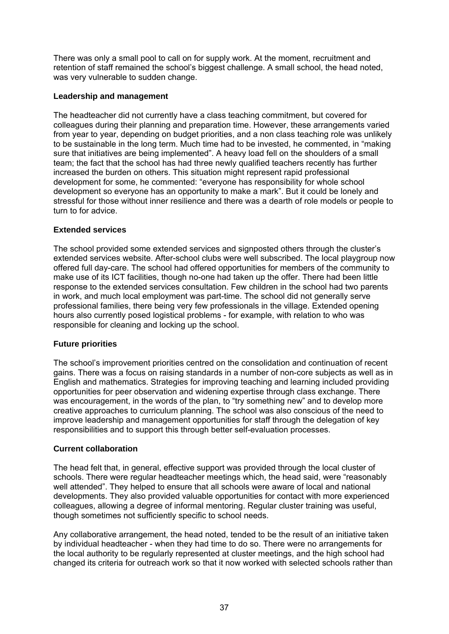There was only a small pool to call on for supply work. At the moment, recruitment and retention of staff remained the school's biggest challenge. A small school, the head noted, was very vulnerable to sudden change.

#### **Leadership and management**

The headteacher did not currently have a class teaching commitment, but covered for colleagues during their planning and preparation time. However, these arrangements varied from year to year, depending on budget priorities, and a non class teaching role was unlikely to be sustainable in the long term. Much time had to be invested, he commented, in "making sure that initiatives are being implemented". A heavy load fell on the shoulders of a small team; the fact that the school has had three newly qualified teachers recently has further increased the burden on others. This situation might represent rapid professional development for some, he commented: "everyone has responsibility for whole school development so everyone has an opportunity to make a mark". But it could be lonely and stressful for those without inner resilience and there was a dearth of role models or people to turn to for advice.

# **Extended services**

The school provided some extended services and signposted others through the cluster's extended services website. After-school clubs were well subscribed. The local playgroup now offered full day-care. The school had offered opportunities for members of the community to make use of its ICT facilities, though no-one had taken up the offer. There had been little response to the extended services consultation. Few children in the school had two parents in work, and much local employment was part-time. The school did not generally serve professional families, there being very few professionals in the village. Extended opening hours also currently posed logistical problems - for example, with relation to who was responsible for cleaning and locking up the school.

# **Future priorities**

The school's improvement priorities centred on the consolidation and continuation of recent gains. There was a focus on raising standards in a number of non-core subjects as well as in English and mathematics. Strategies for improving teaching and learning included providing opportunities for peer observation and widening expertise through class exchange. There was encouragement, in the words of the plan, to "try something new" and to develop more creative approaches to curriculum planning. The school was also conscious of the need to improve leadership and management opportunities for staff through the delegation of key responsibilities and to support this through better self-evaluation processes.

#### **Current collaboration**

The head felt that, in general, effective support was provided through the local cluster of schools. There were regular headteacher meetings which, the head said, were "reasonably well attended". They helped to ensure that all schools were aware of local and national developments. They also provided valuable opportunities for contact with more experienced colleagues, allowing a degree of informal mentoring. Regular cluster training was useful, though sometimes not sufficiently specific to school needs.

Any collaborative arrangement, the head noted, tended to be the result of an initiative taken by individual headteacher - when they had time to do so. There were no arrangements for the local authority to be regularly represented at cluster meetings, and the high school had changed its criteria for outreach work so that it now worked with selected schools rather than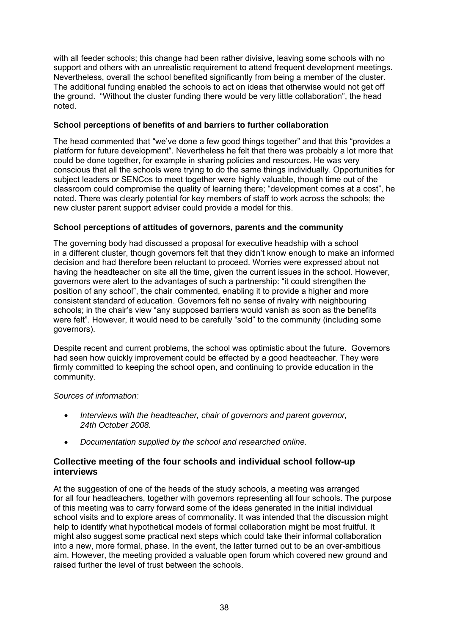with all feeder schools; this change had been rather divisive, leaving some schools with no support and others with an unrealistic requirement to attend frequent development meetings. Nevertheless, overall the school benefited significantly from being a member of the cluster. The additional funding enabled the schools to act on ideas that otherwise would not get off the ground. "Without the cluster funding there would be very little collaboration", the head noted.

## **School perceptions of benefits of and barriers to further collaboration**

The head commented that "we've done a few good things together" and that this "provides a platform for future development". Nevertheless he felt that there was probably a lot more that could be done together, for example in sharing policies and resources. He was very conscious that all the schools were trying to do the same things individually. Opportunities for subject leaders or SENCos to meet together were highly valuable, though time out of the classroom could compromise the quality of learning there; "development comes at a cost", he noted. There was clearly potential for key members of staff to work across the schools; the new cluster parent support adviser could provide a model for this.

## **School perceptions of attitudes of governors, parents and the community**

The governing body had discussed a proposal for executive headship with a school in a different cluster, though governors felt that they didn't know enough to make an informed decision and had therefore been reluctant to proceed. Worries were expressed about not having the headteacher on site all the time, given the current issues in the school. However, governors were alert to the advantages of such a partnership: "it could strengthen the position of any school", the chair commented, enabling it to provide a higher and more consistent standard of education. Governors felt no sense of rivalry with neighbouring schools; in the chair's view "any supposed barriers would vanish as soon as the benefits were felt". However, it would need to be carefully "sold" to the community (including some governors).

Despite recent and current problems, the school was optimistic about the future. Governors had seen how quickly improvement could be effected by a good headteacher. They were firmly committed to keeping the school open, and continuing to provide education in the community.

#### *Sources of information:*

- *Interviews with the headteacher, chair of governors and parent governor, 24th October 2008.*
- *Documentation supplied by the school and researched online.*

# **Collective meeting of the four schools and individual school follow-up interviews**

At the suggestion of one of the heads of the study schools, a meeting was arranged for all four headteachers, together with governors representing all four schools. The purpose of this meeting was to carry forward some of the ideas generated in the initial individual school visits and to explore areas of commonality. It was intended that the discussion might help to identify what hypothetical models of formal collaboration might be most fruitful. It might also suggest some practical next steps which could take their informal collaboration into a new, more formal, phase. In the event, the latter turned out to be an over-ambitious aim. However, the meeting provided a valuable open forum which covered new ground and raised further the level of trust between the schools.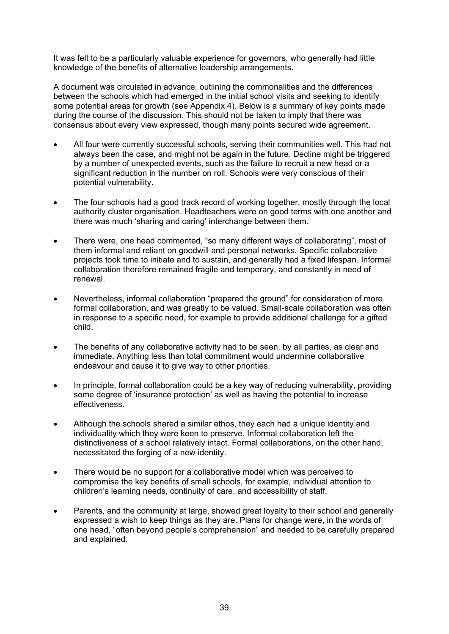It was felt to be a particularly valuable experience for governors, who generally had little knowledge of the benefits of alternative leadership arrangements.

A document was circulated in advance, outlining the commonalities and the differences between the schools which had emerged in the initial school visits and seeking to identify some potential areas for growth (see Appendix 4). Below is a summary of key points made during the course of the discussion. This should not be taken to imply that there was consensus about every view expressed, though many points secured wide agreement.

- All four were currently successful schools, serving their communities well. This had not always been the case, and might not be again in the future. Decline might be triggered by a number of unexpected events, such as the failure to recruit a new head or a significant reduction in the number on roll. Schools were very conscious of their potential vulnerability.
- The four schools had a good track record of working together, mostly through the local authority cluster organisation. Headteachers were on good terms with one another and there was much 'sharing and caring' interchange between them.
- There were, one head commented, "so many different ways of collaborating", most of them informal and reliant on goodwill and personal networks. Specific collaborative projects took time to initiate and to sustain, and generally had a fixed lifespan. Informal collaboration therefore remained fragile and temporary, and constantly in need of renewal.
- Nevertheless, informal collaboration "prepared the ground" for consideration of more formal collaboration, and was greatly to be valued. Small-scale collaboration was often in response to a specific need, for example to provide additional challenge for a gifted child.
- The benefits of any collaborative activity had to be seen, by all parties, as clear and immediate. Anything less than total commitment would undermine collaborative endeavour and cause it to give way to other priorities.
- In principle, formal collaboration could be a key way of reducing vulnerability, providing some degree of 'insurance protection' as well as having the potential to increase effectiveness.
- Although the schools shared a similar ethos, they each had a unique identity and individuality which they were keen to preserve. Informal collaboration left the distinctiveness of a school relatively intact. Formal collaborations, on the other hand, necessitated the forging of a new identity.
- There would be no support for a collaborative model which was perceived to compromise the key benefits of small schools, for example, individual attention to children's learning needs, continuity of care, and accessibility of staff.
- Parents, and the community at large, showed great loyalty to their school and generally expressed a wish to keep things as they are. Plans for change were, in the words of one head, "often beyond people's comprehension" and needed to be carefully prepared and explained.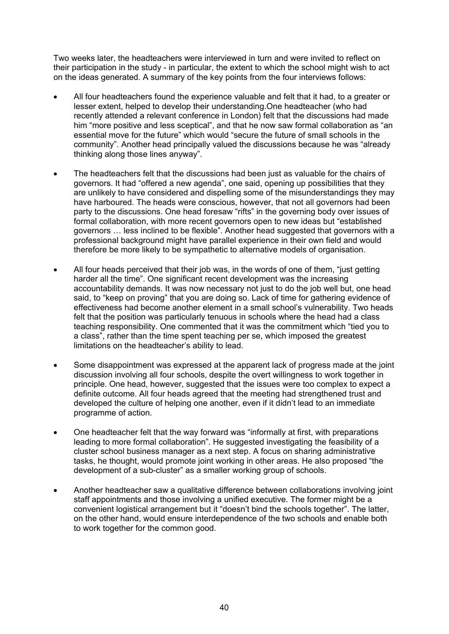Two weeks later, the headteachers were interviewed in turn and were invited to reflect on their participation in the study - in particular, the extent to which the school might wish to act on the ideas generated. A summary of the key points from the four interviews follows:

- All four headteachers found the experience valuable and felt that it had, to a greater or lesser extent, helped to develop their understanding.One headteacher (who had recently attended a relevant conference in London) felt that the discussions had made him "more positive and less sceptical", and that he now saw formal collaboration as "an essential move for the future" which would "secure the future of small schools in the community". Another head principally valued the discussions because he was "already thinking along those lines anyway".
- The headteachers felt that the discussions had been just as valuable for the chairs of governors. It had "offered a new agenda", one said, opening up possibilities that they are unlikely to have considered and dispelling some of the misunderstandings they may have harboured. The heads were conscious, however, that not all governors had been party to the discussions. One head foresaw "rifts" in the governing body over issues of formal collaboration, with more recent governors open to new ideas but "established governors … less inclined to be flexible". Another head suggested that governors with a professional background might have parallel experience in their own field and would therefore be more likely to be sympathetic to alternative models of organisation.
- All four heads perceived that their job was, in the words of one of them, "just getting harder all the time". One significant recent development was the increasing accountability demands. It was now necessary not just to do the job well but, one head said, to "keep on proving" that you are doing so. Lack of time for gathering evidence of effectiveness had become another element in a small school's vulnerability. Two heads felt that the position was particularly tenuous in schools where the head had a class teaching responsibility. One commented that it was the commitment which "tied you to a class", rather than the time spent teaching per se, which imposed the greatest limitations on the headteacher's ability to lead.
- Some disappointment was expressed at the apparent lack of progress made at the joint discussion involving all four schools, despite the overt willingness to work together in principle. One head, however, suggested that the issues were too complex to expect a definite outcome. All four heads agreed that the meeting had strengthened trust and developed the culture of helping one another, even if it didn't lead to an immediate programme of action.
- One headteacher felt that the way forward was "informally at first, with preparations leading to more formal collaboration". He suggested investigating the feasibility of a cluster school business manager as a next step. A focus on sharing administrative tasks, he thought, would promote joint working in other areas. He also proposed "the development of a sub-cluster" as a smaller working group of schools.
- Another headteacher saw a qualitative difference between collaborations involving joint staff appointments and those involving a unified executive. The former might be a convenient logistical arrangement but it "doesn't bind the schools together". The latter, on the other hand, would ensure interdependence of the two schools and enable both to work together for the common good.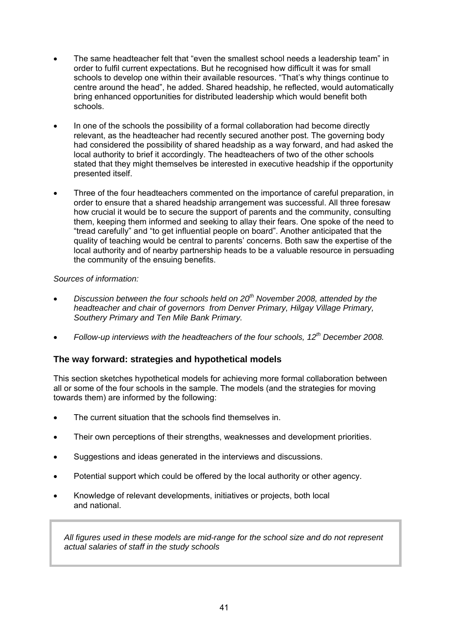- The same headteacher felt that "even the smallest school needs a leadership team" in order to fulfil current expectations. But he recognised how difficult it was for small schools to develop one within their available resources. "That's why things continue to centre around the head", he added. Shared headship, he reflected, would automatically bring enhanced opportunities for distributed leadership which would benefit both schools.
- In one of the schools the possibility of a formal collaboration had become directly relevant, as the headteacher had recently secured another post. The governing body had considered the possibility of shared headship as a way forward, and had asked the local authority to brief it accordingly. The headteachers of two of the other schools stated that they might themselves be interested in executive headship if the opportunity presented itself.
- Three of the four headteachers commented on the importance of careful preparation, in order to ensure that a shared headship arrangement was successful. All three foresaw how crucial it would be to secure the support of parents and the community, consulting them, keeping them informed and seeking to allay their fears. One spoke of the need to "tread carefully" and "to get influential people on board". Another anticipated that the quality of teaching would be central to parents' concerns. Both saw the expertise of the local authority and of nearby partnership heads to be a valuable resource in persuading the community of the ensuing benefits.

# *Sources of information:*

- *Discussion between the four schools held on 20th November 2008, attended by the headteacher and chair of governors from Denver Primary, Hilgay Village Primary, Southery Primary and Ten Mile Bank Primary.*
- *Follow-up interviews with the headteachers of the four schools, 12th December 2008.*

# **The way forward: strategies and hypothetical models**

This section sketches hypothetical models for achieving more formal collaboration between all or some of the four schools in the sample. The models (and the strategies for moving towards them) are informed by the following:

- The current situation that the schools find themselves in.
- Their own perceptions of their strengths, weaknesses and development priorities.
- Suggestions and ideas generated in the interviews and discussions.
- Potential support which could be offered by the local authority or other agency.
- Knowledge of relevant developments, initiatives or projects, both local and national.

*All figures used in these models are mid-range for the school size and do not represent actual salaries of staff in the study schools*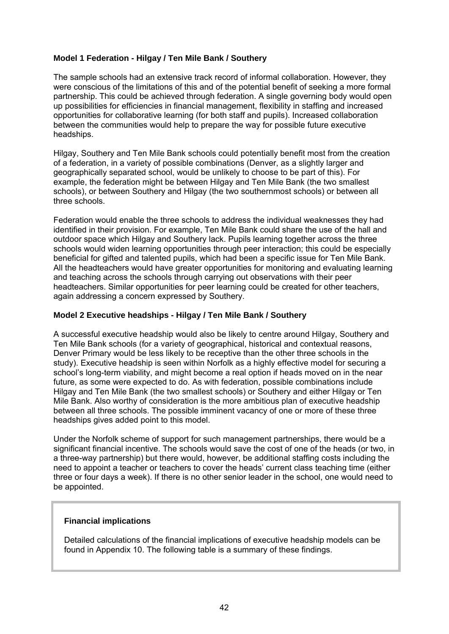## **Model 1 Federation - Hilgay / Ten Mile Bank / Southery**

The sample schools had an extensive track record of informal collaboration. However, they were conscious of the limitations of this and of the potential benefit of seeking a more formal partnership. This could be achieved through federation. A single governing body would open up possibilities for efficiencies in financial management, flexibility in staffing and increased opportunities for collaborative learning (for both staff and pupils). Increased collaboration between the communities would help to prepare the way for possible future executive headships.

Hilgay, Southery and Ten Mile Bank schools could potentially benefit most from the creation of a federation, in a variety of possible combinations (Denver, as a slightly larger and geographically separated school, would be unlikely to choose to be part of this). For example, the federation might be between Hilgay and Ten Mile Bank (the two smallest schools), or between Southery and Hilgay (the two southernmost schools) or between all three schools.

Federation would enable the three schools to address the individual weaknesses they had identified in their provision. For example, Ten Mile Bank could share the use of the hall and outdoor space which Hilgay and Southery lack. Pupils learning together across the three schools would widen learning opportunities through peer interaction; this could be especially beneficial for gifted and talented pupils, which had been a specific issue for Ten Mile Bank. All the headteachers would have greater opportunities for monitoring and evaluating learning and teaching across the schools through carrying out observations with their peer headteachers. Similar opportunities for peer learning could be created for other teachers, again addressing a concern expressed by Southery.

#### **Model 2 Executive headships - Hilgay / Ten Mile Bank / Southery**

A successful executive headship would also be likely to centre around Hilgay, Southery and Ten Mile Bank schools (for a variety of geographical, historical and contextual reasons, Denver Primary would be less likely to be receptive than the other three schools in the study). Executive headship is seen within Norfolk as a highly effective model for securing a school's long-term viability, and might become a real option if heads moved on in the near future, as some were expected to do. As with federation, possible combinations include Hilgay and Ten Mile Bank (the two smallest schools) or Southery and either Hilgay or Ten Mile Bank. Also worthy of consideration is the more ambitious plan of executive headship between all three schools. The possible imminent vacancy of one or more of these three headships gives added point to this model.

Under the Norfolk scheme of support for such management partnerships, there would be a significant financial incentive. The schools would save the cost of one of the heads (or two, in a three-way partnership) but there would, however, be additional staffing costs including the need to appoint a teacher or teachers to cover the heads' current class teaching time (either three or four days a week). If there is no other senior leader in the school, one would need to be appointed.

#### **Financial implications**

Detailed calculations of the financial implications of executive headship models can be found in Appendix 10. The following table is a summary of these findings.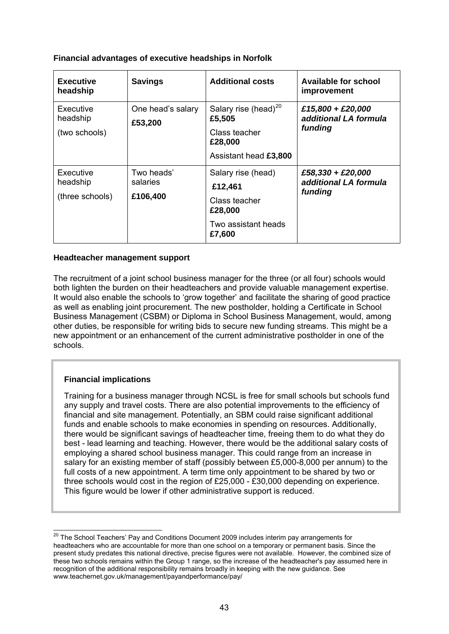## **Financial advantages of executive headships in Norfolk**

| <b>Executive</b><br>headship             | <b>Savings</b>                     | <b>Additional costs</b>                                                                         | <b>Available for school</b><br>improvement            |
|------------------------------------------|------------------------------------|-------------------------------------------------------------------------------------------------|-------------------------------------------------------|
| Executive<br>headship<br>(two schools)   | One head's salary<br>£53,200       | Salary rise (head) <sup>20</sup><br>£5,505<br>Class teacher<br>£28,000<br>Assistant head £3,800 | £15,800 + £20,000<br>additional LA formula<br>funding |
| Executive<br>headship<br>(three schools) | Two heads'<br>salaries<br>£106,400 | Salary rise (head)<br>£12,461<br>Class teacher<br>£28,000<br>Two assistant heads<br>£7,600      | £58,330 + £20,000<br>additional LA formula<br>funding |

#### **Headteacher management support**

The recruitment of a joint school business manager for the three (or all four) schools would both lighten the burden on their headteachers and provide valuable management expertise. It would also enable the schools to 'grow together' and facilitate the sharing of good practice as well as enabling joint procurement. The new postholder, holding a Certificate in School Business Management (CSBM) or Diploma in School Business Management, would, among other duties, be responsible for writing bids to secure new funding streams. This might be a new appointment or an enhancement of the current administrative postholder in one of the schools.

# **Financial implications**

Training for a business manager through NCSL is free for small schools but schools fund any supply and travel costs. There are also potential improvements to the efficiency of financial and site management. Potentially, an SBM could raise significant additional funds and enable schools to make economies in spending on resources. Additionally, there would be significant savings of headteacher time, freeing them to do what they do best - lead learning and teaching. However, there would be the additional salary costs of employing a shared school business manager. This could range from an increase in salary for an existing member of staff (possibly between £5,000-8,000 per annum) to the full costs of a new appointment. A term time only appointment to be shared by two or three schools would cost in the region of £25,000 - £30,000 depending on experience. This figure would be lower if other administrative support is reduced.

<span id="page-46-0"></span><sup>-</sup><sup>20</sup> The School Teachers' Pay and Conditions Document 2009 includes interim pay arrangements for headteachers who are accountable for more than one school on a temporary or permanent basis. Since the present study predates this national directive, precise figures were not available. However, the combined size of these two schools remains within the Group 1 range, so the increase of the headteacher's pay assumed here in recognition of the additional responsibility remains broadly in keeping with the new guidance. See [www.teachernet.gov.uk/management/payandperformance/pay/](http://www.teachernet.gov.uk/management/payandperformance/pay/)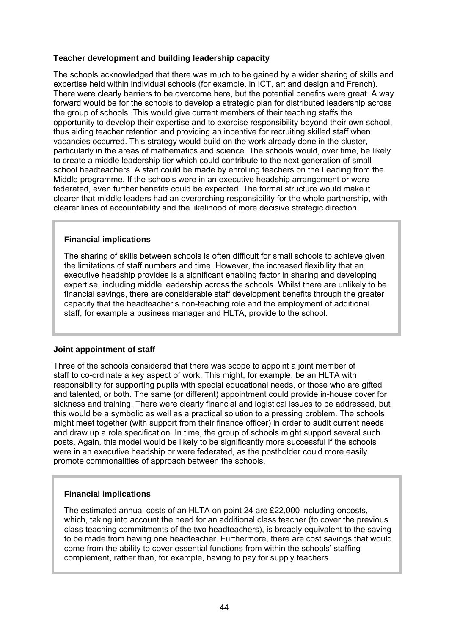#### **Teacher development and building leadership capacity**

The schools acknowledged that there was much to be gained by a wider sharing of skills and expertise held within individual schools (for example, in ICT, art and design and French). There were clearly barriers to be overcome here, but the potential benefits were great. A way forward would be for the schools to develop a strategic plan for distributed leadership across the group of schools. This would give current members of their teaching staffs the opportunity to develop their expertise and to exercise responsibility beyond their own school, thus aiding teacher retention and providing an incentive for recruiting skilled staff when vacancies occurred. This strategy would build on the work already done in the cluster, particularly in the areas of mathematics and science. The schools would, over time, be likely to create a middle leadership tier which could contribute to the next generation of small school headteachers. A start could be made by enrolling teachers on the Leading from the Middle programme. If the schools were in an executive headship arrangement or were federated, even further benefits could be expected. The formal structure would make it clearer that middle leaders had an overarching responsibility for the whole partnership, with clearer lines of accountability and the likelihood of more decisive strategic direction.

#### **Financial implications**

The sharing of skills between schools is often difficult for small schools to achieve given the limitations of staff numbers and time. However, the increased flexibility that an executive headship provides is a significant enabling factor in sharing and developing expertise, including middle leadership across the schools. Whilst there are unlikely to be financial savings, there are considerable staff development benefits through the greater capacity that the headteacher's non-teaching role and the employment of additional staff, for example a business manager and HLTA, provide to the school.

#### **Joint appointment of staff**

Three of the schools considered that there was scope to appoint a joint member of staff to co-ordinate a key aspect of work. This might, for example, be an HLTA with responsibility for supporting pupils with special educational needs, or those who are gifted and talented, or both. The same (or different) appointment could provide in-house cover for sickness and training. There were clearly financial and logistical issues to be addressed, but this would be a symbolic as well as a practical solution to a pressing problem. The schools might meet together (with support from their finance officer) in order to audit current needs and draw up a role specification. In time, the group of schools might support several such posts. Again, this model would be likely to be significantly more successful if the schools were in an executive headship or were federated, as the postholder could more easily promote commonalities of approach between the schools.

#### **Financial implications**

The estimated annual costs of an HLTA on point 24 are £22,000 including oncosts, which, taking into account the need for an additional class teacher (to cover the previous class teaching commitments of the two headteachers), is broadly equivalent to the saving to be made from having one headteacher. Furthermore, there are cost savings that would come from the ability to cover essential functions from within the schools' staffing complement, rather than, for example, having to pay for supply teachers.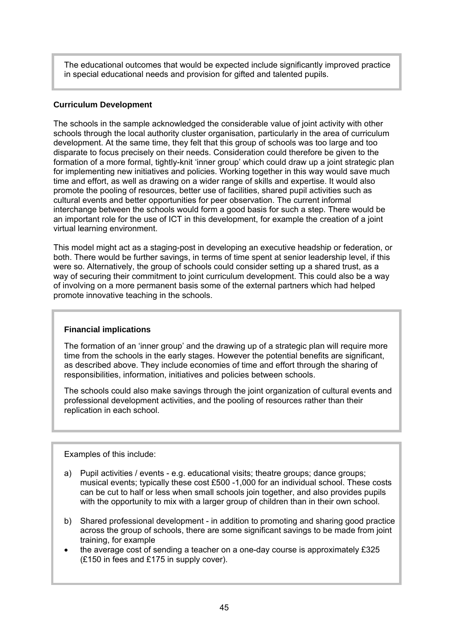The educational outcomes that would be expected include significantly improved practice in special educational needs and provision for gifted and talented pupils.

#### **Curriculum Development**

The schools in the sample acknowledged the considerable value of joint activity with other schools through the local authority cluster organisation, particularly in the area of curriculum development. At the same time, they felt that this group of schools was too large and too disparate to focus precisely on their needs. Consideration could therefore be given to the formation of a more formal, tightly-knit 'inner group' which could draw up a joint strategic plan for implementing new initiatives and policies. Working together in this way would save much time and effort, as well as drawing on a wider range of skills and expertise. It would also promote the pooling of resources, better use of facilities, shared pupil activities such as cultural events and better opportunities for peer observation. The current informal interchange between the schools would form a good basis for such a step. There would be an important role for the use of ICT in this development, for example the creation of a joint virtual learning environment.

This model might act as a staging-post in developing an executive headship or federation, or both. There would be further savings, in terms of time spent at senior leadership level, if this were so. Alternatively, the group of schools could consider setting up a shared trust, as a way of securing their commitment to joint curriculum development. This could also be a way of involving on a more permanent basis some of the external partners which had helped promote innovative teaching in the schools.

#### **Financial implications**

The formation of an 'inner group' and the drawing up of a strategic plan will require more time from the schools in the early stages. However the potential benefits are significant, as described above. They include economies of time and effort through the sharing of responsibilities, information, initiatives and policies between schools.

The schools could also make savings through the joint organization of cultural events and professional development activities, and the pooling of resources rather than their replication in each school.

Examples of this include:

- a) Pupil activities / events e.g. educational visits; theatre groups; dance groups; musical events; typically these cost £500 -1,000 for an individual school. These costs can be cut to half or less when small schools join together, and also provides pupils with the opportunity to mix with a larger group of children than in their own school.
- b) Shared professional development in addition to promoting and sharing good practice across the group of schools, there are some significant savings to be made from joint training, for example
- the average cost of sending a teacher on a one-day course is approximately £325 (£150 in fees and £175 in supply cover).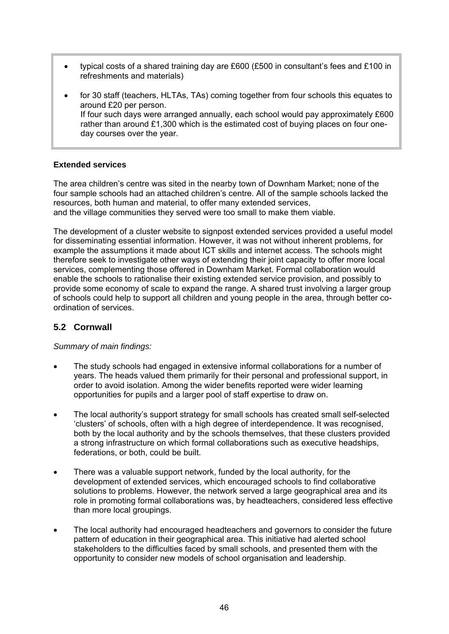- typical costs of a shared training day are £600 (£500 in consultant's fees and £100 in refreshments and materials)
- for 30 staff (teachers, HLTAs, TAs) coming together from four schools this equates to around £20 per person. If four such days were arranged annually, each school would pay approximately £600 rather than around  $£1,300$  which is the estimated cost of buying places on four oneday courses over the year.

#### **Extended services**

The area children's centre was sited in the nearby town of Downham Market; none of the four sample schools had an attached children's centre. All of the sample schools lacked the resources, both human and material, to offer many extended services, and the village communities they served were too small to make them viable.

The development of a cluster website to signpost extended services provided a useful model for disseminating essential information. However, it was not without inherent problems, for example the assumptions it made about ICT skills and internet access. The schools might therefore seek to investigate other ways of extending their joint capacity to offer more local services, complementing those offered in Downham Market. Formal collaboration would enable the schools to rationalise their existing extended service provision, and possibly to provide some economy of scale to expand the range. A shared trust involving a larger group of schools could help to support all children and young people in the area, through better coordination of services.

# **5.2 Cornwall**

*Summary of main findings:* 

- The study schools had engaged in extensive informal collaborations for a number of years. The heads valued them primarily for their personal and professional support, in order to avoid isolation. Among the wider benefits reported were wider learning opportunities for pupils and a larger pool of staff expertise to draw on.
- The local authority's support strategy for small schools has created small self-selected 'clusters' of schools, often with a high degree of interdependence. It was recognised, both by the local authority and by the schools themselves, that these clusters provided a strong infrastructure on which formal collaborations such as executive headships, federations, or both, could be built.
- There was a valuable support network, funded by the local authority, for the development of extended services, which encouraged schools to find collaborative solutions to problems. However, the network served a large geographical area and its role in promoting formal collaborations was, by headteachers, considered less effective than more local groupings.
- The local authority had encouraged headteachers and governors to consider the future pattern of education in their geographical area. This initiative had alerted school stakeholders to the difficulties faced by small schools, and presented them with the opportunity to consider new models of school organisation and leadership.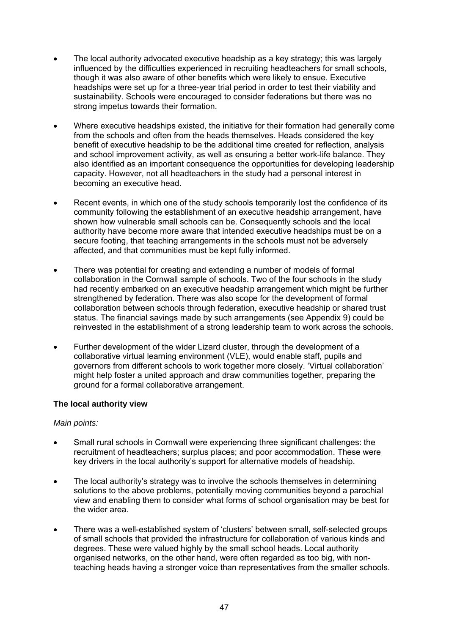- The local authority advocated executive headship as a key strategy; this was largely influenced by the difficulties experienced in recruiting headteachers for small schools, though it was also aware of other benefits which were likely to ensue. Executive headships were set up for a three-year trial period in order to test their viability and sustainability. Schools were encouraged to consider federations but there was no strong impetus towards their formation.
- Where executive headships existed, the initiative for their formation had generally come from the schools and often from the heads themselves. Heads considered the key benefit of executive headship to be the additional time created for reflection, analysis and school improvement activity, as well as ensuring a better work-life balance. They also identified as an important consequence the opportunities for developing leadership capacity. However, not all headteachers in the study had a personal interest in becoming an executive head.
- Recent events, in which one of the study schools temporarily lost the confidence of its community following the establishment of an executive headship arrangement, have shown how vulnerable small schools can be. Consequently schools and the local authority have become more aware that intended executive headships must be on a secure footing, that teaching arrangements in the schools must not be adversely affected, and that communities must be kept fully informed.
- There was potential for creating and extending a number of models of formal collaboration in the Cornwall sample of schools. Two of the four schools in the study had recently embarked on an executive headship arrangement which might be further strengthened by federation. There was also scope for the development of formal collaboration between schools through federation, executive headship or shared trust status. The financial savings made by such arrangements (see Appendix 9) could be reinvested in the establishment of a strong leadership team to work across the schools.
- Further development of the wider Lizard cluster, through the development of a collaborative virtual learning environment (VLE), would enable staff, pupils and governors from different schools to work together more closely. 'Virtual collaboration' might help foster a united approach and draw communities together, preparing the ground for a formal collaborative arrangement.

#### **The local authority view**

#### *Main points:*

- Small rural schools in Cornwall were experiencing three significant challenges: the recruitment of headteachers; surplus places; and poor accommodation. These were key drivers in the local authority's support for alternative models of headship.
- The local authority's strategy was to involve the schools themselves in determining solutions to the above problems, potentially moving communities beyond a parochial view and enabling them to consider what forms of school organisation may be best for the wider area.
- There was a well-established system of 'clusters' between small, self-selected groups of small schools that provided the infrastructure for collaboration of various kinds and degrees. These were valued highly by the small school heads. Local authority organised networks, on the other hand, were often regarded as too big, with nonteaching heads having a stronger voice than representatives from the smaller schools.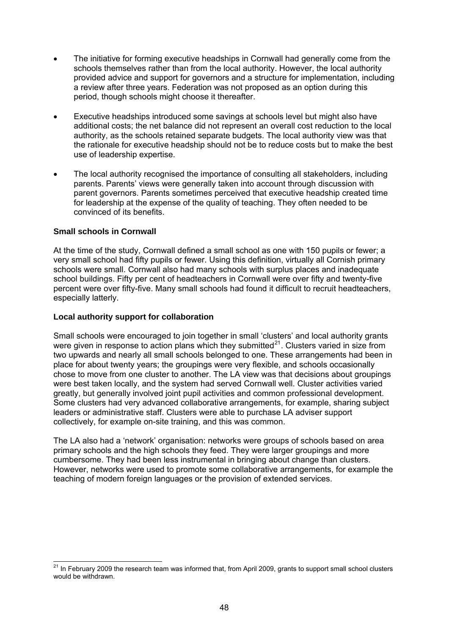- The initiative for forming executive headships in Cornwall had generally come from the schools themselves rather than from the local authority. However, the local authority provided advice and support for governors and a structure for implementation, including a review after three years. Federation was not proposed as an option during this period, though schools might choose it thereafter.
- Executive headships introduced some savings at schools level but might also have additional costs; the net balance did not represent an overall cost reduction to the local authority, as the schools retained separate budgets. The local authority view was that the rationale for executive headship should not be to reduce costs but to make the best use of leadership expertise.
- The local authority recognised the importance of consulting all stakeholders, including parents. Parents' views were generally taken into account through discussion with parent governors. Parents sometimes perceived that executive headship created time for leadership at the expense of the quality of teaching. They often needed to be convinced of its benefits.

#### **Small schools in Cornwall**

1

At the time of the study, Cornwall defined a small school as one with 150 pupils or fewer; a very small school had fifty pupils or fewer. Using this definition, virtually all Cornish primary schools were small. Cornwall also had many schools with surplus places and inadequate school buildings. Fifty per cent of headteachers in Cornwall were over fifty and twenty-five percent were over fifty-five. Many small schools had found it difficult to recruit headteachers, especially latterly.

#### **Local authority support for collaboration**

Small schools were encouraged to join together in small 'clusters' and local authority grants were given in response to action plans which they submitted $^{21}$  $^{21}$  $^{21}$ . Clusters varied in size from two upwards and nearly all small schools belonged to one. These arrangements had been in place for about twenty years; the groupings were very flexible, and schools occasionally chose to move from one cluster to another. The LA view was that decisions about groupings were best taken locally, and the system had served Cornwall well. Cluster activities varied greatly, but generally involved joint pupil activities and common professional development. Some clusters had very advanced collaborative arrangements, for example, sharing subject leaders or administrative staff. Clusters were able to purchase LA adviser support collectively, for example on-site training, and this was common.

The LA also had a 'network' organisation: networks were groups of schools based on area primary schools and the high schools they feed. They were larger groupings and more cumbersome. They had been less instrumental in bringing about change than clusters. However, networks were used to promote some collaborative arrangements, for example the teaching of modern foreign languages or the provision of extended services.

<span id="page-51-0"></span><sup>&</sup>lt;sup>21</sup> In February 2009 the research team was informed that, from April 2009, grants to support small school clusters would be withdrawn.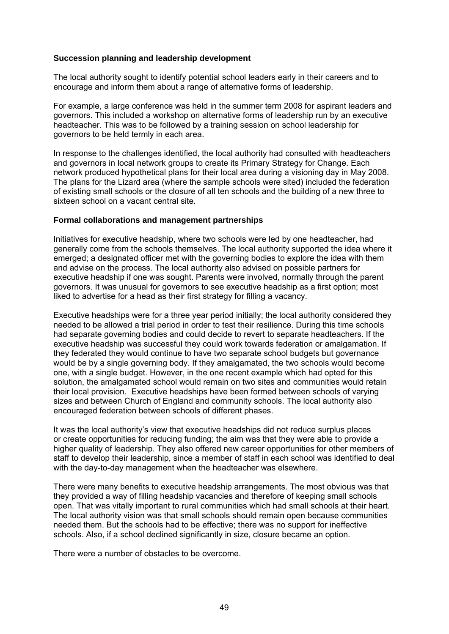#### **Succession planning and leadership development**

The local authority sought to identify potential school leaders early in their careers and to encourage and inform them about a range of alternative forms of leadership.

For example, a large conference was held in the summer term 2008 for aspirant leaders and governors. This included a workshop on alternative forms of leadership run by an executive headteacher. This was to be followed by a training session on school leadership for governors to be held termly in each area.

In response to the challenges identified, the local authority had consulted with headteachers and governors in local network groups to create its Primary Strategy for Change. Each network produced hypothetical plans for their local area during a visioning day in May 2008. The plans for the Lizard area (where the sample schools were sited) included the federation of existing small schools or the closure of all ten schools and the building of a new three to sixteen school on a vacant central site.

#### **Formal collaborations and management partnerships**

Initiatives for executive headship, where two schools were led by one headteacher, had generally come from the schools themselves. The local authority supported the idea where it emerged; a designated officer met with the governing bodies to explore the idea with them and advise on the process. The local authority also advised on possible partners for executive headship if one was sought. Parents were involved, normally through the parent governors. It was unusual for governors to see executive headship as a first option; most liked to advertise for a head as their first strategy for filling a vacancy.

Executive headships were for a three year period initially; the local authority considered they needed to be allowed a trial period in order to test their resilience. During this time schools had separate governing bodies and could decide to revert to separate headteachers. If the executive headship was successful they could work towards federation or amalgamation. If they federated they would continue to have two separate school budgets but governance would be by a single governing body. If they amalgamated, the two schools would become one, with a single budget. However, in the one recent example which had opted for this solution, the amalgamated school would remain on two sites and communities would retain their local provision. Executive headships have been formed between schools of varying sizes and between Church of England and community schools. The local authority also encouraged federation between schools of different phases.

It was the local authority's view that executive headships did not reduce surplus places or create opportunities for reducing funding; the aim was that they were able to provide a higher quality of leadership. They also offered new career opportunities for other members of staff to develop their leadership, since a member of staff in each school was identified to deal with the day-to-day management when the headteacher was elsewhere.

There were many benefits to executive headship arrangements. The most obvious was that they provided a way of filling headship vacancies and therefore of keeping small schools open. That was vitally important to rural communities which had small schools at their heart. The local authority vision was that small schools should remain open because communities needed them. But the schools had to be effective; there was no support for ineffective schools. Also, if a school declined significantly in size, closure became an option.

There were a number of obstacles to be overcome.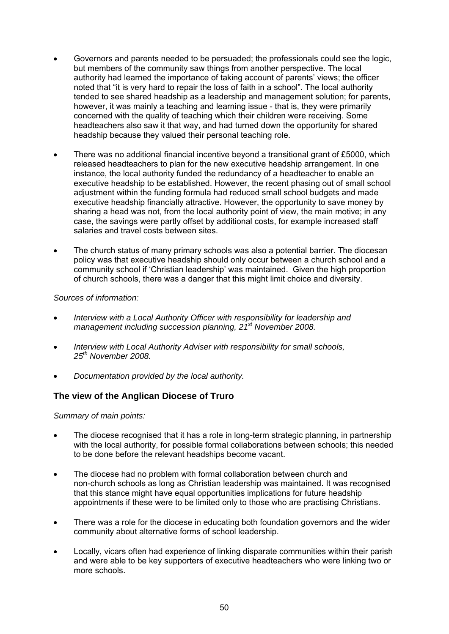- Governors and parents needed to be persuaded; the professionals could see the logic, but members of the community saw things from another perspective. The local authority had learned the importance of taking account of parents' views; the officer noted that "it is very hard to repair the loss of faith in a school". The local authority tended to see shared headship as a leadership and management solution; for parents, however, it was mainly a teaching and learning issue - that is, they were primarily concerned with the quality of teaching which their children were receiving. Some headteachers also saw it that way, and had turned down the opportunity for shared headship because they valued their personal teaching role.
- There was no additional financial incentive beyond a transitional grant of £5000, which released headteachers to plan for the new executive headship arrangement. In one instance, the local authority funded the redundancy of a headteacher to enable an executive headship to be established. However, the recent phasing out of small school adjustment within the funding formula had reduced small school budgets and made executive headship financially attractive. However, the opportunity to save money by sharing a head was not, from the local authority point of view, the main motive; in any case, the savings were partly offset by additional costs, for example increased staff salaries and travel costs between sites.
- The church status of many primary schools was also a potential barrier. The diocesan policy was that executive headship should only occur between a church school and a community school if 'Christian leadership' was maintained. Given the high proportion of church schools, there was a danger that this might limit choice and diversity.

#### *Sources of information:*

- *Interview with a Local Authority Officer with responsibility for leadership and management including succession planning, 21st November 2008.*
- *Interview with Local Authority Adviser with responsibility for small schools, 25th November 2008.*
- *Documentation provided by the local authority.*

# **The view of the Anglican Diocese of Truro**

*Summary of main points:* 

- The diocese recognised that it has a role in long-term strategic planning, in partnership with the local authority, for possible formal collaborations between schools; this needed to be done before the relevant headships become vacant.
- The diocese had no problem with formal collaboration between church and non-church schools as long as Christian leadership was maintained. It was recognised that this stance might have equal opportunities implications for future headship appointments if these were to be limited only to those who are practising Christians.
- There was a role for the diocese in educating both foundation governors and the wider community about alternative forms of school leadership.
- Locally, vicars often had experience of linking disparate communities within their parish and were able to be key supporters of executive headteachers who were linking two or more schools.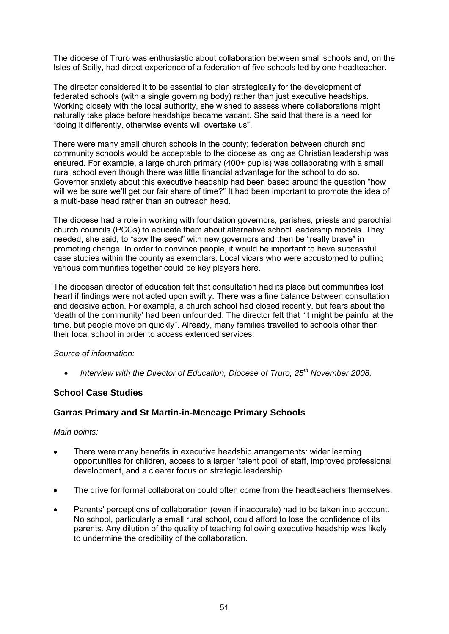The diocese of Truro was enthusiastic about collaboration between small schools and, on the Isles of Scilly, had direct experience of a federation of five schools led by one headteacher.

The director considered it to be essential to plan strategically for the development of federated schools (with a single governing body) rather than just executive headships. Working closely with the local authority, she wished to assess where collaborations might naturally take place before headships became vacant. She said that there is a need for "doing it differently, otherwise events will overtake us".

There were many small church schools in the county; federation between church and community schools would be acceptable to the diocese as long as Christian leadership was ensured. For example, a large church primary (400+ pupils) was collaborating with a small rural school even though there was little financial advantage for the school to do so. Governor anxiety about this executive headship had been based around the question "how will we be sure we'll get our fair share of time?" It had been important to promote the idea of a multi-base head rather than an outreach head.

The diocese had a role in working with foundation governors, parishes, priests and parochial church councils (PCCs) to educate them about alternative school leadership models. They needed, she said, to "sow the seed" with new governors and then be "really brave" in promoting change. In order to convince people, it would be important to have successful case studies within the county as exemplars. Local vicars who were accustomed to pulling various communities together could be key players here.

The diocesan director of education felt that consultation had its place but communities lost heart if findings were not acted upon swiftly. There was a fine balance between consultation and decisive action. For example, a church school had closed recently, but fears about the 'death of the community' had been unfounded. The director felt that "it might be painful at the time, but people move on quickly". Already, many families travelled to schools other than their local school in order to access extended services.

#### *Source of information:*

• *Interview with the Director of Education, Diocese of Truro, 25th November 2008.* 

#### **School Case Studies**

# **Garras Primary and St Martin-in-Meneage Primary Schools**

#### *Main points:*

- There were many benefits in executive headship arrangements: wider learning opportunities for children, access to a larger 'talent pool' of staff, improved professional development, and a clearer focus on strategic leadership.
- The drive for formal collaboration could often come from the headteachers themselves.
- Parents' perceptions of collaboration (even if inaccurate) had to be taken into account. No school, particularly a small rural school, could afford to lose the confidence of its parents. Any dilution of the quality of teaching following executive headship was likely to undermine the credibility of the collaboration.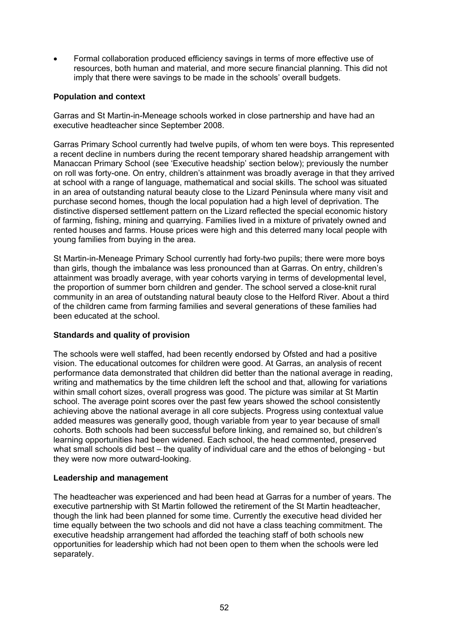• Formal collaboration produced efficiency savings in terms of more effective use of resources, both human and material, and more secure financial planning. This did not imply that there were savings to be made in the schools' overall budgets.

#### **Population and context**

Garras and St Martin-in-Meneage schools worked in close partnership and have had an executive headteacher since September 2008.

Garras Primary School currently had twelve pupils, of whom ten were boys. This represented a recent decline in numbers during the recent temporary shared headship arrangement with Manaccan Primary School (see 'Executive headship' section below); previously the number on roll was forty-one. On entry, children's attainment was broadly average in that they arrived at school with a range of language, mathematical and social skills. The school was situated in an area of outstanding natural beauty close to the Lizard Peninsula where many visit and purchase second homes, though the local population had a high level of deprivation. The distinctive dispersed settlement pattern on the Lizard reflected the special economic history of farming, fishing, mining and quarrying. Families lived in a mixture of privately owned and rented houses and farms. House prices were high and this deterred many local people with young families from buying in the area.

St Martin-in-Meneage Primary School currently had forty-two pupils; there were more boys than girls, though the imbalance was less pronounced than at Garras. On entry, children's attainment was broadly average, with year cohorts varying in terms of developmental level, the proportion of summer born children and gender. The school served a close-knit rural community in an area of outstanding natural beauty close to the Helford River. About a third of the children came from farming families and several generations of these families had been educated at the school.

#### **Standards and quality of provision**

The schools were well staffed, had been recently endorsed by Ofsted and had a positive vision. The educational outcomes for children were good. At Garras, an analysis of recent performance data demonstrated that children did better than the national average in reading, writing and mathematics by the time children left the school and that, allowing for variations within small cohort sizes, overall progress was good. The picture was similar at St Martin school. The average point scores over the past few years showed the school consistently achieving above the national average in all core subjects. Progress using contextual value added measures was generally good, though variable from year to year because of small cohorts. Both schools had been successful before linking, and remained so, but children's learning opportunities had been widened. Each school, the head commented, preserved what small schools did best – the quality of individual care and the ethos of belonging - but they were now more outward-looking.

#### **Leadership and management**

The headteacher was experienced and had been head at Garras for a number of years. The executive partnership with St Martin followed the retirement of the St Martin headteacher, though the link had been planned for some time. Currently the executive head divided her time equally between the two schools and did not have a class teaching commitment. The executive headship arrangement had afforded the teaching staff of both schools new opportunities for leadership which had not been open to them when the schools were led separately.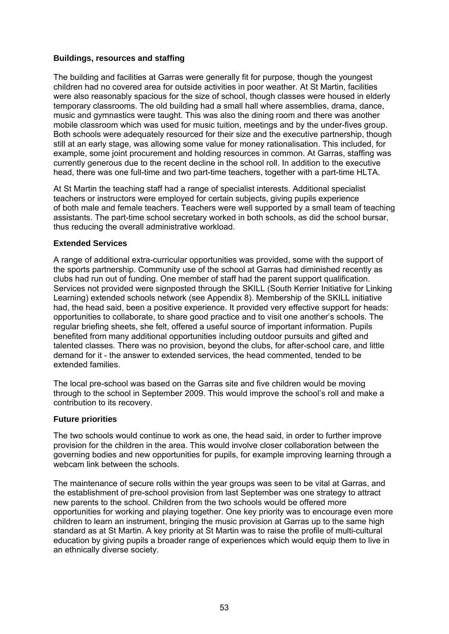#### **Buildings, resources and staffing**

The building and facilities at Garras were generally fit for purpose, though the youngest children had no covered area for outside activities in poor weather. At St Martin, facilities were also reasonably spacious for the size of school, though classes were housed in elderly temporary classrooms. The old building had a small hall where assemblies, drama, dance, music and gymnastics were taught. This was also the dining room and there was another mobile classroom which was used for music tuition, meetings and by the under-fives group. Both schools were adequately resourced for their size and the executive partnership, though still at an early stage, was allowing some value for money rationalisation. This included, for example, some joint procurement and holding resources in common. At Garras, staffing was currently generous due to the recent decline in the school roll. In addition to the executive head, there was one full-time and two part-time teachers, together with a part-time HLTA.

At St Martin the teaching staff had a range of specialist interests. Additional specialist teachers or instructors were employed for certain subjects, giving pupils experience of both male and female teachers. Teachers were well supported by a small team of teaching assistants. The part-time school secretary worked in both schools, as did the school bursar, thus reducing the overall administrative workload.

#### **Extended Services**

A range of additional extra-curricular opportunities was provided, some with the support of the sports partnership. Community use of the school at Garras had diminished recently as clubs had run out of funding. One member of staff had the parent support qualification. Services not provided were signposted through the SKILL (South Kerrier Initiative for Linking Learning) extended schools network (see Appendix 8). Membership of the SKILL initiative had, the head said, been a positive experience. It provided very effective support for heads: opportunities to collaborate, to share good practice and to visit one another's schools. The regular briefing sheets, she felt, offered a useful source of important information. Pupils benefited from many additional opportunities including outdoor pursuits and gifted and talented classes. There was no provision, beyond the clubs, for after-school care, and little demand for it - the answer to extended services, the head commented, tended to be extended families.

The local pre-school was based on the Garras site and five children would be moving through to the school in September 2009. This would improve the school's roll and make a contribution to its recovery.

#### **Future priorities**

The two schools would continue to work as one, the head said, in order to further improve provision for the children in the area. This would involve closer collaboration between the governing bodies and new opportunities for pupils, for example improving learning through a webcam link between the schools.

The maintenance of secure rolls within the year groups was seen to be vital at Garras, and the establishment of pre-school provision from last September was one strategy to attract new parents to the school. Children from the two schools would be offered more opportunities for working and playing together. One key priority was to encourage even more children to learn an instrument, bringing the music provision at Garras up to the same high standard as at St Martin. A key priority at St Martin was to raise the profile of multi-cultural education by giving pupils a broader range of experiences which would equip them to live in an ethnically diverse society.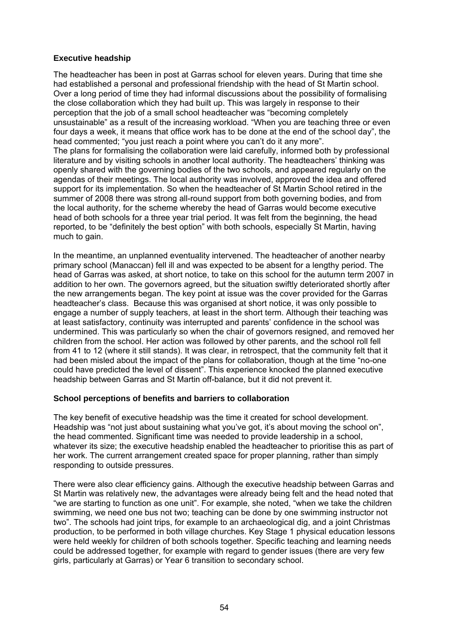## **Executive headship**

The headteacher has been in post at Garras school for eleven years. During that time she had established a personal and professional friendship with the head of St Martin school. Over a long period of time they had informal discussions about the possibility of formalising the close collaboration which they had built up. This was largely in response to their perception that the job of a small school headteacher was "becoming completely unsustainable" as a result of the increasing workload. "When you are teaching three or even four days a week, it means that office work has to be done at the end of the school day", the head commented; "you just reach a point where you can't do it any more". The plans for formalising the collaboration were laid carefully, informed both by professional literature and by visiting schools in another local authority. The headteachers' thinking was openly shared with the governing bodies of the two schools, and appeared regularly on the agendas of their meetings. The local authority was involved, approved the idea and offered support for its implementation. So when the headteacher of St Martin School retired in the summer of 2008 there was strong all-round support from both governing bodies, and from the local authority, for the scheme whereby the head of Garras would become executive head of both schools for a three year trial period. It was felt from the beginning, the head reported, to be "definitely the best option" with both schools, especially St Martin, having much to gain.

In the meantime, an unplanned eventuality intervened. The headteacher of another nearby primary school (Manaccan) fell ill and was expected to be absent for a lengthy period. The head of Garras was asked, at short notice, to take on this school for the autumn term 2007 in addition to her own. The governors agreed, but the situation swiftly deteriorated shortly after the new arrangements began. The key point at issue was the cover provided for the Garras headteacher's class. Because this was organised at short notice, it was only possible to engage a number of supply teachers, at least in the short term. Although their teaching was at least satisfactory, continuity was interrupted and parents' confidence in the school was undermined. This was particularly so when the chair of governors resigned, and removed her children from the school. Her action was followed by other parents, and the school roll fell from 41 to 12 (where it still stands). It was clear, in retrospect, that the community felt that it had been misled about the impact of the plans for collaboration, though at the time "no-one could have predicted the level of dissent". This experience knocked the planned executive headship between Garras and St Martin off-balance, but it did not prevent it.

#### **School perceptions of benefits and barriers to collaboration**

The key benefit of executive headship was the time it created for school development. Headship was "not just about sustaining what you've got, it's about moving the school on". the head commented. Significant time was needed to provide leadership in a school, whatever its size; the executive headship enabled the headteacher to prioritise this as part of her work. The current arrangement created space for proper planning, rather than simply responding to outside pressures.

There were also clear efficiency gains. Although the executive headship between Garras and St Martin was relatively new, the advantages were already being felt and the head noted that "we are starting to function as one unit". For example, she noted, "when we take the children swimming, we need one bus not two; teaching can be done by one swimming instructor not two". The schools had joint trips, for example to an archaeological dig, and a joint Christmas production, to be performed in both village churches. Key Stage 1 physical education lessons were held weekly for children of both schools together. Specific teaching and learning needs could be addressed together, for example with regard to gender issues (there are very few girls, particularly at Garras) or Year 6 transition to secondary school.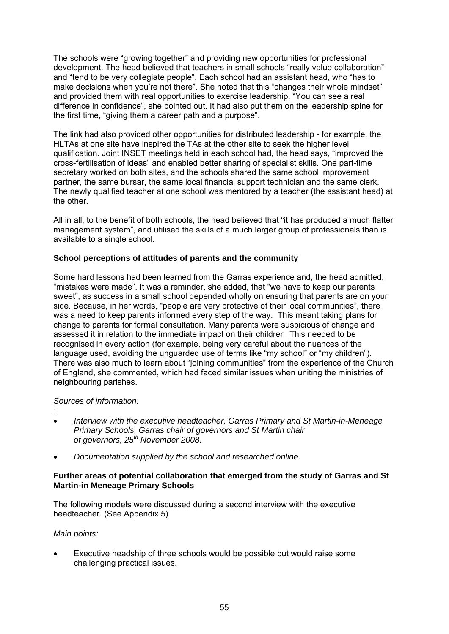The schools were "growing together" and providing new opportunities for professional development. The head believed that teachers in small schools "really value collaboration" and "tend to be very collegiate people". Each school had an assistant head, who "has to make decisions when you're not there". She noted that this "changes their whole mindset" and provided them with real opportunities to exercise leadership. "You can see a real difference in confidence", she pointed out. It had also put them on the leadership spine for the first time, "giving them a career path and a purpose".

The link had also provided other opportunities for distributed leadership - for example, the HLTAs at one site have inspired the TAs at the other site to seek the higher level qualification. Joint INSET meetings held in each school had, the head says, "improved the cross-fertilisation of ideas" and enabled better sharing of specialist skills. One part-time secretary worked on both sites, and the schools shared the same school improvement partner, the same bursar, the same local financial support technician and the same clerk. The newly qualified teacher at one school was mentored by a teacher (the assistant head) at the other.

All in all, to the benefit of both schools, the head believed that "it has produced a much flatter management system", and utilised the skills of a much larger group of professionals than is available to a single school.

#### **School perceptions of attitudes of parents and the community**

Some hard lessons had been learned from the Garras experience and, the head admitted, "mistakes were made". It was a reminder, she added, that "we have to keep our parents sweet", as success in a small school depended wholly on ensuring that parents are on your side. Because, in her words, "people are very protective of their local communities", there was a need to keep parents informed every step of the way. This meant taking plans for change to parents for formal consultation. Many parents were suspicious of change and assessed it in relation to the immediate impact on their children. This needed to be recognised in every action (for example, being very careful about the nuances of the language used, avoiding the unguarded use of terms like "my school" or "my children"). There was also much to learn about "joining communities" from the experience of the Church of England, she commented, which had faced similar issues when uniting the ministries of neighbouring parishes.

#### *Sources of information:*

*:*

- 
- *Interview with the executive headteacher, Garras Primary and St Martin-in-Meneage Primary Schools, Garras chair of governors and St Martin chair of governors, 25th November 2008.*
- *Documentation supplied by the school and researched online.*

#### **Further areas of potential collaboration that emerged from the study of Garras and St Martin-in Meneage Primary Schools**

The following models were discussed during a second interview with the executive headteacher. (See Appendix 5)

#### *Main points:*

• Executive headship of three schools would be possible but would raise some challenging practical issues.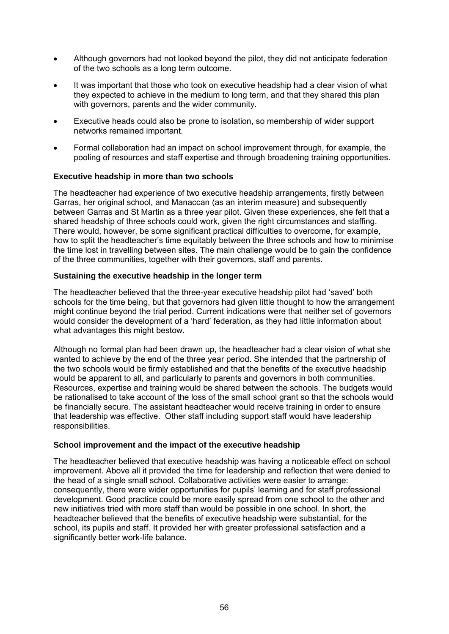- Although governors had not looked beyond the pilot, they did not anticipate federation of the two schools as a long term outcome.
- It was important that those who took on executive headship had a clear vision of what they expected to achieve in the medium to long term, and that they shared this plan with governors, parents and the wider community.
- Executive heads could also be prone to isolation, so membership of wider support networks remained important.
- Formal collaboration had an impact on school improvement through, for example, the pooling of resources and staff expertise and through broadening training opportunities.

#### **Executive headship in more than two schools**

The headteacher had experience of two executive headship arrangements, firstly between Garras, her original school, and Manaccan (as an interim measure) and subsequently between Garras and St Martin as a three year pilot. Given these experiences, she felt that a shared headship of three schools could work, given the right circumstances and staffing. There would, however, be some significant practical difficulties to overcome, for example, how to split the headteacher's time equitably between the three schools and how to minimise the time lost in travelling between sites. The main challenge would be to gain the confidence of the three communities, together with their governors, staff and parents.

#### **Sustaining the executive headship in the longer term**

The headteacher believed that the three-year executive headship pilot had 'saved' both schools for the time being, but that governors had given little thought to how the arrangement might continue beyond the trial period. Current indications were that neither set of governors would consider the development of a 'hard' federation, as they had little information about what advantages this might bestow.

Although no formal plan had been drawn up, the headteacher had a clear vision of what she wanted to achieve by the end of the three year period. She intended that the partnership of the two schools would be firmly established and that the benefits of the executive headship would be apparent to all, and particularly to parents and governors in both communities. Resources, expertise and training would be shared between the schools. The budgets would be rationalised to take account of the loss of the small school grant so that the schools would be financially secure. The assistant headteacher would receive training in order to ensure that leadership was effective. Other staff including support staff would have leadership responsibilities.

#### **School improvement and the impact of the executive headship**

The headteacher believed that executive headship was having a noticeable effect on school improvement. Above all it provided the time for leadership and reflection that were denied to the head of a single small school. Collaborative activities were easier to arrange: consequently, there were wider opportunities for pupils' learning and for staff professional development. Good practice could be more easily spread from one school to the other and new initiatives tried with more staff than would be possible in one school. In short, the headteacher believed that the benefits of executive headship were substantial, for the school, its pupils and staff. It provided her with greater professional satisfaction and a significantly better work-life balance.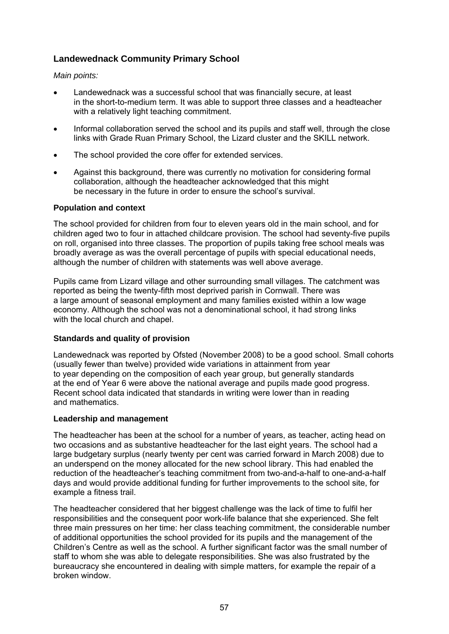# **Landewednack Community Primary School**

#### *Main points:*

- Landewednack was a successful school that was financially secure, at least in the short-to-medium term. It was able to support three classes and a headteacher with a relatively light teaching commitment.
- Informal collaboration served the school and its pupils and staff well, through the close links with Grade Ruan Primary School, the Lizard cluster and the SKILL network.
- The school provided the core offer for extended services.
- Against this background, there was currently no motivation for considering formal collaboration, although the headteacher acknowledged that this might be necessary in the future in order to ensure the school's survival.

## **Population and context**

The school provided for children from four to eleven years old in the main school, and for children aged two to four in attached childcare provision. The school had seventy-five pupils on roll, organised into three classes. The proportion of pupils taking free school meals was broadly average as was the overall percentage of pupils with special educational needs, although the number of children with statements was well above average.

Pupils came from Lizard village and other surrounding small villages. The catchment was reported as being the twenty-fifth most deprived parish in Cornwall. There was a large amount of seasonal employment and many families existed within a low wage economy. Although the school was not a denominational school, it had strong links with the local church and chapel.

# **Standards and quality of provision**

Landewednack was reported by Ofsted (November 2008) to be a good school. Small cohorts (usually fewer than twelve) provided wide variations in attainment from year to year depending on the composition of each year group, but generally standards at the end of Year 6 were above the national average and pupils made good progress. Recent school data indicated that standards in writing were lower than in reading and mathematics.

# **Leadership and management**

The headteacher has been at the school for a number of years, as teacher, acting head on two occasions and as substantive headteacher for the last eight years. The school had a large budgetary surplus (nearly twenty per cent was carried forward in March 2008) due to an underspend on the money allocated for the new school library. This had enabled the reduction of the headteacher's teaching commitment from two-and-a-half to one-and-a-half days and would provide additional funding for further improvements to the school site, for example a fitness trail.

The headteacher considered that her biggest challenge was the lack of time to fulfil her responsibilities and the consequent poor work-life balance that she experienced. She felt three main pressures on her time: her class teaching commitment, the considerable number of additional opportunities the school provided for its pupils and the management of the Children's Centre as well as the school. A further significant factor was the small number of staff to whom she was able to delegate responsibilities. She was also frustrated by the bureaucracy she encountered in dealing with simple matters, for example the repair of a broken window.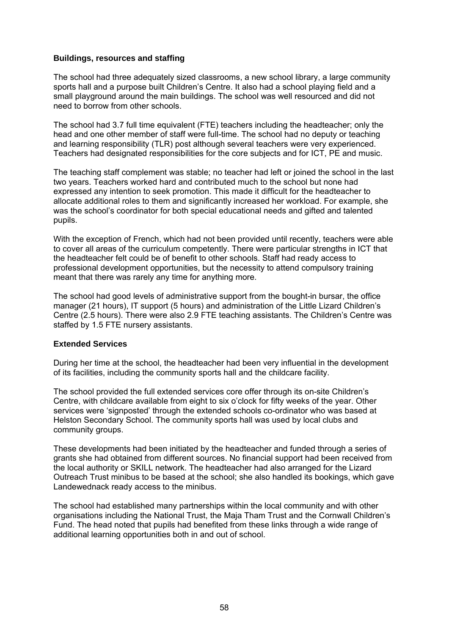#### **Buildings, resources and staffing**

The school had three adequately sized classrooms, a new school library, a large community sports hall and a purpose built Children's Centre. It also had a school playing field and a small playground around the main buildings. The school was well resourced and did not need to borrow from other schools.

The school had 3.7 full time equivalent (FTE) teachers including the headteacher; only the head and one other member of staff were full-time. The school had no deputy or teaching and learning responsibility (TLR) post although several teachers were very experienced. Teachers had designated responsibilities for the core subjects and for ICT, PE and music.

The teaching staff complement was stable; no teacher had left or joined the school in the last two years. Teachers worked hard and contributed much to the school but none had expressed any intention to seek promotion. This made it difficult for the headteacher to allocate additional roles to them and significantly increased her workload. For example, she was the school's coordinator for both special educational needs and gifted and talented pupils.

With the exception of French, which had not been provided until recently, teachers were able to cover all areas of the curriculum competently. There were particular strengths in ICT that the headteacher felt could be of benefit to other schools. Staff had ready access to professional development opportunities, but the necessity to attend compulsory training meant that there was rarely any time for anything more.

The school had good levels of administrative support from the bought-in bursar, the office manager (21 hours), IT support (5 hours) and administration of the Little Lizard Children's Centre (2.5 hours). There were also 2.9 FTE teaching assistants. The Children's Centre was staffed by 1.5 FTE nursery assistants.

#### **Extended Services**

During her time at the school, the headteacher had been very influential in the development of its facilities, including the community sports hall and the childcare facility.

The school provided the full extended services core offer through its on-site Children's Centre, with childcare available from eight to six o'clock for fifty weeks of the year. Other services were 'signposted' through the extended schools co-ordinator who was based at Helston Secondary School. The community sports hall was used by local clubs and community groups.

These developments had been initiated by the headteacher and funded through a series of grants she had obtained from different sources. No financial support had been received from the local authority or SKILL network. The headteacher had also arranged for the Lizard Outreach Trust minibus to be based at the school; she also handled its bookings, which gave Landewednack ready access to the minibus.

The school had established many partnerships within the local community and with other organisations including the National Trust, the Maja Tham Trust and the Cornwall Children's Fund. The head noted that pupils had benefited from these links through a wide range of additional learning opportunities both in and out of school.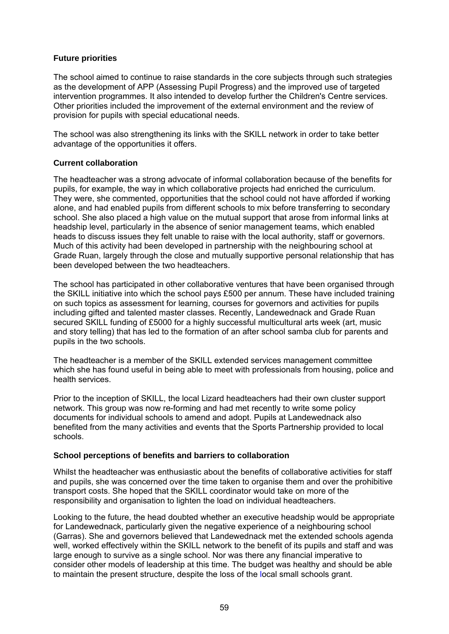## **Future priorities**

The school aimed to continue to raise standards in the core subjects through such strategies as the development of APP (Assessing Pupil Progress) and the improved use of targeted intervention programmes. It also intended to develop further the Children's Centre services. Other priorities included the improvement of the external environment and the review of provision for pupils with special educational needs.

The school was also strengthening its links with the SKILL network in order to take better advantage of the opportunities it offers.

#### **Current collaboration**

The headteacher was a strong advocate of informal collaboration because of the benefits for pupils, for example, the way in which collaborative projects had enriched the curriculum. They were, she commented, opportunities that the school could not have afforded if working alone, and had enabled pupils from different schools to mix before transferring to secondary school. She also placed a high value on the mutual support that arose from informal links at headship level, particularly in the absence of senior management teams, which enabled heads to discuss issues they felt unable to raise with the local authority, staff or governors. Much of this activity had been developed in partnership with the neighbouring school at Grade Ruan, largely through the close and mutually supportive personal relationship that has been developed between the two headteachers.

The school has participated in other collaborative ventures that have been organised through the SKILL initiative into which the school pays £500 per annum. These have included training on such topics as assessment for learning, courses for governors and activities for pupils including gifted and talented master classes. Recently, Landewednack and Grade Ruan secured SKILL funding of £5000 for a highly successful multicultural arts week (art, music and story telling) that has led to the formation of an after school samba club for parents and pupils in the two schools.

The headteacher is a member of the SKILL extended services management committee which she has found useful in being able to meet with professionals from housing, police and health services.

Prior to the inception of SKILL, the local Lizard headteachers had their own cluster support network. This group was now re-forming and had met recently to write some policy documents for individual schools to amend and adopt. Pupils at Landewednack also benefited from the many activities and events that the Sports Partnership provided to local schools.

#### **School perceptions of benefits and barriers to collaboration**

Whilst the headteacher was enthusiastic about the benefits of collaborative activities for staff and pupils, she was concerned over the time taken to organise them and over the prohibitive transport costs. She hoped that the SKILL coordinator would take on more of the responsibility and organisation to lighten the load on individual headteachers.

Looking to the future, the head doubted whether an executive headship would be appropriate for Landewednack, particularly given the negative experience of a neighbouring school (Garras). She and governors believed that Landewednack met the extended schools agenda well, worked effectively within the SKILL network to the benefit of its pupils and staff and was large enough to survive as a single school. Nor was there any financial imperative to consider other models of leadership at this time. The budget was healthy and should be able to maintain the present structure, despite the loss of the local small schools grant.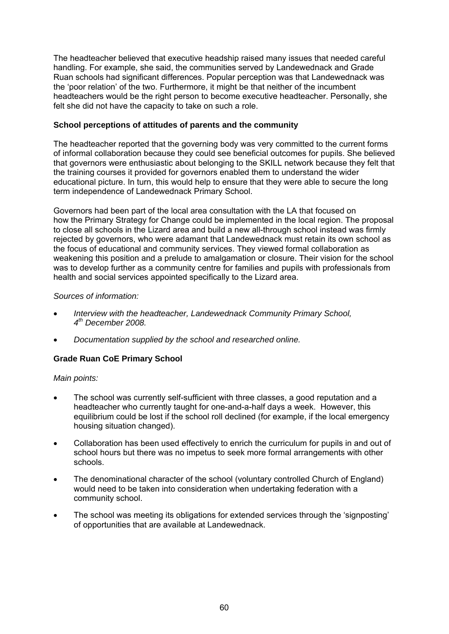The headteacher believed that executive headship raised many issues that needed careful handling. For example, she said, the communities served by Landewednack and Grade Ruan schools had significant differences. Popular perception was that Landewednack was the 'poor relation' of the two. Furthermore, it might be that neither of the incumbent headteachers would be the right person to become executive headteacher. Personally, she felt she did not have the capacity to take on such a role.

## **School perceptions of attitudes of parents and the community**

The headteacher reported that the governing body was very committed to the current forms of informal collaboration because they could see beneficial outcomes for pupils. She believed that governors were enthusiastic about belonging to the SKILL network because they felt that the training courses it provided for governors enabled them to understand the wider educational picture. In turn, this would help to ensure that they were able to secure the long term independence of Landewednack Primary School.

Governors had been part of the local area consultation with the LA that focused on how the Primary Strategy for Change could be implemented in the local region. The proposal to close all schools in the Lizard area and build a new all-through school instead was firmly rejected by governors, who were adamant that Landewednack must retain its own school as the focus of educational and community services. They viewed formal collaboration as weakening this position and a prelude to amalgamation or closure. Their vision for the school was to develop further as a community centre for families and pupils with professionals from health and social services appointed specifically to the Lizard area.

#### *Sources of information:*

- *Interview with the headteacher, Landewednack Community Primary School, 4th December 2008.*
- *Documentation supplied by the school and researched online.*

# **Grade Ruan CoE Primary School**

#### *Main points:*

- The school was currently self-sufficient with three classes, a good reputation and a headteacher who currently taught for one-and-a-half days a week. However, this equilibrium could be lost if the school roll declined (for example, if the local emergency housing situation changed).
- Collaboration has been used effectively to enrich the curriculum for pupils in and out of school hours but there was no impetus to seek more formal arrangements with other schools.
- The denominational character of the school (voluntary controlled Church of England) would need to be taken into consideration when undertaking federation with a community school.
- The school was meeting its obligations for extended services through the 'signposting' of opportunities that are available at Landewednack.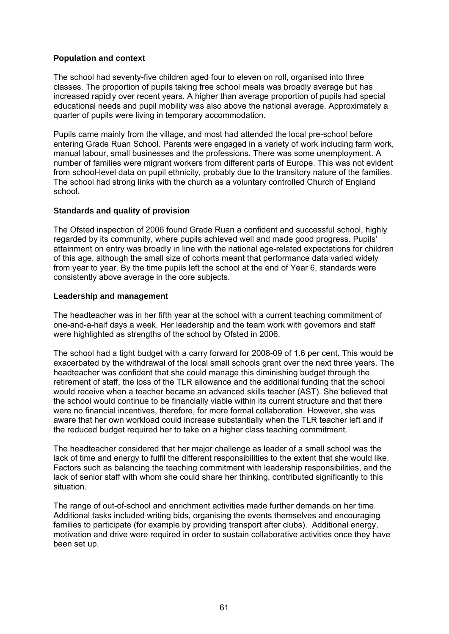#### **Population and context**

The school had seventy-five children aged four to eleven on roll, organised into three classes. The proportion of pupils taking free school meals was broadly average but has increased rapidly over recent years. A higher than average proportion of pupils had special educational needs and pupil mobility was also above the national average. Approximately a quarter of pupils were living in temporary accommodation.

Pupils came mainly from the village, and most had attended the local pre-school before entering Grade Ruan School. Parents were engaged in a variety of work including farm work, manual labour, small businesses and the professions. There was some unemployment. A number of families were migrant workers from different parts of Europe. This was not evident from school-level data on pupil ethnicity, probably due to the transitory nature of the families. The school had strong links with the church as a voluntary controlled Church of England school.

#### **Standards and quality of provision**

The Ofsted inspection of 2006 found Grade Ruan a confident and successful school, highly regarded by its community, where pupils achieved well and made good progress. Pupils' attainment on entry was broadly in line with the national age-related expectations for children of this age, although the small size of cohorts meant that performance data varied widely from year to year. By the time pupils left the school at the end of Year 6, standards were consistently above average in the core subjects.

#### **Leadership and management**

The headteacher was in her fifth year at the school with a current teaching commitment of one-and-a-half days a week. Her leadership and the team work with governors and staff were highlighted as strengths of the school by Ofsted in 2006.

The school had a tight budget with a carry forward for 2008-09 of 1.6 per cent. This would be exacerbated by the withdrawal of the local small schools grant over the next three years. The headteacher was confident that she could manage this diminishing budget through the retirement of staff, the loss of the TLR allowance and the additional funding that the school would receive when a teacher became an advanced skills teacher (AST). She believed that the school would continue to be financially viable within its current structure and that there were no financial incentives, therefore, for more formal collaboration. However, she was aware that her own workload could increase substantially when the TLR teacher left and if the reduced budget required her to take on a higher class teaching commitment.

The headteacher considered that her major challenge as leader of a small school was the lack of time and energy to fulfil the different responsibilities to the extent that she would like. Factors such as balancing the teaching commitment with leadership responsibilities, and the lack of senior staff with whom she could share her thinking, contributed significantly to this situation.

The range of out-of-school and enrichment activities made further demands on her time. Additional tasks included writing bids, organising the events themselves and encouraging families to participate (for example by providing transport after clubs). Additional energy, motivation and drive were required in order to sustain collaborative activities once they have been set up.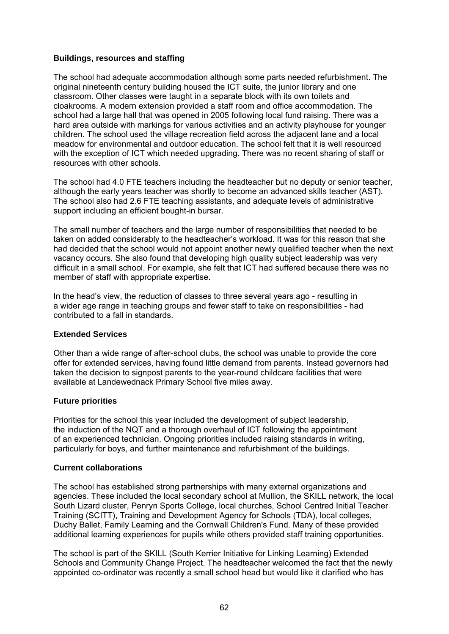#### **Buildings, resources and staffing**

The school had adequate accommodation although some parts needed refurbishment. The original nineteenth century building housed the ICT suite, the junior library and one classroom. Other classes were taught in a separate block with its own toilets and cloakrooms. A modern extension provided a staff room and office accommodation. The school had a large hall that was opened in 2005 following local fund raising. There was a hard area outside with markings for various activities and an activity playhouse for younger children. The school used the village recreation field across the adjacent lane and a local meadow for environmental and outdoor education. The school felt that it is well resourced with the exception of ICT which needed upgrading. There was no recent sharing of staff or resources with other schools.

The school had 4.0 FTE teachers including the headteacher but no deputy or senior teacher, although the early years teacher was shortly to become an advanced skills teacher (AST). The school also had 2.6 FTE teaching assistants, and adequate levels of administrative support including an efficient bought-in bursar.

The small number of teachers and the large number of responsibilities that needed to be taken on added considerably to the headteacher's workload. It was for this reason that she had decided that the school would not appoint another newly qualified teacher when the next vacancy occurs. She also found that developing high quality subject leadership was very difficult in a small school. For example, she felt that ICT had suffered because there was no member of staff with appropriate expertise.

In the head's view, the reduction of classes to three several years ago - resulting in a wider age range in teaching groups and fewer staff to take on responsibilities - had contributed to a fall in standards.

#### **Extended Services**

Other than a wide range of after-school clubs, the school was unable to provide the core offer for extended services, having found little demand from parents. Instead governors had taken the decision to signpost parents to the year-round childcare facilities that were available at Landewednack Primary School five miles away.

#### **Future priorities**

Priorities for the school this year included the development of subject leadership, the induction of the NQT and a thorough overhaul of ICT following the appointment of an experienced technician. Ongoing priorities included raising standards in writing, particularly for boys, and further maintenance and refurbishment of the buildings.

#### **Current collaborations**

The school has established strong partnerships with many external organizations and agencies. These included the local secondary school at Mullion, the SKILL network, the local South Lizard cluster, Penryn Sports College, local churches, School Centred Initial Teacher Training (SCITT), Training and Development Agency for Schools (TDA), local colleges, Duchy Ballet, Family Learning and the Cornwall Children's Fund. Many of these provided additional learning experiences for pupils while others provided staff training opportunities.

The school is part of the SKILL (South Kerrier Initiative for Linking Learning) Extended Schools and Community Change Project. The headteacher welcomed the fact that the newly appointed co-ordinator was recently a small school head but would like it clarified who has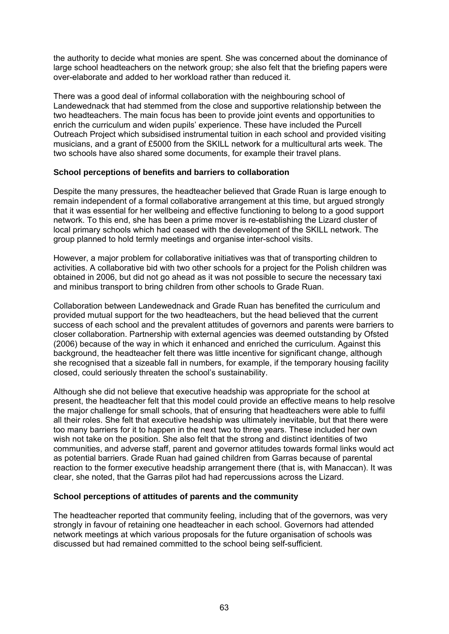the authority to decide what monies are spent. She was concerned about the dominance of large school headteachers on the network group; she also felt that the briefing papers were over-elaborate and added to her workload rather than reduced it.

There was a good deal of informal collaboration with the neighbouring school of Landewednack that had stemmed from the close and supportive relationship between the two headteachers. The main focus has been to provide joint events and opportunities to enrich the curriculum and widen pupils' experience. These have included the Purcell Outreach Project which subsidised instrumental tuition in each school and provided visiting musicians, and a grant of £5000 from the SKILL network for a multicultural arts week. The two schools have also shared some documents, for example their travel plans.

#### **School perceptions of benefits and barriers to collaboration**

Despite the many pressures, the headteacher believed that Grade Ruan is large enough to remain independent of a formal collaborative arrangement at this time, but argued strongly that it was essential for her wellbeing and effective functioning to belong to a good support network. To this end, she has been a prime mover is re-establishing the Lizard cluster of local primary schools which had ceased with the development of the SKILL network. The group planned to hold termly meetings and organise inter-school visits.

However, a major problem for collaborative initiatives was that of transporting children to activities. A collaborative bid with two other schools for a project for the Polish children was obtained in 2006, but did not go ahead as it was not possible to secure the necessary taxi and minibus transport to bring children from other schools to Grade Ruan.

Collaboration between Landewednack and Grade Ruan has benefited the curriculum and provided mutual support for the two headteachers, but the head believed that the current success of each school and the prevalent attitudes of governors and parents were barriers to closer collaboration. Partnership with external agencies was deemed outstanding by Ofsted (2006) because of the way in which it enhanced and enriched the curriculum. Against this background, the headteacher felt there was little incentive for significant change, although she recognised that a sizeable fall in numbers, for example, if the temporary housing facility closed, could seriously threaten the school's sustainability.

Although she did not believe that executive headship was appropriate for the school at present, the headteacher felt that this model could provide an effective means to help resolve the major challenge for small schools, that of ensuring that headteachers were able to fulfil all their roles. She felt that executive headship was ultimately inevitable, but that there were too many barriers for it to happen in the next two to three years. These included her own wish not take on the position. She also felt that the strong and distinct identities of two communities, and adverse staff, parent and governor attitudes towards formal links would act as potential barriers. Grade Ruan had gained children from Garras because of parental reaction to the former executive headship arrangement there (that is, with Manaccan). It was clear, she noted, that the Garras pilot had had repercussions across the Lizard.

#### **School perceptions of attitudes of parents and the community**

The headteacher reported that community feeling, including that of the governors, was very strongly in favour of retaining one headteacher in each school. Governors had attended network meetings at which various proposals for the future organisation of schools was discussed but had remained committed to the school being self-sufficient.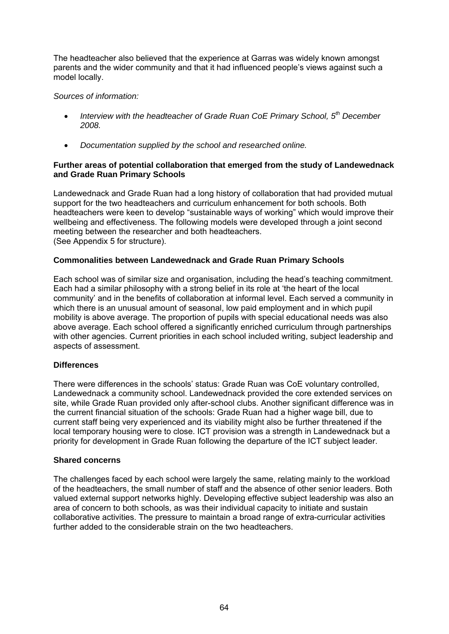The headteacher also believed that the experience at Garras was widely known amongst parents and the wider community and that it had influenced people's views against such a model locally.

## *Sources of information:*

- *Interview with the headteacher of Grade Ruan CoE Primary School, 5th December 2008.*
- *Documentation supplied by the school and researched online.*

#### **Further areas of potential collaboration that emerged from the study of Landewednack and Grade Ruan Primary Schools**

Landewednack and Grade Ruan had a long history of collaboration that had provided mutual support for the two headteachers and curriculum enhancement for both schools. Both headteachers were keen to develop "sustainable ways of working" which would improve their wellbeing and effectiveness. The following models were developed through a joint second meeting between the researcher and both headteachers. (See Appendix 5 for structure).

## **Commonalities between Landewednack and Grade Ruan Primary Schools**

Each school was of similar size and organisation, including the head's teaching commitment. Each had a similar philosophy with a strong belief in its role at 'the heart of the local community' and in the benefits of collaboration at informal level. Each served a community in which there is an unusual amount of seasonal, low paid employment and in which pupil mobility is above average. The proportion of pupils with special educational needs was also above average. Each school offered a significantly enriched curriculum through partnerships with other agencies. Current priorities in each school included writing, subject leadership and aspects of assessment.

#### **Differences**

There were differences in the schools' status: Grade Ruan was CoE voluntary controlled, Landewednack a community school. Landewednack provided the core extended services on site, while Grade Ruan provided only after-school clubs. Another significant difference was in the current financial situation of the schools: Grade Ruan had a higher wage bill, due to current staff being very experienced and its viability might also be further threatened if the local temporary housing were to close. ICT provision was a strength in Landewednack but a priority for development in Grade Ruan following the departure of the ICT subject leader.

#### **Shared concerns**

The challenges faced by each school were largely the same, relating mainly to the workload of the headteachers, the small number of staff and the absence of other senior leaders. Both valued external support networks highly. Developing effective subject leadership was also an area of concern to both schools, as was their individual capacity to initiate and sustain collaborative activities. The pressure to maintain a broad range of extra-curricular activities further added to the considerable strain on the two headteachers.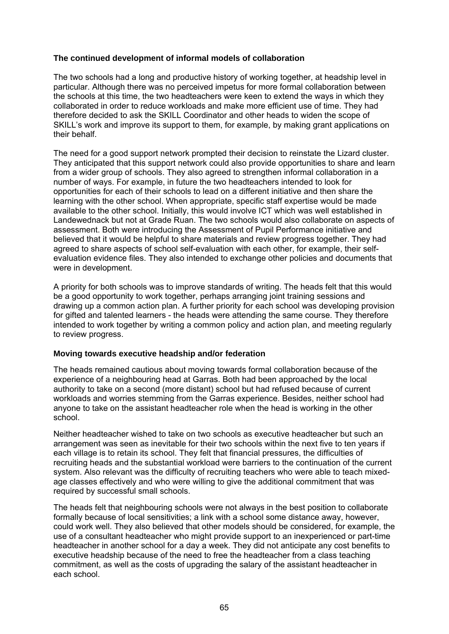## **The continued development of informal models of collaboration**

The two schools had a long and productive history of working together, at headship level in particular. Although there was no perceived impetus for more formal collaboration between the schools at this time, the two headteachers were keen to extend the ways in which they collaborated in order to reduce workloads and make more efficient use of time. They had therefore decided to ask the SKILL Coordinator and other heads to widen the scope of SKILL's work and improve its support to them, for example, by making grant applications on their behalf.

The need for a good support network prompted their decision to reinstate the Lizard cluster. They anticipated that this support network could also provide opportunities to share and learn from a wider group of schools. They also agreed to strengthen informal collaboration in a number of ways. For example, in future the two headteachers intended to look for opportunities for each of their schools to lead on a different initiative and then share the learning with the other school. When appropriate, specific staff expertise would be made available to the other school. Initially, this would involve ICT which was well established in Landewednack but not at Grade Ruan. The two schools would also collaborate on aspects of assessment. Both were introducing the Assessment of Pupil Performance initiative and believed that it would be helpful to share materials and review progress together. They had agreed to share aspects of school self-evaluation with each other, for example, their selfevaluation evidence files. They also intended to exchange other policies and documents that were in development.

A priority for both schools was to improve standards of writing. The heads felt that this would be a good opportunity to work together, perhaps arranging joint training sessions and drawing up a common action plan. A further priority for each school was developing provision for gifted and talented learners - the heads were attending the same course. They therefore intended to work together by writing a common policy and action plan, and meeting regularly to review progress.

#### **Moving towards executive headship and/or federation**

The heads remained cautious about moving towards formal collaboration because of the experience of a neighbouring head at Garras. Both had been approached by the local authority to take on a second (more distant) school but had refused because of current workloads and worries stemming from the Garras experience. Besides, neither school had anyone to take on the assistant headteacher role when the head is working in the other school.

Neither headteacher wished to take on two schools as executive headteacher but such an arrangement was seen as inevitable for their two schools within the next five to ten years if each village is to retain its school. They felt that financial pressures, the difficulties of recruiting heads and the substantial workload were barriers to the continuation of the current system. Also relevant was the difficulty of recruiting teachers who were able to teach mixedage classes effectively and who were willing to give the additional commitment that was required by successful small schools.

The heads felt that neighbouring schools were not always in the best position to collaborate formally because of local sensitivities; a link with a school some distance away, however, could work well. They also believed that other models should be considered, for example, the use of a consultant headteacher who might provide support to an inexperienced or part-time headteacher in another school for a day a week. They did not anticipate any cost benefits to executive headship because of the need to free the headteacher from a class teaching commitment, as well as the costs of upgrading the salary of the assistant headteacher in each school.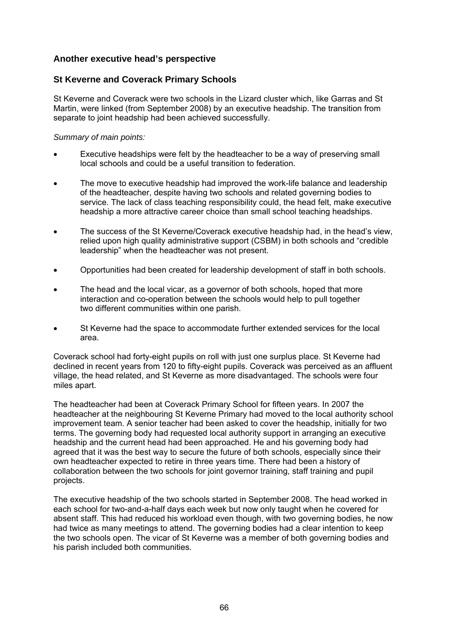# **Another executive head's perspective**

# **St Keverne and Coverack Primary Schools**

St Keverne and Coverack were two schools in the Lizard cluster which, like Garras and St Martin, were linked (from September 2008) by an executive headship. The transition from separate to joint headship had been achieved successfully.

#### *Summary of main points:*

- Executive headships were felt by the headteacher to be a way of preserving small local schools and could be a useful transition to federation.
- The move to executive headship had improved the work-life balance and leadership of the headteacher, despite having two schools and related governing bodies to service. The lack of class teaching responsibility could, the head felt, make executive headship a more attractive career choice than small school teaching headships.
- The success of the St Keverne/Coverack executive headship had, in the head's view, relied upon high quality administrative support (CSBM) in both schools and "credible leadership" when the headteacher was not present.
- Opportunities had been created for leadership development of staff in both schools.
- The head and the local vicar, as a governor of both schools, hoped that more interaction and co-operation between the schools would help to pull together two different communities within one parish.
- St Keverne had the space to accommodate further extended services for the local area.

Coverack school had forty-eight pupils on roll with just one surplus place. St Keverne had declined in recent years from 120 to fifty-eight pupils. Coverack was perceived as an affluent village, the head related, and St Keverne as more disadvantaged. The schools were four miles apart.

The headteacher had been at Coverack Primary School for fifteen years. In 2007 the headteacher at the neighbouring St Keverne Primary had moved to the local authority school improvement team. A senior teacher had been asked to cover the headship, initially for two terms. The governing body had requested local authority support in arranging an executive headship and the current head had been approached. He and his governing body had agreed that it was the best way to secure the future of both schools, especially since their own headteacher expected to retire in three years time. There had been a history of collaboration between the two schools for joint governor training, staff training and pupil projects.

The executive headship of the two schools started in September 2008. The head worked in each school for two-and-a-half days each week but now only taught when he covered for absent staff. This had reduced his workload even though, with two governing bodies, he now had twice as many meetings to attend. The governing bodies had a clear intention to keep the two schools open. The vicar of St Keverne was a member of both governing bodies and his parish included both communities.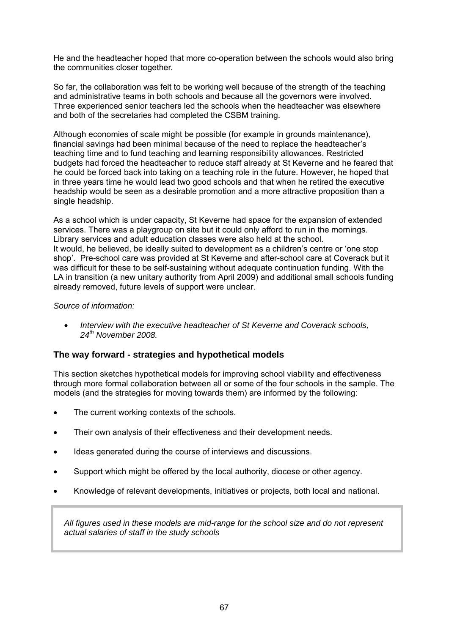He and the headteacher hoped that more co-operation between the schools would also bring the communities closer together*.* 

So far, the collaboration was felt to be working well because of the strength of the teaching and administrative teams in both schools and because all the governors were involved. Three experienced senior teachers led the schools when the headteacher was elsewhere and both of the secretaries had completed the CSBM training.

Although economies of scale might be possible (for example in grounds maintenance), financial savings had been minimal because of the need to replace the headteacher's teaching time and to fund teaching and learning responsibility allowances. Restricted budgets had forced the headteacher to reduce staff already at St Keverne and he feared that he could be forced back into taking on a teaching role in the future. However, he hoped that in three years time he would lead two good schools and that when he retired the executive headship would be seen as a desirable promotion and a more attractive proposition than a single headship.

As a school which is under capacity, St Keverne had space for the expansion of extended services. There was a playgroup on site but it could only afford to run in the mornings. Library services and adult education classes were also held at the school. It would, he believed, be ideally suited to development as a children's centre or 'one stop shop'. Pre-school care was provided at St Keverne and after-school care at Coverack but it was difficult for these to be self-sustaining without adequate continuation funding. With the LA in transition (a new unitary authority from April 2009) and additional small schools funding already removed, future levels of support were unclear.

#### *Source of information:*

• *Interview with the executive headteacher of St Keverne and Coverack schools, 24th November 2008.* 

#### **The way forward - strategies and hypothetical models**

This section sketches hypothetical models for improving school viability and effectiveness through more formal collaboration between all or some of the four schools in the sample. The models (and the strategies for moving towards them) are informed by the following:

- The current working contexts of the schools.
- Their own analysis of their effectiveness and their development needs.
- Ideas generated during the course of interviews and discussions.
- Support which might be offered by the local authority, diocese or other agency.
- Knowledge of relevant developments, initiatives or projects, both local and national.

*All figures used in these models are mid-range for the school size and do not represent actual salaries of staff in the study schools*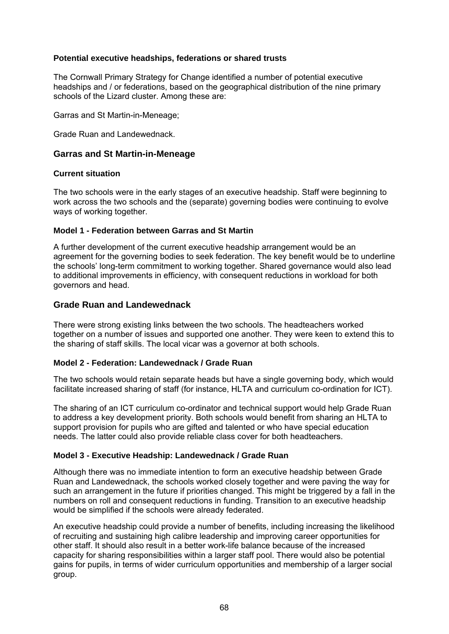#### **Potential executive headships, federations or shared trusts**

The Cornwall Primary Strategy for Change identified a number of potential executive headships and / or federations, based on the geographical distribution of the nine primary schools of the Lizard cluster. Among these are:

Garras and St Martin-in-Meneage;

Grade Ruan and Landewednack.

#### **Garras and St Martin-in-Meneage**

#### **Current situation**

The two schools were in the early stages of an executive headship. Staff were beginning to work across the two schools and the (separate) governing bodies were continuing to evolve ways of working together.

#### **Model 1 - Federation between Garras and St Martin**

A further development of the current executive headship arrangement would be an agreement for the governing bodies to seek federation. The key benefit would be to underline the schools' long-term commitment to working together. Shared governance would also lead to additional improvements in efficiency, with consequent reductions in workload for both governors and head.

## **Grade Ruan and Landewednack**

There were strong existing links between the two schools. The headteachers worked together on a number of issues and supported one another. They were keen to extend this to the sharing of staff skills. The local vicar was a governor at both schools.

#### **Model 2 - Federation: Landewednack / Grade Ruan**

The two schools would retain separate heads but have a single governing body, which would facilitate increased sharing of staff (for instance, HLTA and curriculum co-ordination for ICT).

The sharing of an ICT curriculum co-ordinator and technical support would help Grade Ruan to address a key development priority. Both schools would benefit from sharing an HLTA to support provision for pupils who are gifted and talented or who have special education needs. The latter could also provide reliable class cover for both headteachers.

#### **Model 3 - Executive Headship: Landewednack / Grade Ruan**

Although there was no immediate intention to form an executive headship between Grade Ruan and Landewednack, the schools worked closely together and were paving the way for such an arrangement in the future if priorities changed. This might be triggered by a fall in the numbers on roll and consequent reductions in funding. Transition to an executive headship would be simplified if the schools were already federated.

An executive headship could provide a number of benefits, including increasing the likelihood of recruiting and sustaining high calibre leadership and improving career opportunities for other staff. It should also result in a better work-life balance because of the increased capacity for sharing responsibilities within a larger staff pool. There would also be potential gains for pupils, in terms of wider curriculum opportunities and membership of a larger social group.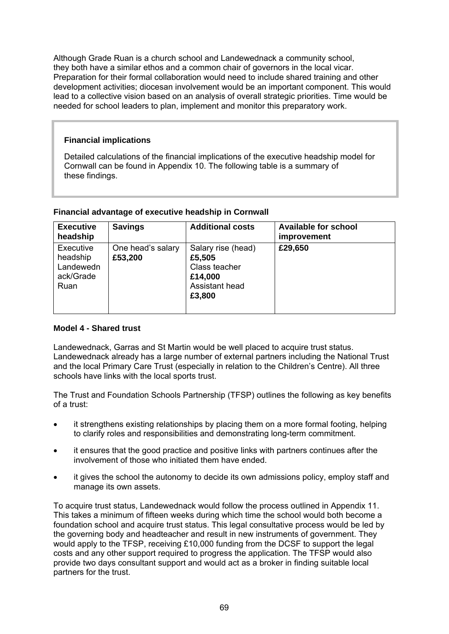Although Grade Ruan is a church school and Landewednack a community school, they both have a similar ethos and a common chair of governors in the local vicar. Preparation for their formal collaboration would need to include shared training and other development activities; diocesan involvement would be an important component. This would lead to a collective vision based on an analysis of overall strategic priorities. Time would be needed for school leaders to plan, implement and monitor this preparatory work.

### **Financial implications**

Detailed calculations of the financial implications of the executive headship model for Cornwall can be found in Appendix 10. The following table is a summary of these findings.

| <b>Executive</b><br>headship                            | <b>Savings</b>               | <b>Additional costs</b>                                                              | <b>Available for school</b><br>improvement |
|---------------------------------------------------------|------------------------------|--------------------------------------------------------------------------------------|--------------------------------------------|
| Executive<br>headship<br>Landewedn<br>ack/Grade<br>Ruan | One head's salary<br>£53,200 | Salary rise (head)<br>£5,505<br>Class teacher<br>£14,000<br>Assistant head<br>£3,800 | £29,650                                    |

#### **Financial advantage of executive headship in Cornwall**

# **Model 4 - Shared trust**

Landewednack, Garras and St Martin would be well placed to acquire trust status. Landewednack already has a large number of external partners including the National Trust and the local Primary Care Trust (especially in relation to the Children's Centre). All three schools have links with the local sports trust.

The Trust and Foundation Schools Partnership (TFSP) outlines the following as key benefits of a trust:

- it strengthens existing relationships by placing them on a more formal footing, helping to clarify roles and responsibilities and demonstrating long-term commitment.
- it ensures that the good practice and positive links with partners continues after the involvement of those who initiated them have ended.
- it gives the school the autonomy to decide its own admissions policy, employ staff and manage its own assets.

To acquire trust status, Landewednack would follow the process outlined in Appendix 11. This takes a minimum of fifteen weeks during which time the school would both become a foundation school and acquire trust status. This legal consultative process would be led by the governing body and headteacher and result in new instruments of government. They would apply to the TFSP, receiving £10,000 funding from the DCSF to support the legal costs and any other support required to progress the application. The TFSP would also provide two days consultant support and would act as a broker in finding suitable local partners for the trust.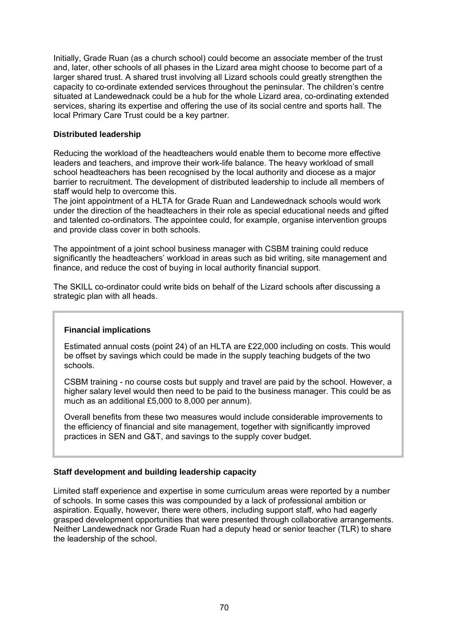Initially, Grade Ruan (as a church school) could become an associate member of the trust and, later, other schools of all phases in the Lizard area might choose to become part of a larger shared trust. A shared trust involving all Lizard schools could greatly strengthen the capacity to co-ordinate extended services throughout the peninsular. The children's centre situated at Landewednack could be a hub for the whole Lizard area, co-ordinating extended services, sharing its expertise and offering the use of its social centre and sports hall. The local Primary Care Trust could be a key partner.

#### **Distributed leadership**

Reducing the workload of the headteachers would enable them to become more effective leaders and teachers, and improve their work-life balance. The heavy workload of small school headteachers has been recognised by the local authority and diocese as a major barrier to recruitment. The development of distributed leadership to include all members of staff would help to overcome this.

The joint appointment of a HLTA for Grade Ruan and Landewednack schools would work under the direction of the headteachers in their role as special educational needs and gifted and talented co-ordinators. The appointee could, for example, organise intervention groups and provide class cover in both schools.

The appointment of a joint school business manager with CSBM training could reduce significantly the headteachers' workload in areas such as bid writing, site management and finance, and reduce the cost of buying in local authority financial support.

The SKILL co-ordinator could write bids on behalf of the Lizard schools after discussing a strategic plan with all heads.

# **Financial implications**

Estimated annual costs (point 24) of an HLTA are £22,000 including on costs. This would be offset by savings which could be made in the supply teaching budgets of the two schools.

CSBM training - no course costs but supply and travel are paid by the school. However, a higher salary level would then need to be paid to the business manager. This could be as much as an additional £5,000 to 8,000 per annum).

Overall benefits from these two measures would include considerable improvements to the efficiency of financial and site management, together with significantly improved practices in SEN and G&T, and savings to the supply cover budget.

#### **Staff development and building leadership capacity**

Limited staff experience and expertise in some curriculum areas were reported by a number of schools. In some cases this was compounded by a lack of professional ambition or aspiration. Equally, however, there were others, including support staff, who had eagerly grasped development opportunities that were presented through collaborative arrangements. Neither Landewednack nor Grade Ruan had a deputy head or senior teacher (TLR) to share the leadership of the school.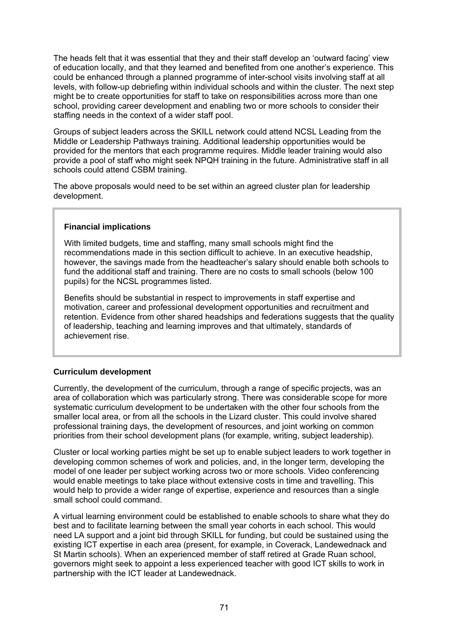The heads felt that it was essential that they and their staff develop an 'outward facing' view of education locally, and that they learned and benefited from one another's experience. This could be enhanced through a planned programme of inter-school visits involving staff at all levels, with follow-up debriefing within individual schools and within the cluster. The next step might be to create opportunities for staff to take on responsibilities across more than one school, providing career development and enabling two or more schools to consider their staffing needs in the context of a wider staff pool.

Groups of subject leaders across the SKILL network could attend NCSL Leading from the Middle or Leadership Pathways training. Additional leadership opportunities would be provided for the mentors that each programme requires. Middle leader training would also provide a pool of staff who might seek NPQH training in the future. Administrative staff in all schools could attend CSBM training.

The above proposals would need to be set within an agreed cluster plan for leadership development.

#### **Financial implications**

With limited budgets, time and staffing, many small schools might find the recommendations made in this section difficult to achieve. In an executive headship, however, the savings made from the headteacher's salary should enable both schools to fund the additional staff and training. There are no costs to small schools (below 100 pupils) for the NCSL programmes listed.

Benefits should be substantial in respect to improvements in staff expertise and motivation, career and professional development opportunities and recruitment and retention. Evidence from other shared headships and federations suggests that the quality of leadership, teaching and learning improves and that ultimately, standards of achievement rise.

#### **Curriculum development**

Currently, the development of the curriculum, through a range of specific projects, was an area of collaboration which was particularly strong. There was considerable scope for more systematic curriculum development to be undertaken with the other four schools from the smaller local area, or from all the schools in the Lizard cluster. This could involve shared professional training days, the development of resources, and joint working on common priorities from their school development plans (for example, writing, subject leadership).

Cluster or local working parties might be set up to enable subject leaders to work together in developing common schemes of work and policies, and, in the longer term, developing the model of one leader per subject working across two or more schools. Video conferencing would enable meetings to take place without extensive costs in time and travelling. This would help to provide a wider range of expertise, experience and resources than a single small school could command.

A virtual learning environment could be established to enable schools to share what they do best and to facilitate learning between the small year cohorts in each school. This would need LA support and a joint bid through SKILL for funding, but could be sustained using the existing ICT expertise in each area (present, for example, in Coverack, Landewednack and St Martin schools). When an experienced member of staff retired at Grade Ruan school, governors might seek to appoint a less experienced teacher with good ICT skills to work in partnership with the ICT leader at Landewednack.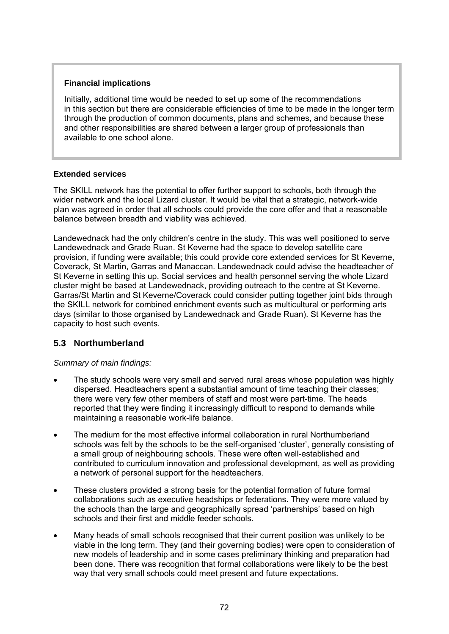### **Financial implications**

Initially, additional time would be needed to set up some of the recommendations in this section but there are considerable efficiencies of time to be made in the longer term through the production of common documents, plans and schemes, and because these and other responsibilities are shared between a larger group of professionals than available to one school alone.

### **Extended services**

The SKILL network has the potential to offer further support to schools, both through the wider network and the local Lizard cluster. It would be vital that a strategic, network-wide plan was agreed in order that all schools could provide the core offer and that a reasonable balance between breadth and viability was achieved.

Landewednack had the only children's centre in the study. This was well positioned to serve Landewednack and Grade Ruan. St Keverne had the space to develop satellite care provision, if funding were available; this could provide core extended services for St Keverne, Coverack, St Martin, Garras and Manaccan. Landewednack could advise the headteacher of St Keverne in setting this up. Social services and health personnel serving the whole Lizard cluster might be based at Landewednack, providing outreach to the centre at St Keverne. Garras/St Martin and St Keverne/Coverack could consider putting together joint bids through the SKILL network for combined enrichment events such as multicultural or performing arts days (similar to those organised by Landewednack and Grade Ruan). St Keverne has the capacity to host such events.

# **5.3 Northumberland**

# *Summary of main findings:*

- The study schools were very small and served rural areas whose population was highly dispersed. Headteachers spent a substantial amount of time teaching their classes; there were very few other members of staff and most were part-time. The heads reported that they were finding it increasingly difficult to respond to demands while maintaining a reasonable work-life balance.
- The medium for the most effective informal collaboration in rural Northumberland schools was felt by the schools to be the self-organised 'cluster', generally consisting of a small group of neighbouring schools. These were often well-established and contributed to curriculum innovation and professional development, as well as providing a network of personal support for the headteachers.
- These clusters provided a strong basis for the potential formation of future formal collaborations such as executive headships or federations. They were more valued by the schools than the large and geographically spread 'partnerships' based on high schools and their first and middle feeder schools.
- Many heads of small schools recognised that their current position was unlikely to be viable in the long term. They (and their governing bodies) were open to consideration of new models of leadership and in some cases preliminary thinking and preparation had been done. There was recognition that formal collaborations were likely to be the best way that very small schools could meet present and future expectations.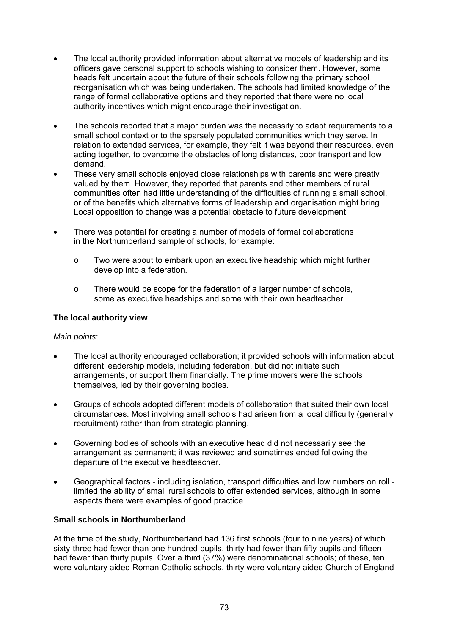- The local authority provided information about alternative models of leadership and its officers gave personal support to schools wishing to consider them. However, some heads felt uncertain about the future of their schools following the primary school reorganisation which was being undertaken. The schools had limited knowledge of the range of formal collaborative options and they reported that there were no local authority incentives which might encourage their investigation.
- The schools reported that a major burden was the necessity to adapt requirements to a small school context or to the sparsely populated communities which they serve. In relation to extended services, for example, they felt it was beyond their resources, even acting together, to overcome the obstacles of long distances, poor transport and low demand.
- These very small schools enjoyed close relationships with parents and were greatly valued by them. However, they reported that parents and other members of rural communities often had little understanding of the difficulties of running a small school, or of the benefits which alternative forms of leadership and organisation might bring. Local opposition to change was a potential obstacle to future development.
- There was potential for creating a number of models of formal collaborations in the Northumberland sample of schools, for example:
	- o Two were about to embark upon an executive headship which might further develop into a federation.
	- o There would be scope for the federation of a larger number of schools, some as executive headships and some with their own headteacher.

### **The local authority view**

#### *Main points*:

- The local authority encouraged collaboration; it provided schools with information about different leadership models, including federation, but did not initiate such arrangements, or support them financially. The prime movers were the schools themselves, led by their governing bodies.
- Groups of schools adopted different models of collaboration that suited their own local circumstances. Most involving small schools had arisen from a local difficulty (generally recruitment) rather than from strategic planning.
- Governing bodies of schools with an executive head did not necessarily see the arrangement as permanent; it was reviewed and sometimes ended following the departure of the executive headteacher.
- Geographical factors including isolation, transport difficulties and low numbers on roll limited the ability of small rural schools to offer extended services, although in some aspects there were examples of good practice.

# **Small schools in Northumberland**

At the time of the study, Northumberland had 136 first schools (four to nine years) of which sixty-three had fewer than one hundred pupils, thirty had fewer than fifty pupils and fifteen had fewer than thirty pupils. Over a third (37%) were denominational schools; of these, ten were voluntary aided Roman Catholic schools, thirty were voluntary aided Church of England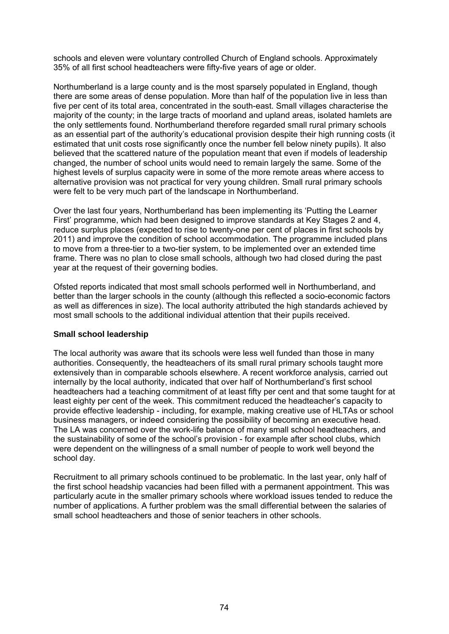schools and eleven were voluntary controlled Church of England schools. Approximately 35% of all first school headteachers were fifty-five years of age or older.

Northumberland is a large county and is the most sparsely populated in England, though there are some areas of dense population. More than half of the population live in less than five per cent of its total area, concentrated in the south-east. Small villages characterise the majority of the county; in the large tracts of moorland and upland areas, isolated hamlets are the only settlements found. Northumberland therefore regarded small rural primary schools as an essential part of the authority's educational provision despite their high running costs (it estimated that unit costs rose significantly once the number fell below ninety pupils). It also believed that the scattered nature of the population meant that even if models of leadership changed, the number of school units would need to remain largely the same. Some of the highest levels of surplus capacity were in some of the more remote areas where access to alternative provision was not practical for very young children. Small rural primary schools were felt to be very much part of the landscape in Northumberland.

Over the last four years, Northumberland has been implementing its 'Putting the Learner First' programme, which had been designed to improve standards at Key Stages 2 and 4, reduce surplus places (expected to rise to twenty-one per cent of places in first schools by 2011) and improve the condition of school accommodation. The programme included plans to move from a three-tier to a two-tier system, to be implemented over an extended time frame. There was no plan to close small schools, although two had closed during the past year at the request of their governing bodies.

Ofsted reports indicated that most small schools performed well in Northumberland, and better than the larger schools in the county (although this reflected a socio-economic factors as well as differences in size). The local authority attributed the high standards achieved by most small schools to the additional individual attention that their pupils received.

#### **Small school leadership**

The local authority was aware that its schools were less well funded than those in many authorities. Consequently, the headteachers of its small rural primary schools taught more extensively than in comparable schools elsewhere. A recent workforce analysis, carried out internally by the local authority, indicated that over half of Northumberland's first school headteachers had a teaching commitment of at least fifty per cent and that some taught for at least eighty per cent of the week. This commitment reduced the headteacher's capacity to provide effective leadership - including, for example, making creative use of HLTAs or school business managers, or indeed considering the possibility of becoming an executive head. The LA was concerned over the work-life balance of many small school headteachers, and the sustainability of some of the school's provision - for example after school clubs, which were dependent on the willingness of a small number of people to work well beyond the school day.

Recruitment to all primary schools continued to be problematic. In the last year, only half of the first school headship vacancies had been filled with a permanent appointment. This was particularly acute in the smaller primary schools where workload issues tended to reduce the number of applications. A further problem was the small differential between the salaries of small school headteachers and those of senior teachers in other schools.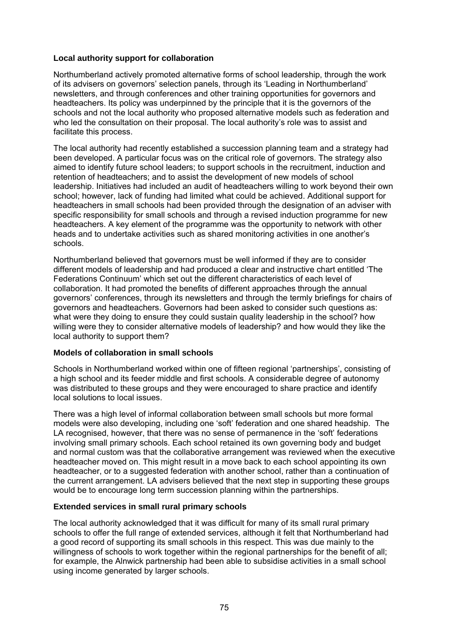#### **Local authority support for collaboration**

Northumberland actively promoted alternative forms of school leadership, through the work of its advisers on governors' selection panels, through its 'Leading in Northumberland' newsletters, and through conferences and other training opportunities for governors and headteachers. Its policy was underpinned by the principle that it is the governors of the schools and not the local authority who proposed alternative models such as federation and who led the consultation on their proposal. The local authority's role was to assist and facilitate this process.

The local authority had recently established a succession planning team and a strategy had been developed. A particular focus was on the critical role of governors. The strategy also aimed to identify future school leaders; to support schools in the recruitment, induction and retention of headteachers; and to assist the development of new models of school leadership. Initiatives had included an audit of headteachers willing to work beyond their own school; however, lack of funding had limited what could be achieved. Additional support for headteachers in small schools had been provided through the designation of an adviser with specific responsibility for small schools and through a revised induction programme for new headteachers. A key element of the programme was the opportunity to network with other heads and to undertake activities such as shared monitoring activities in one another's schools.

Northumberland believed that governors must be well informed if they are to consider different models of leadership and had produced a clear and instructive chart entitled 'The Federations Continuum' which set out the different characteristics of each level of collaboration. It had promoted the benefits of different approaches through the annual governors' conferences, through its newsletters and through the termly briefings for chairs of governors and headteachers. Governors had been asked to consider such questions as: what were they doing to ensure they could sustain quality leadership in the school? how willing were they to consider alternative models of leadership? and how would they like the local authority to support them?

#### **Models of collaboration in small schools**

Schools in Northumberland worked within one of fifteen regional 'partnerships', consisting of a high school and its feeder middle and first schools. A considerable degree of autonomy was distributed to these groups and they were encouraged to share practice and identify local solutions to local issues.

There was a high level of informal collaboration between small schools but more formal models were also developing, including one 'soft' federation and one shared headship. The LA recognised, however, that there was no sense of permanence in the 'soft' federations involving small primary schools. Each school retained its own governing body and budget and normal custom was that the collaborative arrangement was reviewed when the executive headteacher moved on. This might result in a move back to each school appointing its own headteacher, or to a suggested federation with another school, rather than a continuation of the current arrangement. LA advisers believed that the next step in supporting these groups would be to encourage long term succession planning within the partnerships.

#### **Extended services in small rural primary schools**

The local authority acknowledged that it was difficult for many of its small rural primary schools to offer the full range of extended services, although it felt that Northumberland had a good record of supporting its small schools in this respect. This was due mainly to the willingness of schools to work together within the regional partnerships for the benefit of all: for example, the Alnwick partnership had been able to subsidise activities in a small school using income generated by larger schools.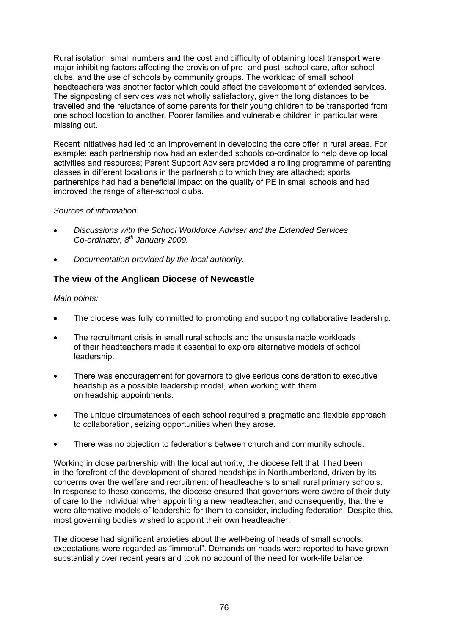Rural isolation, small numbers and the cost and difficulty of obtaining local transport were major inhibiting factors affecting the provision of pre- and post- school care, after school clubs, and the use of schools by community groups. The workload of small school headteachers was another factor which could affect the development of extended services. The signposting of services was not wholly satisfactory, given the long distances to be travelled and the reluctance of some parents for their young children to be transported from one school location to another. Poorer families and vulnerable children in particular were missing out.

Recent initiatives had led to an improvement in developing the core offer in rural areas. For example: each partnership now had an extended schools co-ordinator to help develop local activities and resources; Parent Support Advisers provided a rolling programme of parenting classes in different locations in the partnership to which they are attached; sports partnerships had had a beneficial impact on the quality of PE in small schools and had improved the range of after-school clubs.

### *Sources of information:*

- *Discussions with the School Workforce Adviser and the Extended Services Co-ordinator, 8th January 2009.*
- *Documentation provided by the local authority.*

# **The view of the Anglican Diocese of Newcastle**

### *Main points:*

- The diocese was fully committed to promoting and supporting collaborative leadership.
- The recruitment crisis in small rural schools and the unsustainable workloads of their headteachers made it essential to explore alternative models of school leadership.
- There was encouragement for governors to give serious consideration to executive headship as a possible leadership model, when working with them on headship appointments.
- The unique circumstances of each school required a pragmatic and flexible approach to collaboration, seizing opportunities when they arose.
- There was no objection to federations between church and community schools.

Working in close partnership with the local authority, the diocese felt that it had been in the forefront of the development of shared headships in Northumberland, driven by its concerns over the welfare and recruitment of headteachers to small rural primary schools. In response to these concerns, the diocese ensured that governors were aware of their duty of care to the individual when appointing a new headteacher, and consequently, that there were alternative models of leadership for them to consider, including federation. Despite this, most governing bodies wished to appoint their own headteacher.

The diocese had significant anxieties about the well-being of heads of small schools: expectations were regarded as "immoral". Demands on heads were reported to have grown substantially over recent years and took no account of the need for work-life balance.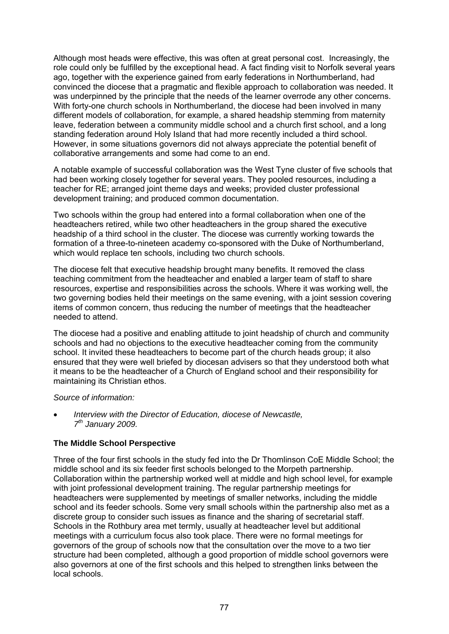Although most heads were effective, this was often at great personal cost. Increasingly, the role could only be fulfilled by the exceptional head. A fact finding visit to Norfolk several years ago, together with the experience gained from early federations in Northumberland, had convinced the diocese that a pragmatic and flexible approach to collaboration was needed. It was underpinned by the principle that the needs of the learner overrode any other concerns. With forty-one church schools in Northumberland, the diocese had been involved in many different models of collaboration, for example, a shared headship stemming from maternity leave, federation between a community middle school and a church first school, and a long standing federation around Holy Island that had more recently included a third school. However, in some situations governors did not always appreciate the potential benefit of collaborative arrangements and some had come to an end.

A notable example of successful collaboration was the West Tyne cluster of five schools that had been working closely together for several years. They pooled resources, including a teacher for RE; arranged joint theme days and weeks; provided cluster professional development training; and produced common documentation.

Two schools within the group had entered into a formal collaboration when one of the headteachers retired, while two other headteachers in the group shared the executive headship of a third school in the cluster. The diocese was currently working towards the formation of a three-to-nineteen academy co-sponsored with the Duke of Northumberland, which would replace ten schools, including two church schools.

The diocese felt that executive headship brought many benefits. It removed the class teaching commitment from the headteacher and enabled a larger team of staff to share resources, expertise and responsibilities across the schools. Where it was working well, the two governing bodies held their meetings on the same evening, with a joint session covering items of common concern, thus reducing the number of meetings that the headteacher needed to attend.

The diocese had a positive and enabling attitude to joint headship of church and community schools and had no objections to the executive headteacher coming from the community school. It invited these headteachers to become part of the church heads group; it also ensured that they were well briefed by diocesan advisers so that they understood both what it means to be the headteacher of a Church of England school and their responsibility for maintaining its Christian ethos.

#### *Source of information:*

• *Interview with the Director of Education, diocese of Newcastle, 7th January 2009.* 

#### **The Middle School Perspective**

Three of the four first schools in the study fed into the Dr Thomlinson CoE Middle School; the middle school and its six feeder first schools belonged to the Morpeth partnership. Collaboration within the partnership worked well at middle and high school level, for example with joint professional development training. The regular partnership meetings for headteachers were supplemented by meetings of smaller networks, including the middle school and its feeder schools. Some very small schools within the partnership also met as a discrete group to consider such issues as finance and the sharing of secretarial staff. Schools in the Rothbury area met termly, usually at headteacher level but additional meetings with a curriculum focus also took place. There were no formal meetings for governors of the group of schools now that the consultation over the move to a two tier structure had been completed, although a good proportion of middle school governors were also governors at one of the first schools and this helped to strengthen links between the local schools.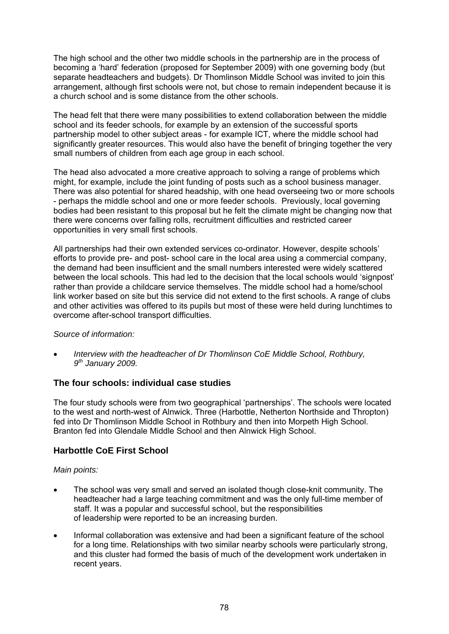The high school and the other two middle schools in the partnership are in the process of becoming a 'hard' federation (proposed for September 2009) with one governing body (but separate headteachers and budgets). Dr Thomlinson Middle School was invited to join this arrangement, although first schools were not, but chose to remain independent because it is a church school and is some distance from the other schools.

The head felt that there were many possibilities to extend collaboration between the middle school and its feeder schools, for example by an extension of the successful sports partnership model to other subject areas - for example ICT, where the middle school had significantly greater resources. This would also have the benefit of bringing together the very small numbers of children from each age group in each school.

The head also advocated a more creative approach to solving a range of problems which might, for example, include the joint funding of posts such as a school business manager. There was also potential for shared headship, with one head overseeing two or more schools - perhaps the middle school and one or more feeder schools. Previously, local governing bodies had been resistant to this proposal but he felt the climate might be changing now that there were concerns over falling rolls, recruitment difficulties and restricted career opportunities in very small first schools.

All partnerships had their own extended services co-ordinator. However, despite schools' efforts to provide pre- and post- school care in the local area using a commercial company, the demand had been insufficient and the small numbers interested were widely scattered between the local schools. This had led to the decision that the local schools would 'signpost' rather than provide a childcare service themselves. The middle school had a home/school link worker based on site but this service did not extend to the first schools. A range of clubs and other activities was offered to its pupils but most of these were held during lunchtimes to overcome after-school transport difficulties.

#### *Source of information:*

• *Interview with the headteacher of Dr Thomlinson CoE Middle School, Rothbury, 9th January 2009.* 

# **The four schools: individual case studies**

The four study schools were from two geographical 'partnerships'. The schools were located to the west and north-west of Alnwick. Three (Harbottle, Netherton Northside and Thropton) fed into Dr Thomlinson Middle School in Rothbury and then into Morpeth High School. Branton fed into Glendale Middle School and then Alnwick High School.

# **Harbottle CoE First School**

#### *Main points:*

- The school was very small and served an isolated though close-knit community. The headteacher had a large teaching commitment and was the only full-time member of staff. It was a popular and successful school, but the responsibilities of leadership were reported to be an increasing burden.
- Informal collaboration was extensive and had been a significant feature of the school for a long time. Relationships with two similar nearby schools were particularly strong, and this cluster had formed the basis of much of the development work undertaken in recent years.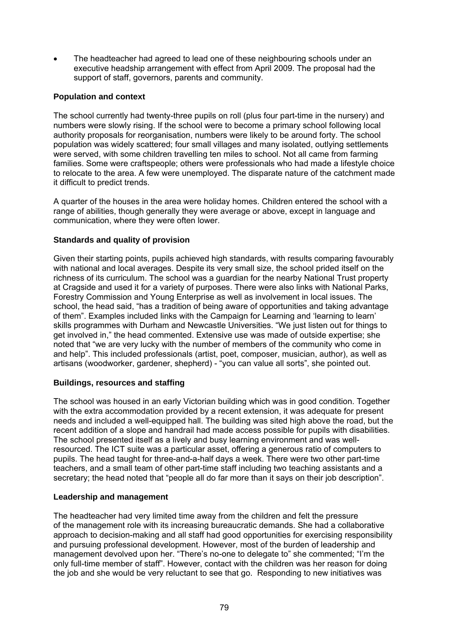The headteacher had agreed to lead one of these neighbouring schools under an executive headship arrangement with effect from April 2009. The proposal had the support of staff, governors, parents and community.

#### **Population and context**

The school currently had twenty-three pupils on roll (plus four part-time in the nursery) and numbers were slowly rising. If the school were to become a primary school following local authority proposals for reorganisation, numbers were likely to be around forty. The school population was widely scattered; four small villages and many isolated, outlying settlements were served, with some children travelling ten miles to school. Not all came from farming families. Some were craftspeople; others were professionals who had made a lifestyle choice to relocate to the area. A few were unemployed. The disparate nature of the catchment made it difficult to predict trends.

A quarter of the houses in the area were holiday homes. Children entered the school with a range of abilities, though generally they were average or above, except in language and communication, where they were often lower.

### **Standards and quality of provision**

Given their starting points, pupils achieved high standards, with results comparing favourably with national and local averages. Despite its very small size, the school prided itself on the richness of its curriculum. The school was a guardian for the nearby National Trust property at Cragside and used it for a variety of purposes. There were also links with National Parks, Forestry Commission and Young Enterprise as well as involvement in local issues. The school, the head said, "has a tradition of being aware of opportunities and taking advantage of them". Examples included links with the Campaign for Learning and 'learning to learn' skills programmes with Durham and Newcastle Universities. "We just listen out for things to get involved in," the head commented. Extensive use was made of outside expertise; she noted that "we are very lucky with the number of members of the community who come in and help". This included professionals (artist, poet, composer, musician, author), as well as artisans (woodworker, gardener, shepherd) - "you can value all sorts", she pointed out.

#### **Buildings, resources and staffing**

The school was housed in an early Victorian building which was in good condition. Together with the extra accommodation provided by a recent extension, it was adequate for present needs and included a well-equipped hall. The building was sited high above the road, but the recent addition of a slope and handrail had made access possible for pupils with disabilities. The school presented itself as a lively and busy learning environment and was wellresourced. The ICT suite was a particular asset, offering a generous ratio of computers to pupils. The head taught for three-and-a-half days a week. There were two other part-time teachers, and a small team of other part-time staff including two teaching assistants and a secretary; the head noted that "people all do far more than it says on their job description".

#### **Leadership and management**

The headteacher had very limited time away from the children and felt the pressure of the management role with its increasing bureaucratic demands. She had a collaborative approach to decision-making and all staff had good opportunities for exercising responsibility and pursuing professional development. However, most of the burden of leadership and management devolved upon her. "There's no-one to delegate to" she commented; "I'm the only full-time member of staff". However, contact with the children was her reason for doing the job and she would be very reluctant to see that go. Responding to new initiatives was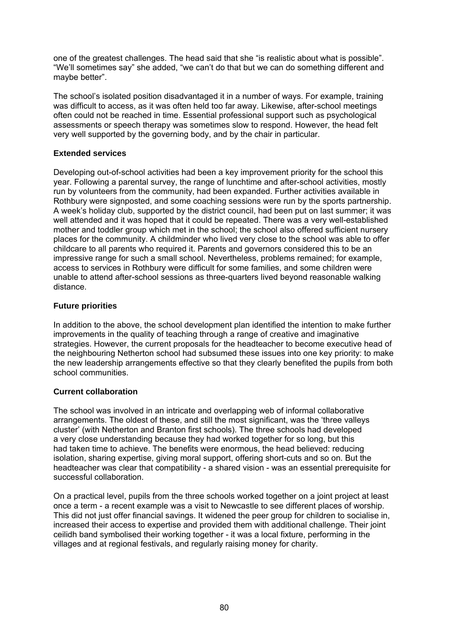one of the greatest challenges. The head said that she "is realistic about what is possible". "We'll sometimes say" she added, "we can't do that but we can do something different and maybe better".

The school's isolated position disadvantaged it in a number of ways. For example, training was difficult to access, as it was often held too far away. Likewise, after-school meetings often could not be reached in time. Essential professional support such as psychological assessments or speech therapy was sometimes slow to respond. However, the head felt very well supported by the governing body, and by the chair in particular.

### **Extended services**

Developing out-of-school activities had been a key improvement priority for the school this year. Following a parental survey, the range of lunchtime and after-school activities, mostly run by volunteers from the community, had been expanded. Further activities available in Rothbury were signposted, and some coaching sessions were run by the sports partnership. A week's holiday club, supported by the district council, had been put on last summer; it was well attended and it was hoped that it could be repeated. There was a very well-established mother and toddler group which met in the school; the school also offered sufficient nursery places for the community. A childminder who lived very close to the school was able to offer childcare to all parents who required it. Parents and governors considered this to be an impressive range for such a small school. Nevertheless, problems remained; for example, access to services in Rothbury were difficult for some families, and some children were unable to attend after-school sessions as three-quarters lived beyond reasonable walking distance.

### **Future priorities**

In addition to the above, the school development plan identified the intention to make further improvements in the quality of teaching through a range of creative and imaginative strategies. However, the current proposals for the headteacher to become executive head of the neighbouring Netherton school had subsumed these issues into one key priority: to make the new leadership arrangements effective so that they clearly benefited the pupils from both school communities.

#### **Current collaboration**

The school was involved in an intricate and overlapping web of informal collaborative arrangements. The oldest of these, and still the most significant, was the 'three valleys cluster' (with Netherton and Branton first schools). The three schools had developed a very close understanding because they had worked together for so long, but this had taken time to achieve. The benefits were enormous, the head believed: reducing isolation, sharing expertise, giving moral support, offering short-cuts and so on. But the headteacher was clear that compatibility - a shared vision - was an essential prerequisite for successful collaboration.

On a practical level, pupils from the three schools worked together on a joint project at least once a term - a recent example was a visit to Newcastle to see different places of worship. This did not just offer financial savings. It widened the peer group for children to socialise in, increased their access to expertise and provided them with additional challenge. Their joint ceilidh band symbolised their working together - it was a local fixture, performing in the villages and at regional festivals, and regularly raising money for charity.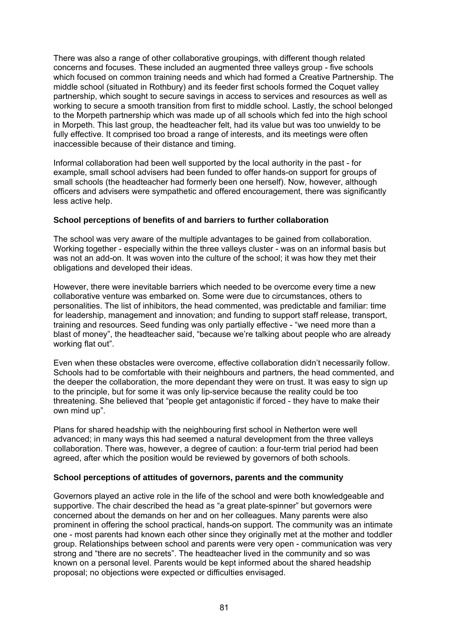There was also a range of other collaborative groupings, with different though related concerns and focuses. These included an augmented three valleys group - five schools which focused on common training needs and which had formed a Creative Partnership. The middle school (situated in Rothbury) and its feeder first schools formed the Coquet valley partnership, which sought to secure savings in access to services and resources as well as working to secure a smooth transition from first to middle school. Lastly, the school belonged to the Morpeth partnership which was made up of all schools which fed into the high school in Morpeth. This last group, the headteacher felt, had its value but was too unwieldy to be fully effective. It comprised too broad a range of interests, and its meetings were often inaccessible because of their distance and timing.

Informal collaboration had been well supported by the local authority in the past - for example, small school advisers had been funded to offer hands-on support for groups of small schools (the headteacher had formerly been one herself). Now, however, although officers and advisers were sympathetic and offered encouragement, there was significantly less active help.

#### **School perceptions of benefits of and barriers to further collaboration**

The school was very aware of the multiple advantages to be gained from collaboration. Working together - especially within the three valleys cluster - was on an informal basis but was not an add-on. It was woven into the culture of the school; it was how they met their obligations and developed their ideas.

However, there were inevitable barriers which needed to be overcome every time a new collaborative venture was embarked on. Some were due to circumstances, others to personalities. The list of inhibitors, the head commented, was predictable and familiar: time for leadership, management and innovation; and funding to support staff release, transport, training and resources. Seed funding was only partially effective - "we need more than a blast of money", the headteacher said, "because we're talking about people who are already working flat out".

Even when these obstacles were overcome, effective collaboration didn't necessarily follow. Schools had to be comfortable with their neighbours and partners, the head commented, and the deeper the collaboration, the more dependant they were on trust. It was easy to sign up to the principle, but for some it was only lip-service because the reality could be too threatening. She believed that "people get antagonistic if forced - they have to make their own mind up".

Plans for shared headship with the neighbouring first school in Netherton were well advanced; in many ways this had seemed a natural development from the three valleys collaboration. There was, however, a degree of caution: a four-term trial period had been agreed, after which the position would be reviewed by governors of both schools.

#### **School perceptions of attitudes of governors, parents and the community**

Governors played an active role in the life of the school and were both knowledgeable and supportive. The chair described the head as "a great plate-spinner" but governors were concerned about the demands on her and on her colleagues. Many parents were also prominent in offering the school practical, hands-on support. The community was an intimate one - most parents had known each other since they originally met at the mother and toddler group. Relationships between school and parents were very open - communication was very strong and "there are no secrets". The headteacher lived in the community and so was known on a personal level. Parents would be kept informed about the shared headship proposal; no objections were expected or difficulties envisaged.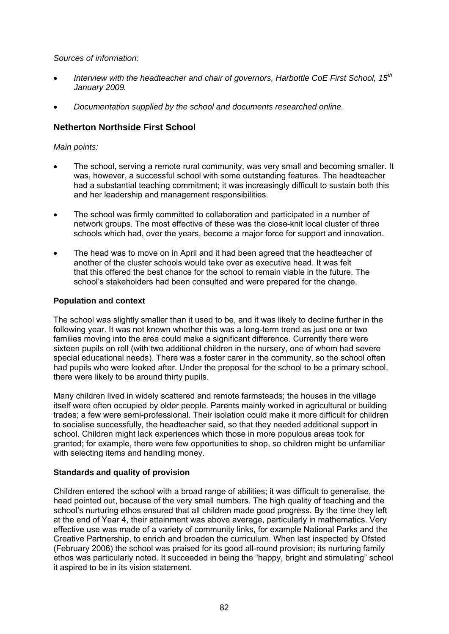*Sources of information:* 

- *Interview with the headteacher and chair of governors, Harbottle CoE First School, 15th January 2009.*
- *Documentation supplied by the school and documents researched online.*

# **Netherton Northside First School**

### *Main points:*

- The school, serving a remote rural community, was very small and becoming smaller. It was, however, a successful school with some outstanding features. The headteacher had a substantial teaching commitment; it was increasingly difficult to sustain both this and her leadership and management responsibilities.
- The school was firmly committed to collaboration and participated in a number of network groups. The most effective of these was the close-knit local cluster of three schools which had, over the years, become a major force for support and innovation.
- The head was to move on in April and it had been agreed that the headteacher of another of the cluster schools would take over as executive head. It was felt that this offered the best chance for the school to remain viable in the future. The school's stakeholders had been consulted and were prepared for the change.

#### **Population and context**

The school was slightly smaller than it used to be, and it was likely to decline further in the following year. It was not known whether this was a long-term trend as just one or two families moving into the area could make a significant difference. Currently there were sixteen pupils on roll (with two additional children in the nursery, one of whom had severe special educational needs). There was a foster carer in the community, so the school often had pupils who were looked after. Under the proposal for the school to be a primary school, there were likely to be around thirty pupils.

Many children lived in widely scattered and remote farmsteads; the houses in the village itself were often occupied by older people. Parents mainly worked in agricultural or building trades; a few were semi-professional. Their isolation could make it more difficult for children to socialise successfully, the headteacher said, so that they needed additional support in school. Children might lack experiences which those in more populous areas took for granted; for example, there were few opportunities to shop, so children might be unfamiliar with selecting items and handling money.

#### **Standards and quality of provision**

Children entered the school with a broad range of abilities; it was difficult to generalise, the head pointed out, because of the very small numbers. The high quality of teaching and the school's nurturing ethos ensured that all children made good progress. By the time they left at the end of Year 4, their attainment was above average, particularly in mathematics. Very effective use was made of a variety of community links, for example National Parks and the Creative Partnership, to enrich and broaden the curriculum. When last inspected by Ofsted (February 2006) the school was praised for its good all-round provision; its nurturing family ethos was particularly noted. It succeeded in being the "happy, bright and stimulating" school it aspired to be in its vision statement.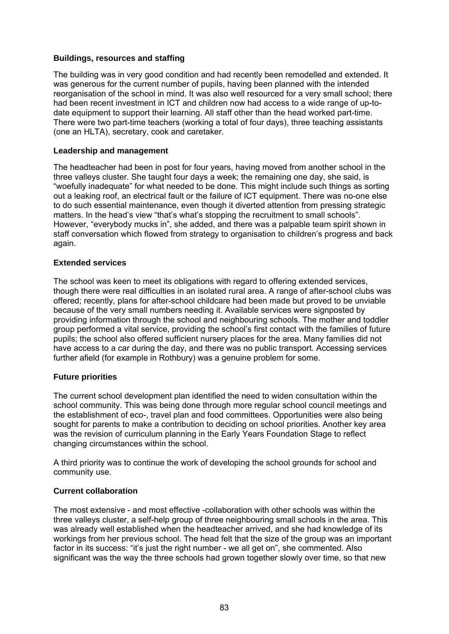#### **Buildings, resources and staffing**

The building was in very good condition and had recently been remodelled and extended. It was generous for the current number of pupils, having been planned with the intended reorganisation of the school in mind. It was also well resourced for a very small school; there had been recent investment in ICT and children now had access to a wide range of up-todate equipment to support their learning. All staff other than the head worked part-time. There were two part-time teachers (working a total of four days), three teaching assistants (one an HLTA), secretary, cook and caretaker.

#### **Leadership and management**

The headteacher had been in post for four years, having moved from another school in the three valleys cluster. She taught four days a week; the remaining one day, she said, is "woefully inadequate" for what needed to be done. This might include such things as sorting out a leaking roof, an electrical fault or the failure of ICT equipment. There was no-one else to do such essential maintenance, even though it diverted attention from pressing strategic matters. In the head's view "that's what's stopping the recruitment to small schools". However, "everybody mucks in", she added, and there was a palpable team spirit shown in staff conversation which flowed from strategy to organisation to children's progress and back again.

#### **Extended services**

The school was keen to meet its obligations with regard to offering extended services, though there were real difficulties in an isolated rural area. A range of after-school clubs was offered; recently, plans for after-school childcare had been made but proved to be unviable because of the very small numbers needing it. Available services were signposted by providing information through the school and neighbouring schools. The mother and toddler group performed a vital service, providing the school's first contact with the families of future pupils; the school also offered sufficient nursery places for the area. Many families did not have access to a car during the day, and there was no public transport. Accessing services further afield (for example in Rothbury) was a genuine problem for some.

#### **Future priorities**

The current school development plan identified the need to widen consultation within the school community. This was being done through more regular school council meetings and the establishment of eco-, travel plan and food committees. Opportunities were also being sought for parents to make a contribution to deciding on school priorities. Another key area was the revision of curriculum planning in the Early Years Foundation Stage to reflect changing circumstances within the school.

A third priority was to continue the work of developing the school grounds for school and community use.

#### **Current collaboration**

The most extensive - and most effective -collaboration with other schools was within the three valleys cluster, a self-help group of three neighbouring small schools in the area. This was already well established when the headteacher arrived, and she had knowledge of its workings from her previous school. The head felt that the size of the group was an important factor in its success: "it's just the right number - we all get on", she commented. Also significant was the way the three schools had grown together slowly over time, so that new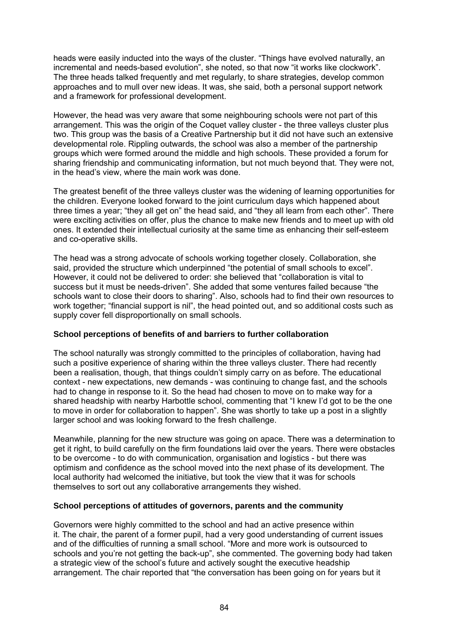heads were easily inducted into the ways of the cluster. "Things have evolved naturally, an incremental and needs-based evolution", she noted, so that now "it works like clockwork". The three heads talked frequently and met regularly, to share strategies, develop common approaches and to mull over new ideas. It was, she said, both a personal support network and a framework for professional development.

However, the head was very aware that some neighbouring schools were not part of this arrangement. This was the origin of the Coquet valley cluster - the three valleys cluster plus two. This group was the basis of a Creative Partnership but it did not have such an extensive developmental role. Rippling outwards, the school was also a member of the partnership groups which were formed around the middle and high schools. These provided a forum for sharing friendship and communicating information, but not much beyond that. They were not, in the head's view, where the main work was done.

The greatest benefit of the three valleys cluster was the widening of learning opportunities for the children. Everyone looked forward to the joint curriculum days which happened about three times a year; "they all get on" the head said, and "they all learn from each other". There were exciting activities on offer, plus the chance to make new friends and to meet up with old ones. It extended their intellectual curiosity at the same time as enhancing their self-esteem and co-operative skills.

The head was a strong advocate of schools working together closely. Collaboration, she said, provided the structure which underpinned "the potential of small schools to excel". However, it could not be delivered to order: she believed that "collaboration is vital to success but it must be needs-driven". She added that some ventures failed because "the schools want to close their doors to sharing". Also, schools had to find their own resources to work together; "financial support is nil", the head pointed out, and so additional costs such as supply cover fell disproportionally on small schools.

#### **School perceptions of benefits of and barriers to further collaboration**

The school naturally was strongly committed to the principles of collaboration, having had such a positive experience of sharing within the three valleys cluster. There had recently been a realisation, though, that things couldn't simply carry on as before. The educational context - new expectations, new demands - was continuing to change fast, and the schools had to change in response to it. So the head had chosen to move on to make way for a shared headship with nearby Harbottle school, commenting that "I knew I'd got to be the one to move in order for collaboration to happen". She was shortly to take up a post in a slightly larger school and was looking forward to the fresh challenge.

Meanwhile, planning for the new structure was going on apace. There was a determination to get it right, to build carefully on the firm foundations laid over the years. There were obstacles to be overcome - to do with communication, organisation and logistics - but there was optimism and confidence as the school moved into the next phase of its development. The local authority had welcomed the initiative, but took the view that it was for schools themselves to sort out any collaborative arrangements they wished.

#### **School perceptions of attitudes of governors, parents and the community**

Governors were highly committed to the school and had an active presence within it. The chair, the parent of a former pupil, had a very good understanding of current issues and of the difficulties of running a small school. "More and more work is outsourced to schools and you're not getting the back-up", she commented. The governing body had taken a strategic view of the school's future and actively sought the executive headship arrangement. The chair reported that "the conversation has been going on for years but it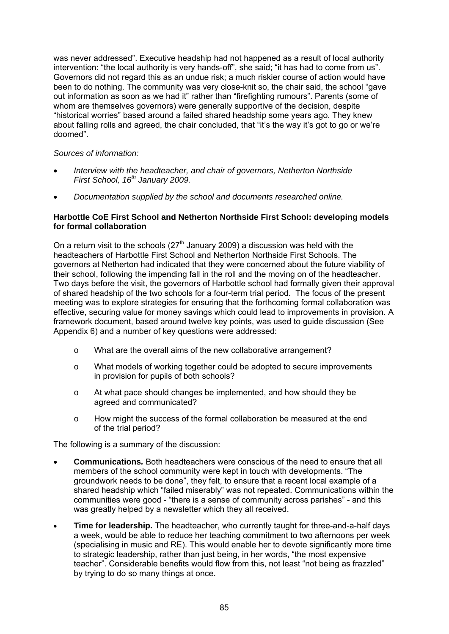was never addressed". Executive headship had not happened as a result of local authority intervention: "the local authority is very hands-off", she said; "it has had to come from us". Governors did not regard this as an undue risk; a much riskier course of action would have been to do nothing. The community was very close-knit so, the chair said, the school "gave out information as soon as we had it" rather than "firefighting rumours". Parents (some of whom are themselves governors) were generally supportive of the decision, despite "historical worries" based around a failed shared headship some years ago. They knew about falling rolls and agreed, the chair concluded, that "it's the way it's got to go or we're doomed".

#### *Sources of information:*

- *Interview with the headteacher, and chair of governors, Netherton Northside First School, 16th January 2009.*
- *Documentation supplied by the school and documents researched online.*

#### **Harbottle CoE First School and Netherton Northside First School: developing models for formal collaboration**

On a return visit to the schools  $(27<sup>th</sup>$  January 2009) a discussion was held with the headteachers of Harbottle First School and Netherton Northside First Schools. The governors at Netherton had indicated that they were concerned about the future viability of their school, following the impending fall in the roll and the moving on of the headteacher. Two days before the visit, the governors of Harbottle school had formally given their approval of shared headship of the two schools for a four-term trial period. The focus of the present meeting was to explore strategies for ensuring that the forthcoming formal collaboration was effective, securing value for money savings which could lead to improvements in provision. A framework document, based around twelve key points, was used to guide discussion (See Appendix 6) and a number of key questions were addressed:

- o What are the overall aims of the new collaborative arrangement?
- o What models of working together could be adopted to secure improvements in provision for pupils of both schools?
- o At what pace should changes be implemented, and how should they be agreed and communicated?
- o How might the success of the formal collaboration be measured at the end of the trial period?

The following is a summary of the discussion:

- **Communications***.* Both headteachers were conscious of the need to ensure that all members of the school community were kept in touch with developments. "The groundwork needs to be done", they felt, to ensure that a recent local example of a shared headship which "failed miserably" was not repeated. Communications within the communities were good - "there is a sense of community across parishes" - and this was greatly helped by a newsletter which they all received.
- **Time for leadership.** The headteacher, who currently taught for three-and-a-half days a week, would be able to reduce her teaching commitment to two afternoons per week (specialising in music and RE). This would enable her to devote significantly more time to strategic leadership, rather than just being, in her words, "the most expensive teacher". Considerable benefits would flow from this, not least "not being as frazzled" by trying to do so many things at once.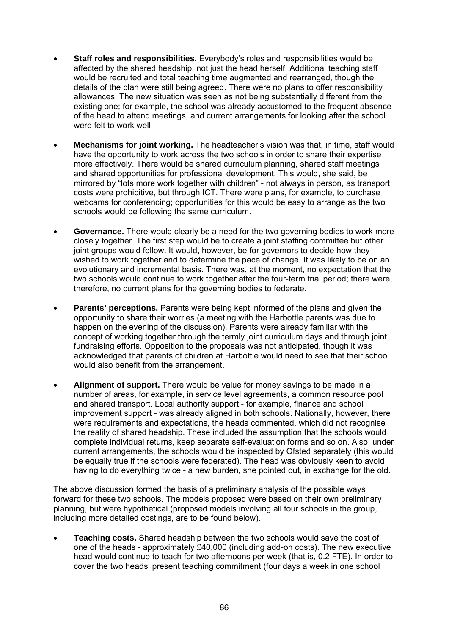- **Staff roles and responsibilities.** Everybody's roles and responsibilities would be affected by the shared headship, not just the head herself. Additional teaching staff would be recruited and total teaching time augmented and rearranged, though the details of the plan were still being agreed. There were no plans to offer responsibility allowances. The new situation was seen as not being substantially different from the existing one; for example, the school was already accustomed to the frequent absence of the head to attend meetings, and current arrangements for looking after the school were felt to work well.
- **Mechanisms for joint working.** The headteacher's vision was that, in time, staff would have the opportunity to work across the two schools in order to share their expertise more effectively. There would be shared curriculum planning, shared staff meetings and shared opportunities for professional development. This would, she said, be mirrored by "lots more work together with children" - not always in person, as transport costs were prohibitive, but through ICT. There were plans, for example, to purchase webcams for conferencing; opportunities for this would be easy to arrange as the two schools would be following the same curriculum.
- **Governance.** There would clearly be a need for the two governing bodies to work more closely together. The first step would be to create a joint staffing committee but other joint groups would follow. It would, however, be for governors to decide how they wished to work together and to determine the pace of change. It was likely to be on an evolutionary and incremental basis. There was, at the moment, no expectation that the two schools would continue to work together after the four-term trial period; there were, therefore, no current plans for the governing bodies to federate.
- **Parents' perceptions.** Parents were being kept informed of the plans and given the opportunity to share their worries (a meeting with the Harbottle parents was due to happen on the evening of the discussion). Parents were already familiar with the concept of working together through the termly joint curriculum days and through joint fundraising efforts. Opposition to the proposals was not anticipated, though it was acknowledged that parents of children at Harbottle would need to see that their school would also benefit from the arrangement.
- **Alignment of support.** There would be value for money savings to be made in a number of areas, for example, in service level agreements, a common resource pool and shared transport. Local authority support - for example, finance and school improvement support - was already aligned in both schools. Nationally, however, there were requirements and expectations, the heads commented, which did not recognise the reality of shared headship. These included the assumption that the schools would complete individual returns, keep separate self-evaluation forms and so on. Also, under current arrangements, the schools would be inspected by Ofsted separately (this would be equally true if the schools were federated). The head was obviously keen to avoid having to do everything twice - a new burden, she pointed out, in exchange for the old.

The above discussion formed the basis of a preliminary analysis of the possible ways forward for these two schools. The models proposed were based on their own preliminary planning, but were hypothetical (proposed models involving all four schools in the group, including more detailed costings, are to be found below).

• **Teaching costs.** Shared headship between the two schools would save the cost of one of the heads - approximately £40,000 (including add-on costs). The new executive head would continue to teach for two afternoons per week (that is, 0.2 FTE). In order to cover the two heads' present teaching commitment (four days a week in one school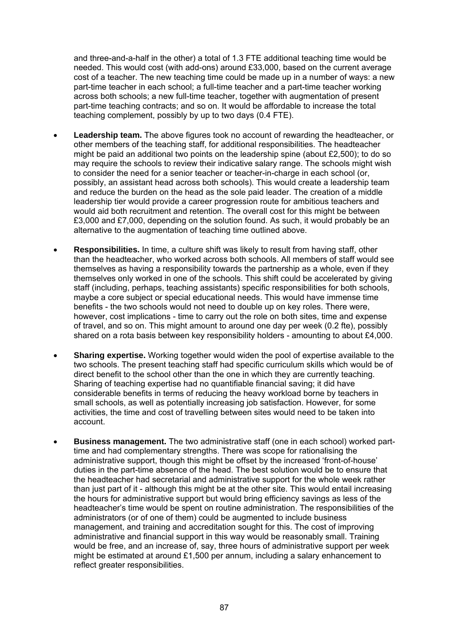and three-and-a-half in the other) a total of 1.3 FTE additional teaching time would be needed. This would cost (with add-ons) around £33,000, based on the current average cost of a teacher. The new teaching time could be made up in a number of ways: a new part-time teacher in each school; a full-time teacher and a part-time teacher working across both schools; a new full-time teacher, together with augmentation of present part-time teaching contracts; and so on. It would be affordable to increase the total teaching complement, possibly by up to two days (0.4 FTE).

- **Leadership team.** The above figures took no account of rewarding the headteacher, or other members of the teaching staff, for additional responsibilities. The headteacher might be paid an additional two points on the leadership spine (about  $£2,500$ ); to do so may require the schools to review their indicative salary range. The schools might wish to consider the need for a senior teacher or teacher-in-charge in each school (or, possibly, an assistant head across both schools). This would create a leadership team and reduce the burden on the head as the sole paid leader. The creation of a middle leadership tier would provide a career progression route for ambitious teachers and would aid both recruitment and retention. The overall cost for this might be between £3,000 and £7,000, depending on the solution found. As such, it would probably be an alternative to the augmentation of teaching time outlined above.
- **Responsibilities.** In time, a culture shift was likely to result from having staff, other than the headteacher, who worked across both schools. All members of staff would see themselves as having a responsibility towards the partnership as a whole, even if they themselves only worked in one of the schools. This shift could be accelerated by giving staff (including, perhaps, teaching assistants) specific responsibilities for both schools, maybe a core subject or special educational needs. This would have immense time benefits - the two schools would not need to double up on key roles. There were, however, cost implications - time to carry out the role on both sites, time and expense of travel, and so on. This might amount to around one day per week (0.2 fte), possibly shared on a rota basis between key responsibility holders - amounting to about £4,000.
- **Sharing expertise.** Working together would widen the pool of expertise available to the two schools. The present teaching staff had specific curriculum skills which would be of direct benefit to the school other than the one in which they are currently teaching. Sharing of teaching expertise had no quantifiable financial saving; it did have considerable benefits in terms of reducing the heavy workload borne by teachers in small schools, as well as potentially increasing job satisfaction. However, for some activities, the time and cost of travelling between sites would need to be taken into account.
- **Business management.** The two administrative staff (one in each school) worked parttime and had complementary strengths. There was scope for rationalising the administrative support, though this might be offset by the increased 'front-of-house' duties in the part-time absence of the head. The best solution would be to ensure that the headteacher had secretarial and administrative support for the whole week rather than just part of it - although this might be at the other site. This would entail increasing the hours for administrative support but would bring efficiency savings as less of the headteacher's time would be spent on routine administration. The responsibilities of the administrators (or of one of them) could be augmented to include business management, and training and accreditation sought for this. The cost of improving administrative and financial support in this way would be reasonably small. Training would be free, and an increase of, say, three hours of administrative support per week might be estimated at around £1,500 per annum, including a salary enhancement to reflect greater responsibilities.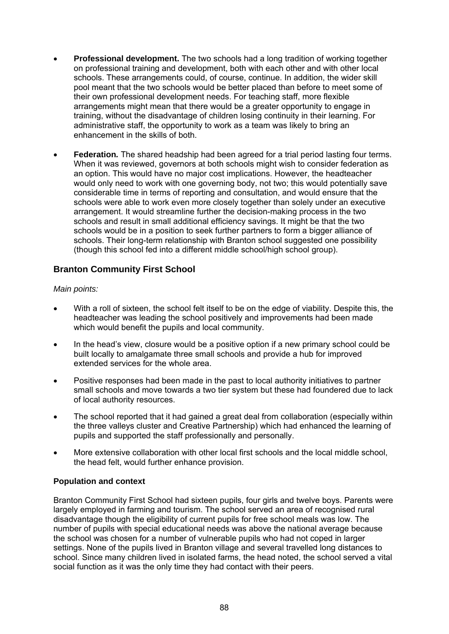- **Professional development.** The two schools had a long tradition of working together on professional training and development, both with each other and with other local schools. These arrangements could, of course, continue. In addition, the wider skill pool meant that the two schools would be better placed than before to meet some of their own professional development needs. For teaching staff, more flexible arrangements might mean that there would be a greater opportunity to engage in training, without the disadvantage of children losing continuity in their learning. For administrative staff, the opportunity to work as a team was likely to bring an enhancement in the skills of both.
- **Federation***.* The shared headship had been agreed for a trial period lasting four terms. When it was reviewed, governors at both schools might wish to consider federation as an option. This would have no major cost implications. However, the headteacher would only need to work with one governing body, not two; this would potentially save considerable time in terms of reporting and consultation, and would ensure that the schools were able to work even more closely together than solely under an executive arrangement. It would streamline further the decision-making process in the two schools and result in small additional efficiency savings. It might be that the two schools would be in a position to seek further partners to form a bigger alliance of schools. Their long-term relationship with Branton school suggested one possibility (though this school fed into a different middle school/high school group).

# **Branton Community First School**

#### *Main points:*

- With a roll of sixteen, the school felt itself to be on the edge of viability. Despite this, the headteacher was leading the school positively and improvements had been made which would benefit the pupils and local community.
- In the head's view, closure would be a positive option if a new primary school could be built locally to amalgamate three small schools and provide a hub for improved extended services for the whole area.
- Positive responses had been made in the past to local authority initiatives to partner small schools and move towards a two tier system but these had foundered due to lack of local authority resources.
- The school reported that it had gained a great deal from collaboration (especially within the three valleys cluster and Creative Partnership) which had enhanced the learning of pupils and supported the staff professionally and personally.
- More extensive collaboration with other local first schools and the local middle school, the head felt, would further enhance provision.

#### **Population and context**

Branton Community First School had sixteen pupils, four girls and twelve boys. Parents were largely employed in farming and tourism. The school served an area of recognised rural disadvantage though the eligibility of current pupils for free school meals was low. The number of pupils with special educational needs was above the national average because the school was chosen for a number of vulnerable pupils who had not coped in larger settings. None of the pupils lived in Branton village and several travelled long distances to school. Since many children lived in isolated farms, the head noted, the school served a vital social function as it was the only time they had contact with their peers.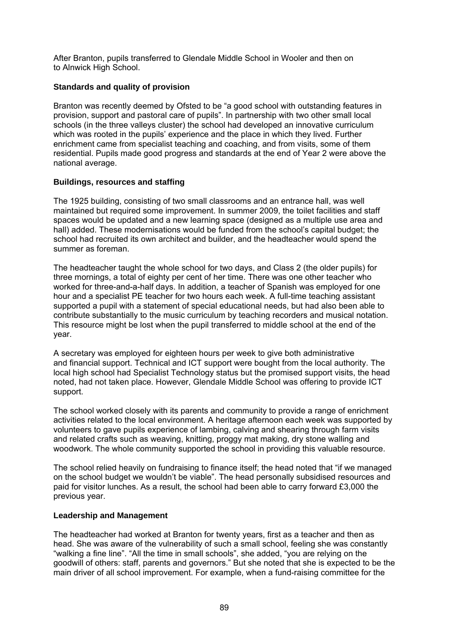After Branton, pupils transferred to Glendale Middle School in Wooler and then on to Alnwick High School.

#### **Standards and quality of provision**

Branton was recently deemed by Ofsted to be "a good school with outstanding features in provision, support and pastoral care of pupils". In partnership with two other small local schools (in the three valleys cluster) the school had developed an innovative curriculum which was rooted in the pupils' experience and the place in which they lived. Further enrichment came from specialist teaching and coaching, and from visits, some of them residential. Pupils made good progress and standards at the end of Year 2 were above the national average.

#### **Buildings, resources and staffing**

The 1925 building, consisting of two small classrooms and an entrance hall, was well maintained but required some improvement. In summer 2009, the toilet facilities and staff spaces would be updated and a new learning space (designed as a multiple use area and hall) added. These modernisations would be funded from the school's capital budget; the school had recruited its own architect and builder, and the headteacher would spend the summer as foreman.

The headteacher taught the whole school for two days, and Class 2 (the older pupils) for three mornings, a total of eighty per cent of her time. There was one other teacher who worked for three-and-a-half days. In addition, a teacher of Spanish was employed for one hour and a specialist PE teacher for two hours each week. A full-time teaching assistant supported a pupil with a statement of special educational needs, but had also been able to contribute substantially to the music curriculum by teaching recorders and musical notation. This resource might be lost when the pupil transferred to middle school at the end of the year.

A secretary was employed for eighteen hours per week to give both administrative and financial support. Technical and ICT support were bought from the local authority. The local high school had Specialist Technology status but the promised support visits, the head noted, had not taken place. However, Glendale Middle School was offering to provide ICT support.

The school worked closely with its parents and community to provide a range of enrichment activities related to the local environment. A heritage afternoon each week was supported by volunteers to gave pupils experience of lambing, calving and shearing through farm visits and related crafts such as weaving, knitting, proggy mat making, dry stone walling and woodwork. The whole community supported the school in providing this valuable resource.

The school relied heavily on fundraising to finance itself; the head noted that "if we managed on the school budget we wouldn't be viable". The head personally subsidised resources and paid for visitor lunches. As a result, the school had been able to carry forward £3,000 the previous year.

#### **Leadership and Management**

The headteacher had worked at Branton for twenty years, first as a teacher and then as head. She was aware of the vulnerability of such a small school, feeling she was constantly "walking a fine line". "All the time in small schools", she added, "you are relying on the goodwill of others: staff, parents and governors." But she noted that she is expected to be the main driver of all school improvement. For example, when a fund-raising committee for the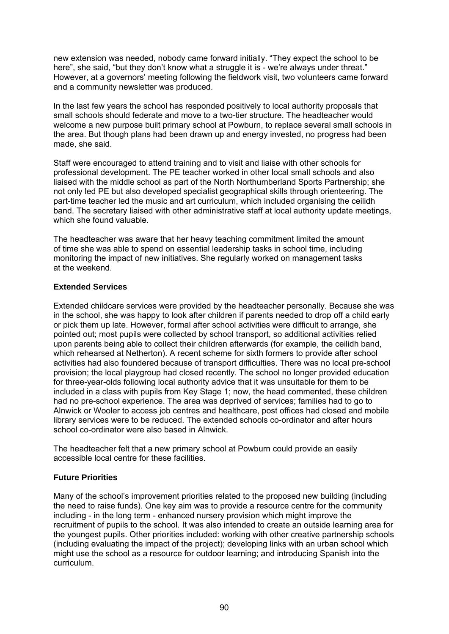new extension was needed, nobody came forward initially. "They expect the school to be here", she said, "but they don't know what a struggle it is - we're always under threat." However, at a governors' meeting following the fieldwork visit, two volunteers came forward and a community newsletter was produced.

In the last few years the school has responded positively to local authority proposals that small schools should federate and move to a two-tier structure. The headteacher would welcome a new purpose built primary school at Powburn, to replace several small schools in the area. But though plans had been drawn up and energy invested, no progress had been made, she said.

Staff were encouraged to attend training and to visit and liaise with other schools for professional development. The PE teacher worked in other local small schools and also liaised with the middle school as part of the North Northumberland Sports Partnership; she not only led PE but also developed specialist geographical skills through orienteering. The part-time teacher led the music and art curriculum, which included organising the ceilidh band. The secretary liaised with other administrative staff at local authority update meetings, which she found valuable.

The headteacher was aware that her heavy teaching commitment limited the amount of time she was able to spend on essential leadership tasks in school time, including monitoring the impact of new initiatives. She regularly worked on management tasks at the weekend.

#### **Extended Services**

Extended childcare services were provided by the headteacher personally. Because she was in the school, she was happy to look after children if parents needed to drop off a child early or pick them up late. However, formal after school activities were difficult to arrange, she pointed out; most pupils were collected by school transport, so additional activities relied upon parents being able to collect their children afterwards (for example, the ceilidh band, which rehearsed at Netherton). A recent scheme for sixth formers to provide after school activities had also foundered because of transport difficulties. There was no local pre-school provision; the local playgroup had closed recently. The school no longer provided education for three-year-olds following local authority advice that it was unsuitable for them to be included in a class with pupils from Key Stage 1; now, the head commented, these children had no pre-school experience. The area was deprived of services; families had to go to Alnwick or Wooler to access job centres and healthcare, post offices had closed and mobile library services were to be reduced. The extended schools co-ordinator and after hours school co-ordinator were also based in Alnwick.

The headteacher felt that a new primary school at Powburn could provide an easily accessible local centre for these facilities.

#### **Future Priorities**

Many of the school's improvement priorities related to the proposed new building (including the need to raise funds). One key aim was to provide a resource centre for the community including - in the long term - enhanced nursery provision which might improve the recruitment of pupils to the school. It was also intended to create an outside learning area for the youngest pupils. Other priorities included: working with other creative partnership schools (including evaluating the impact of the project); developing links with an urban school which might use the school as a resource for outdoor learning; and introducing Spanish into the curriculum.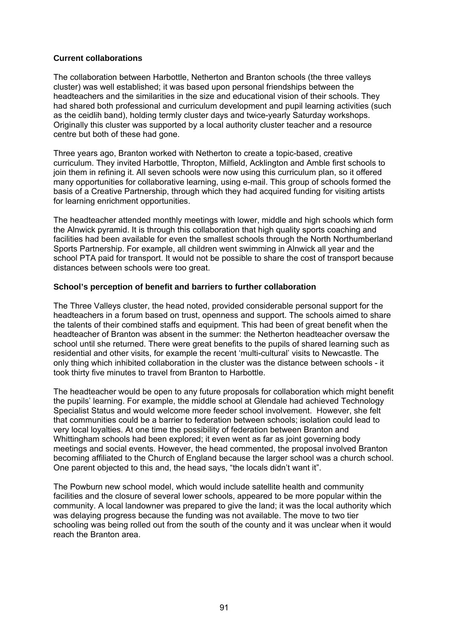#### **Current collaborations**

The collaboration between Harbottle, Netherton and Branton schools (the three valleys cluster) was well established; it was based upon personal friendships between the headteachers and the similarities in the size and educational vision of their schools. They had shared both professional and curriculum development and pupil learning activities (such as the ceidlih band), holding termly cluster days and twice-yearly Saturday workshops. Originally this cluster was supported by a local authority cluster teacher and a resource centre but both of these had gone.

Three years ago, Branton worked with Netherton to create a topic-based, creative curriculum. They invited Harbottle, Thropton, Milfield, Acklington and Amble first schools to join them in refining it. All seven schools were now using this curriculum plan, so it offered many opportunities for collaborative learning, using e-mail. This group of schools formed the basis of a Creative Partnership, through which they had acquired funding for visiting artists for learning enrichment opportunities.

The headteacher attended monthly meetings with lower, middle and high schools which form the Alnwick pyramid. It is through this collaboration that high quality sports coaching and facilities had been available for even the smallest schools through the North Northumberland Sports Partnership. For example, all children went swimming in Alnwick all year and the school PTA paid for transport. It would not be possible to share the cost of transport because distances between schools were too great.

### **School's perception of benefit and barriers to further collaboration**

The Three Valleys cluster, the head noted, provided considerable personal support for the headteachers in a forum based on trust, openness and support. The schools aimed to share the talents of their combined staffs and equipment. This had been of great benefit when the headteacher of Branton was absent in the summer: the Netherton headteacher oversaw the school until she returned. There were great benefits to the pupils of shared learning such as residential and other visits, for example the recent 'multi-cultural' visits to Newcastle. The only thing which inhibited collaboration in the cluster was the distance between schools - it took thirty five minutes to travel from Branton to Harbottle.

The headteacher would be open to any future proposals for collaboration which might benefit the pupils' learning. For example, the middle school at Glendale had achieved Technology Specialist Status and would welcome more feeder school involvement. However, she felt that communities could be a barrier to federation between schools; isolation could lead to very local loyalties. At one time the possibility of federation between Branton and Whittingham schools had been explored; it even went as far as joint governing body meetings and social events. However, the head commented, the proposal involved Branton becoming affiliated to the Church of England because the larger school was a church school. One parent objected to this and, the head says, "the locals didn't want it".

The Powburn new school model, which would include satellite health and community facilities and the closure of several lower schools, appeared to be more popular within the community. A local landowner was prepared to give the land; it was the local authority which was delaying progress because the funding was not available. The move to two tier schooling was being rolled out from the south of the county and it was unclear when it would reach the Branton area.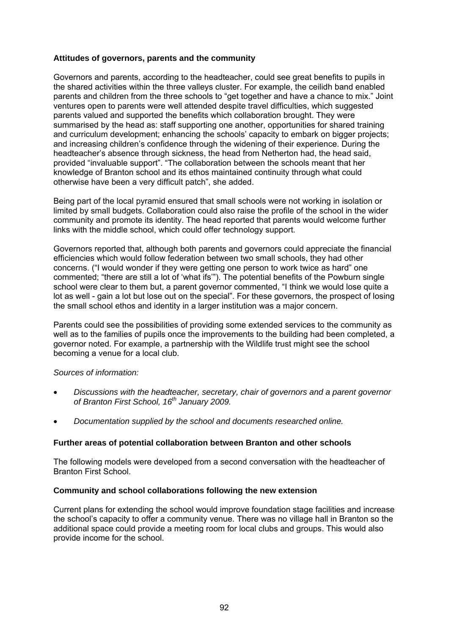#### **Attitudes of governors, parents and the community**

Governors and parents, according to the headteacher, could see great benefits to pupils in the shared activities within the three valleys cluster. For example, the ceilidh band enabled parents and children from the three schools to "get together and have a chance to mix." Joint ventures open to parents were well attended despite travel difficulties, which suggested parents valued and supported the benefits which collaboration brought. They were summarised by the head as: staff supporting one another, opportunities for shared training and curriculum development; enhancing the schools' capacity to embark on bigger projects; and increasing children's confidence through the widening of their experience. During the headteacher's absence through sickness, the head from Netherton had, the head said, provided "invaluable support". "The collaboration between the schools meant that her knowledge of Branton school and its ethos maintained continuity through what could otherwise have been a very difficult patch", she added.

Being part of the local pyramid ensured that small schools were not working in isolation or limited by small budgets. Collaboration could also raise the profile of the school in the wider community and promote its identity. The head reported that parents would welcome further links with the middle school, which could offer technology support.

Governors reported that, although both parents and governors could appreciate the financial efficiencies which would follow federation between two small schools, they had other concerns. ("I would wonder if they were getting one person to work twice as hard" one commented; "there are still a lot of 'what ifs'"). The potential benefits of the Powburn single school were clear to them but, a parent governor commented, "I think we would lose quite a lot as well - gain a lot but lose out on the special". For these governors, the prospect of losing the small school ethos and identity in a larger institution was a major concern.

Parents could see the possibilities of providing some extended services to the community as well as to the families of pupils once the improvements to the building had been completed, a governor noted. For example, a partnership with the Wildlife trust might see the school becoming a venue for a local club.

#### *Sources of information:*

- *Discussions with the headteacher, secretary, chair of governors and a parent governor of Branton First School, 16th January 2009.*
- *Documentation supplied by the school and documents researched online.*

#### **Further areas of potential collaboration between Branton and other schools**

The following models were developed from a second conversation with the headteacher of Branton First School.

#### **Community and school collaborations following the new extension**

Current plans for extending the school would improve foundation stage facilities and increase the school's capacity to offer a community venue. There was no village hall in Branton so the additional space could provide a meeting room for local clubs and groups. This would also provide income for the school.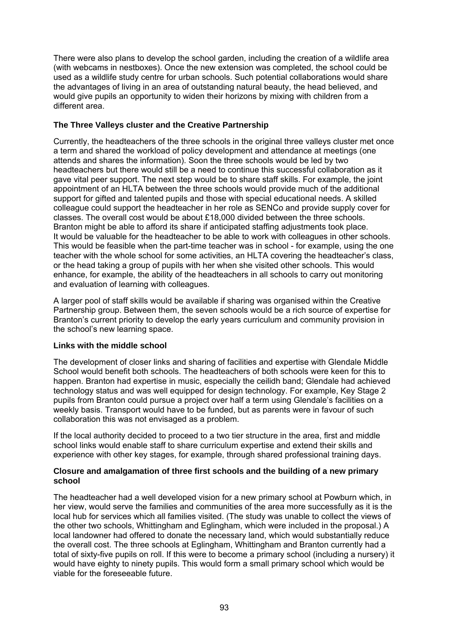There were also plans to develop the school garden, including the creation of a wildlife area (with webcams in nestboxes). Once the new extension was completed, the school could be used as a wildlife study centre for urban schools. Such potential collaborations would share the advantages of living in an area of outstanding natural beauty, the head believed, and would give pupils an opportunity to widen their horizons by mixing with children from a different area.

### **The Three Valleys cluster and the Creative Partnership**

Currently, the headteachers of the three schools in the original three valleys cluster met once a term and shared the workload of policy development and attendance at meetings (one attends and shares the information). Soon the three schools would be led by two headteachers but there would still be a need to continue this successful collaboration as it gave vital peer support. The next step would be to share staff skills. For example, the joint appointment of an HLTA between the three schools would provide much of the additional support for gifted and talented pupils and those with special educational needs. A skilled colleague could support the headteacher in her role as SENCo and provide supply cover for classes. The overall cost would be about £18,000 divided between the three schools. Branton might be able to afford its share if anticipated staffing adjustments took place. It would be valuable for the headteacher to be able to work with colleagues in other schools. This would be feasible when the part-time teacher was in school - for example, using the one teacher with the whole school for some activities, an HLTA covering the headteacher's class, or the head taking a group of pupils with her when she visited other schools. This would enhance, for example, the ability of the headteachers in all schools to carry out monitoring and evaluation of learning with colleagues.

A larger pool of staff skills would be available if sharing was organised within the Creative Partnership group. Between them, the seven schools would be a rich source of expertise for Branton's current priority to develop the early years curriculum and community provision in the school's new learning space.

#### **Links with the middle school**

The development of closer links and sharing of facilities and expertise with Glendale Middle School would benefit both schools. The headteachers of both schools were keen for this to happen. Branton had expertise in music, especially the ceilidh band; Glendale had achieved technology status and was well equipped for design technology. For example, Key Stage 2 pupils from Branton could pursue a project over half a term using Glendale's facilities on a weekly basis. Transport would have to be funded, but as parents were in favour of such collaboration this was not envisaged as a problem.

If the local authority decided to proceed to a two tier structure in the area, first and middle school links would enable staff to share curriculum expertise and extend their skills and experience with other key stages, for example, through shared professional training days.

#### **Closure and amalgamation of three first schools and the building of a new primary school**

The headteacher had a well developed vision for a new primary school at Powburn which, in her view, would serve the families and communities of the area more successfully as it is the local hub for services which all families visited. (The study was unable to collect the views of the other two schools, Whittingham and Eglingham, which were included in the proposal.) A local landowner had offered to donate the necessary land, which would substantially reduce the overall cost. The three schools at Eglingham, Whittingham and Branton currently had a total of sixty-five pupils on roll. If this were to become a primary school (including a nursery) it would have eighty to ninety pupils. This would form a small primary school which would be viable for the foreseeable future.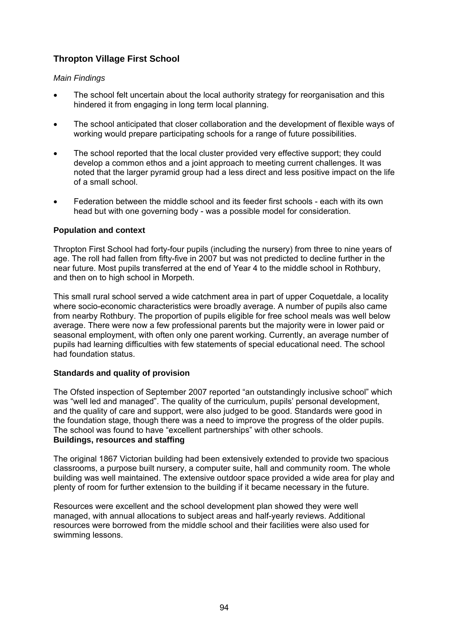# **Thropton Village First School**

#### *Main Findings*

- The school felt uncertain about the local authority strategy for reorganisation and this hindered it from engaging in long term local planning.
- The school anticipated that closer collaboration and the development of flexible ways of working would prepare participating schools for a range of future possibilities.
- The school reported that the local cluster provided very effective support; they could develop a common ethos and a joint approach to meeting current challenges. It was noted that the larger pyramid group had a less direct and less positive impact on the life of a small school.
- Federation between the middle school and its feeder first schools each with its own head but with one governing body - was a possible model for consideration.

#### **Population and context**

Thropton First School had forty-four pupils (including the nursery) from three to nine years of age. The roll had fallen from fifty-five in 2007 but was not predicted to decline further in the near future. Most pupils transferred at the end of Year 4 to the middle school in Rothbury, and then on to high school in Morpeth.

This small rural school served a wide catchment area in part of upper Coquetdale, a locality where socio-economic characteristics were broadly average. A number of pupils also came from nearby Rothbury. The proportion of pupils eligible for free school meals was well below average. There were now a few professional parents but the majority were in lower paid or seasonal employment, with often only one parent working. Currently, an average number of pupils had learning difficulties with few statements of special educational need. The school had foundation status.

#### **Standards and quality of provision**

The Ofsted inspection of September 2007 reported "an outstandingly inclusive school" which was "well led and managed". The quality of the curriculum, pupils' personal development, and the quality of care and support, were also judged to be good. Standards were good in the foundation stage, though there was a need to improve the progress of the older pupils. The school was found to have "excellent partnerships" with other schools. **Buildings, resources and staffing** 

The original 1867 Victorian building had been extensively extended to provide two spacious classrooms, a purpose built nursery, a computer suite, hall and community room. The whole building was well maintained. The extensive outdoor space provided a wide area for play and plenty of room for further extension to the building if it became necessary in the future.

Resources were excellent and the school development plan showed they were well managed, with annual allocations to subject areas and half-yearly reviews. Additional resources were borrowed from the middle school and their facilities were also used for swimming lessons.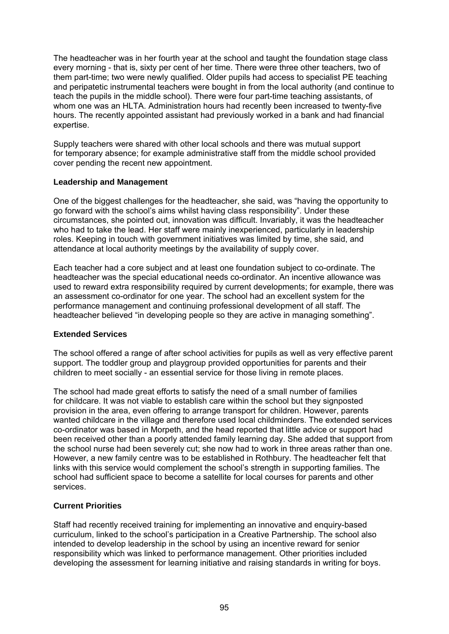The headteacher was in her fourth year at the school and taught the foundation stage class every morning - that is, sixty per cent of her time. There were three other teachers, two of them part-time; two were newly qualified. Older pupils had access to specialist PE teaching and peripatetic instrumental teachers were bought in from the local authority (and continue to teach the pupils in the middle school). There were four part-time teaching assistants, of whom one was an HLTA. Administration hours had recently been increased to twenty-five hours. The recently appointed assistant had previously worked in a bank and had financial expertise.

Supply teachers were shared with other local schools and there was mutual support for temporary absence; for example administrative staff from the middle school provided cover pending the recent new appointment.

#### **Leadership and Management**

One of the biggest challenges for the headteacher, she said, was "having the opportunity to go forward with the school's aims whilst having class responsibility". Under these circumstances, she pointed out, innovation was difficult. Invariably, it was the headteacher who had to take the lead. Her staff were mainly inexperienced, particularly in leadership roles. Keeping in touch with government initiatives was limited by time, she said, and attendance at local authority meetings by the availability of supply cover.

Each teacher had a core subject and at least one foundation subject to co-ordinate. The headteacher was the special educational needs co-ordinator. An incentive allowance was used to reward extra responsibility required by current developments; for example, there was an assessment co-ordinator for one year. The school had an excellent system for the performance management and continuing professional development of all staff. The headteacher believed "in developing people so they are active in managing something".

#### **Extended Services**

The school offered a range of after school activities for pupils as well as very effective parent support. The toddler group and playgroup provided opportunities for parents and their children to meet socially - an essential service for those living in remote places.

The school had made great efforts to satisfy the need of a small number of families for childcare. It was not viable to establish care within the school but they signposted provision in the area, even offering to arrange transport for children. However, parents wanted childcare in the village and therefore used local childminders. The extended services co-ordinator was based in Morpeth, and the head reported that little advice or support had been received other than a poorly attended family learning day. She added that support from the school nurse had been severely cut; she now had to work in three areas rather than one. However, a new family centre was to be established in Rothbury. The headteacher felt that links with this service would complement the school's strength in supporting families. The school had sufficient space to become a satellite for local courses for parents and other services.

#### **Current Priorities**

Staff had recently received training for implementing an innovative and enquiry-based curriculum, linked to the school's participation in a Creative Partnership. The school also intended to develop leadership in the school by using an incentive reward for senior responsibility which was linked to performance management. Other priorities included developing the assessment for learning initiative and raising standards in writing for boys.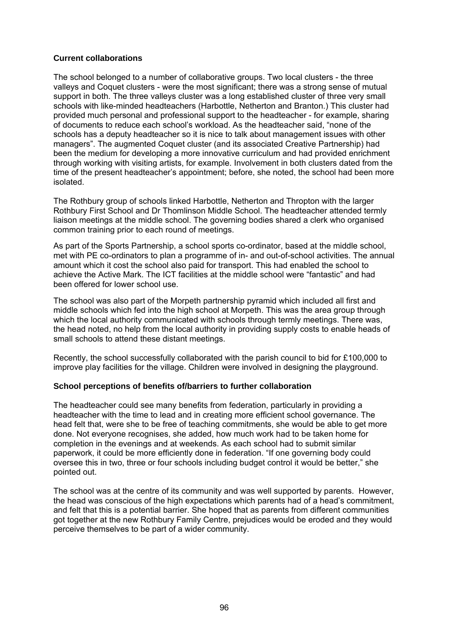#### **Current collaborations**

The school belonged to a number of collaborative groups. Two local clusters - the three valleys and Coquet clusters - were the most significant; there was a strong sense of mutual support in both. The three valleys cluster was a long established cluster of three very small schools with like-minded headteachers (Harbottle, Netherton and Branton.) This cluster had provided much personal and professional support to the headteacher - for example, sharing of documents to reduce each school's workload. As the headteacher said, "none of the schools has a deputy headteacher so it is nice to talk about management issues with other managers". The augmented Coquet cluster (and its associated Creative Partnership) had been the medium for developing a more innovative curriculum and had provided enrichment through working with visiting artists, for example. Involvement in both clusters dated from the time of the present headteacher's appointment; before, she noted, the school had been more isolated.

The Rothbury group of schools linked Harbottle, Netherton and Thropton with the larger Rothbury First School and Dr Thomlinson Middle School. The headteacher attended termly liaison meetings at the middle school. The governing bodies shared a clerk who organised common training prior to each round of meetings.

As part of the Sports Partnership, a school sports co-ordinator, based at the middle school, met with PE co-ordinators to plan a programme of in- and out-of-school activities. The annual amount which it cost the school also paid for transport. This had enabled the school to achieve the Active Mark. The ICT facilities at the middle school were "fantastic" and had been offered for lower school use.

The school was also part of the Morpeth partnership pyramid which included all first and middle schools which fed into the high school at Morpeth. This was the area group through which the local authority communicated with schools through termly meetings. There was, the head noted, no help from the local authority in providing supply costs to enable heads of small schools to attend these distant meetings.

Recently, the school successfully collaborated with the parish council to bid for £100,000 to improve play facilities for the village. Children were involved in designing the playground.

#### **School perceptions of benefits of/barriers to further collaboration**

The headteacher could see many benefits from federation, particularly in providing a headteacher with the time to lead and in creating more efficient school governance. The head felt that, were she to be free of teaching commitments, she would be able to get more done. Not everyone recognises, she added, how much work had to be taken home for completion in the evenings and at weekends. As each school had to submit similar paperwork, it could be more efficiently done in federation. "If one governing body could oversee this in two, three or four schools including budget control it would be better," she pointed out.

The school was at the centre of its community and was well supported by parents. However, the head was conscious of the high expectations which parents had of a head's commitment, and felt that this is a potential barrier. She hoped that as parents from different communities got together at the new Rothbury Family Centre, prejudices would be eroded and they would perceive themselves to be part of a wider community.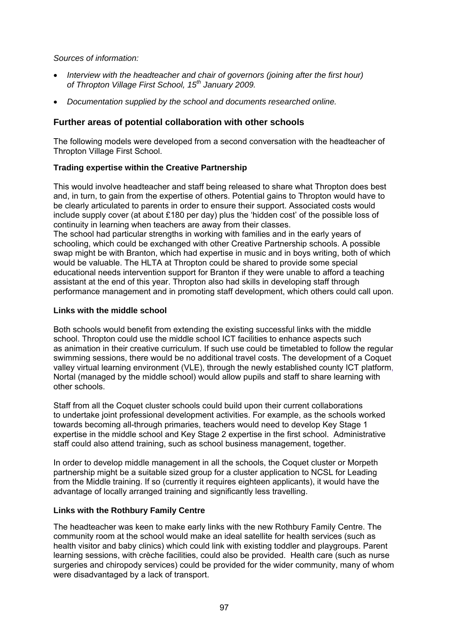*Sources of information:* 

- *Interview with the headteacher and chair of governors (joining after the first hour) of Thropton Village First School, 15th January 2009.*
- *Documentation supplied by the school and documents researched online.*

# **Further areas of potential collaboration with other schools**

The following models were developed from a second conversation with the headteacher of Thropton Village First School.

# **Trading expertise within the Creative Partnership**

This would involve headteacher and staff being released to share what Thropton does best and, in turn, to gain from the expertise of others. Potential gains to Thropton would have to be clearly articulated to parents in order to ensure their support. Associated costs would include supply cover (at about £180 per day) plus the 'hidden cost' of the possible loss of continuity in learning when teachers are away from their classes.

The school had particular strengths in working with families and in the early years of schooling, which could be exchanged with other Creative Partnership schools. A possible swap might be with Branton, which had expertise in music and in boys writing, both of which would be valuable. The HLTA at Thropton could be shared to provide some special educational needs intervention support for Branton if they were unable to afford a teaching assistant at the end of this year. Thropton also had skills in developing staff through performance management and in promoting staff development, which others could call upon.

### **Links with the middle school**

Both schools would benefit from extending the existing successful links with the middle school. Thropton could use the middle school ICT facilities to enhance aspects such as animation in their creative curriculum. If such use could be timetabled to follow the regular swimming sessions, there would be no additional travel costs. The development of a Coquet valley virtual learning environment (VLE), through the newly established county ICT platform, Nortal (managed by the middle school) would allow pupils and staff to share learning with other schools.

Staff from all the Coquet cluster schools could build upon their current collaborations to undertake joint professional development activities. For example, as the schools worked towards becoming all-through primaries, teachers would need to develop Key Stage 1 expertise in the middle school and Key Stage 2 expertise in the first school. Administrative staff could also attend training, such as school business management, together.

In order to develop middle management in all the schools, the Coquet cluster or Morpeth partnership might be a suitable sized group for a cluster application to NCSL for Leading from the Middle training. If so (currently it requires eighteen applicants), it would have the advantage of locally arranged training and significantly less travelling.

#### **Links with the Rothbury Family Centre**

The headteacher was keen to make early links with the new Rothbury Family Centre. The community room at the school would make an ideal satellite for health services (such as health visitor and baby clinics) which could link with existing toddler and playgroups. Parent learning sessions, with crèche facilities, could also be provided. Health care (such as nurse surgeries and chiropody services) could be provided for the wider community, many of whom were disadvantaged by a lack of transport.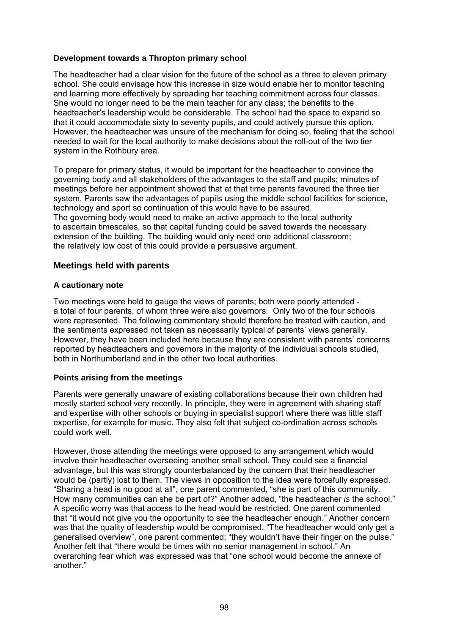### **Development towards a Thropton primary school**

The headteacher had a clear vision for the future of the school as a three to eleven primary school. She could envisage how this increase in size would enable her to monitor teaching and learning more effectively by spreading her teaching commitment across four classes. She would no longer need to be the main teacher for any class; the benefits to the headteacher's leadership would be considerable. The school had the space to expand so that it could accommodate sixty to seventy pupils, and could actively pursue this option. However, the headteacher was unsure of the mechanism for doing so, feeling that the school needed to wait for the local authority to make decisions about the roll-out of the two tier system in the Rothbury area.

To prepare for primary status, it would be important for the headteacher to convince the governing body and all stakeholders of the advantages to the staff and pupils; minutes of meetings before her appointment showed that at that time parents favoured the three tier system. Parents saw the advantages of pupils using the middle school facilities for science, technology and sport so continuation of this would have to be assured. The governing body would need to make an active approach to the local authority to ascertain timescales, so that capital funding could be saved towards the necessary extension of the building. The building would only need one additional classroom; the relatively low cost of this could provide a persuasive argument.

### **Meetings held with parents**

#### **A cautionary note**

Two meetings were held to gauge the views of parents; both were poorly attended a total of four parents, of whom three were also governors. Only two of the four schools were represented. The following commentary should therefore be treated with caution, and the sentiments expressed not taken as necessarily typical of parents' views generally. However, they have been included here because they are consistent with parents' concerns reported by headteachers and governors in the majority of the individual schools studied, both in Northumberland and in the other two local authorities.

#### **Points arising from the meetings**

Parents were generally unaware of existing collaborations because their own children had mostly started school very recently. In principle, they were in agreement with sharing staff and expertise with other schools or buying in specialist support where there was little staff expertise, for example for music. They also felt that subject co-ordination across schools could work well.

However, those attending the meetings were opposed to any arrangement which would involve their headteacher overseeing another small school. They could see a financial advantage, but this was strongly counterbalanced by the concern that their headteacher would be (partly) lost to them. The views in opposition to the idea were forcefully expressed. "Sharing a head is no good at all", one parent commented, "she is part of this community. How many communities can she be part of?" Another added, "the headteacher *is* the school." A specific worry was that access to the head would be restricted. One parent commented that "it would not give you the opportunity to see the headteacher enough." Another concern was that the quality of leadership would be compromised. "The headteacher would only get a generalised overview", one parent commented; "they wouldn't have their finger on the pulse." Another felt that "there would be times with no senior management in school." An overarching fear which was expressed was that "one school would become the annexe of another."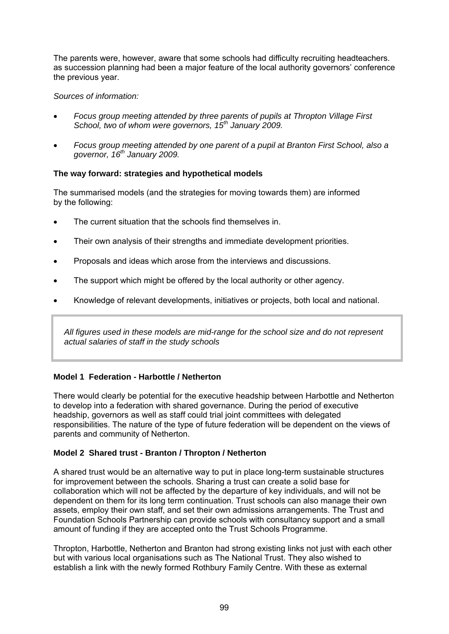The parents were, however, aware that some schools had difficulty recruiting headteachers. as succession planning had been a major feature of the local authority governors' conference the previous year.

#### *Sources of information:*

- *Focus group meeting attended by three parents of pupils at Thropton Village First School, two of whom were governors, 15th January 2009.*
- *Focus group meeting attended by one parent of a pupil at Branton First School, also a governor, 16th January 2009.*

### **The way forward: strategies and hypothetical models**

The summarised models (and the strategies for moving towards them) are informed by the following:

- The current situation that the schools find themselves in.
- Their own analysis of their strengths and immediate development priorities.
- Proposals and ideas which arose from the interviews and discussions.
- The support which might be offered by the local authority or other agency.
- Knowledge of relevant developments, initiatives or projects, both local and national.

*All figures used in these models are mid-range for the school size and do not represent actual salaries of staff in the study schools* 

#### **Model 1 Federation - Harbottle / Netherton**

There would clearly be potential for the executive headship between Harbottle and Netherton to develop into a federation with shared governance. During the period of executive headship, governors as well as staff could trial joint committees with delegated responsibilities. The nature of the type of future federation will be dependent on the views of parents and community of Netherton.

#### **Model 2 Shared trust - Branton / Thropton / Netherton**

A shared trust would be an alternative way to put in place long-term sustainable structures for improvement between the schools. Sharing a trust can create a solid base for collaboration which will not be affected by the departure of key individuals, and will not be dependent on them for its long term continuation. Trust schools can also manage their own assets, employ their own staff, and set their own admissions arrangements. The Trust and Foundation Schools Partnership can provide schools with consultancy support and a small amount of funding if they are accepted onto the Trust Schools Programme.

Thropton, Harbottle, Netherton and Branton had strong existing links not just with each other but with various local organisations such as The National Trust. They also wished to establish a link with the newly formed Rothbury Family Centre. With these as external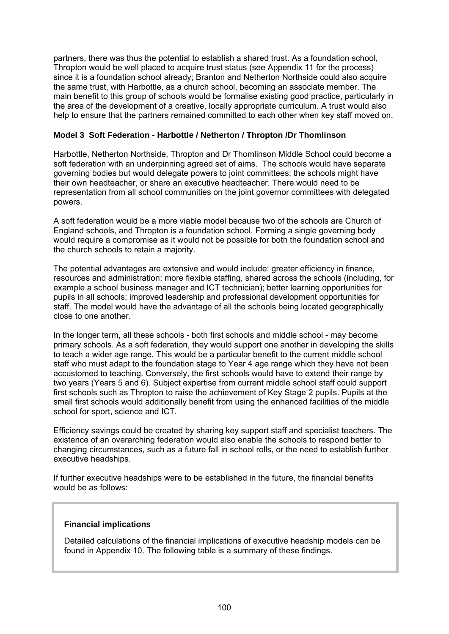partners, there was thus the potential to establish a shared trust. As a foundation school, Thropton would be well placed to acquire trust status (see Appendix 11 for the process) since it is a foundation school already; Branton and Netherton Northside could also acquire the same trust, with Harbottle, as a church school, becoming an associate member. The main benefit to this group of schools would be formalise existing good practice, particularly in the area of the development of a creative, locally appropriate curriculum. A trust would also help to ensure that the partners remained committed to each other when key staff moved on.

#### **Model 3 Soft Federation - Harbottle / Netherton / Thropton /Dr Thomlinson**

Harbottle, Netherton Northside, Thropton and Dr Thomlinson Middle School could become a soft federation with an underpinning agreed set of aims. The schools would have separate governing bodies but would delegate powers to joint committees; the schools might have their own headteacher, or share an executive headteacher. There would need to be representation from all school communities on the joint governor committees with delegated powers.

A soft federation would be a more viable model because two of the schools are Church of England schools, and Thropton is a foundation school. Forming a single governing body would require a compromise as it would not be possible for both the foundation school and the church schools to retain a majority.

The potential advantages are extensive and would include: greater efficiency in finance, resources and administration; more flexible staffing, shared across the schools (including, for example a school business manager and ICT technician); better learning opportunities for pupils in all schools; improved leadership and professional development opportunities for staff. The model would have the advantage of all the schools being located geographically close to one another.

In the longer term, all these schools - both first schools and middle school - may become primary schools. As a soft federation, they would support one another in developing the skills to teach a wider age range. This would be a particular benefit to the current middle school staff who must adapt to the foundation stage to Year 4 age range which they have not been accustomed to teaching. Conversely, the first schools would have to extend their range by two years (Years 5 and 6). Subject expertise from current middle school staff could support first schools such as Thropton to raise the achievement of Key Stage 2 pupils. Pupils at the small first schools would additionally benefit from using the enhanced facilities of the middle school for sport, science and ICT.

Efficiency savings could be created by sharing key support staff and specialist teachers. The existence of an overarching federation would also enable the schools to respond better to changing circumstances, such as a future fall in school rolls, or the need to establish further executive headships.

If further executive headships were to be established in the future, the financial benefits would be as follows:

#### **Financial implications**

Detailed calculations of the financial implications of executive headship models can be found in Appendix 10. The following table is a summary of these findings.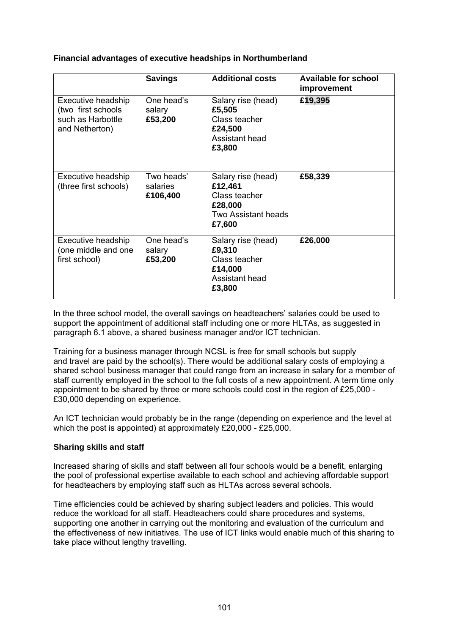### **Financial advantages of executive headships in Northumberland**

|                                                                                 | <b>Savings</b>                     | <b>Additional costs</b>                                                                    | <b>Available for school</b><br>improvement |
|---------------------------------------------------------------------------------|------------------------------------|--------------------------------------------------------------------------------------------|--------------------------------------------|
| Executive headship<br>(two first schools<br>such as Harbottle<br>and Netherton) | One head's<br>salary<br>£53,200    | Salary rise (head)<br>£5,505<br>Class teacher<br>£24,500<br>Assistant head<br>£3,800       | £19,395                                    |
| Executive headship<br>(three first schools)                                     | Two heads'<br>salaries<br>£106,400 | Salary rise (head)<br>£12,461<br>Class teacher<br>£28,000<br>Two Assistant heads<br>£7,600 | £58,339                                    |
| Executive headship<br>(one middle and one<br>first school)                      | One head's<br>salary<br>£53,200    | Salary rise (head)<br>£9,310<br>Class teacher<br>£14,000<br>Assistant head<br>£3,800       | £26,000                                    |

In the three school model, the overall savings on headteachers' salaries could be used to support the appointment of additional staff including one or more HLTAs, as suggested in paragraph 6.1 above, a shared business manager and/or ICT technician.

Training for a business manager through NCSL is free for small schools but supply and travel are paid by the school(s). There would be additional salary costs of employing a shared school business manager that could range from an increase in salary for a member of staff currently employed in the school to the full costs of a new appointment. A term time only appointment to be shared by three or more schools could cost in the region of £25,000 - £30,000 depending on experience.

An ICT technician would probably be in the range (depending on experience and the level at which the post is appointed) at approximately £20,000 - £25,000.

#### **Sharing skills and staff**

Increased sharing of skills and staff between all four schools would be a benefit, enlarging the pool of professional expertise available to each school and achieving affordable support for headteachers by employing staff such as HLTAs across several schools.

Time efficiencies could be achieved by sharing subject leaders and policies. This would reduce the workload for all staff. Headteachers could share procedures and systems, supporting one another in carrying out the monitoring and evaluation of the curriculum and the effectiveness of new initiatives. The use of ICT links would enable much of this sharing to take place without lengthy travelling.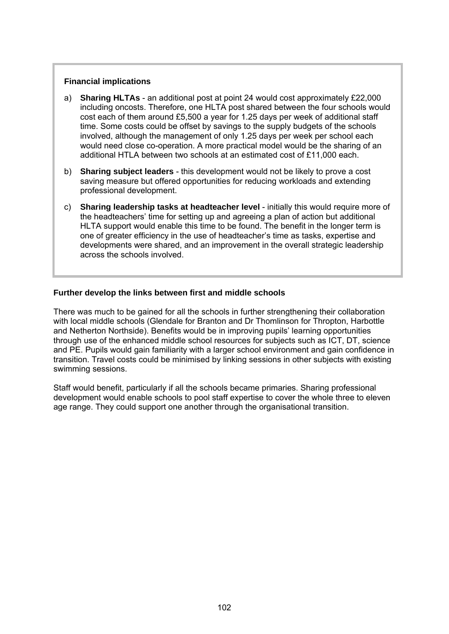#### **Financial implications**

- a) **Sharing HLTAs** an additional post at point 24 would cost approximately £22,000 including oncosts. Therefore, one HLTA post shared between the four schools would cost each of them around £5,500 a year for 1.25 days per week of additional staff time. Some costs could be offset by savings to the supply budgets of the schools involved, although the management of only 1.25 days per week per school each would need close co-operation. A more practical model would be the sharing of an additional HTLA between two schools at an estimated cost of £11,000 each.
- b) **Sharing subject leaders** this development would not be likely to prove a cost saving measure but offered opportunities for reducing workloads and extending professional development.
- c) **Sharing leadership tasks at headteacher level** initially this would require more of the headteachers' time for setting up and agreeing a plan of action but additional HLTA support would enable this time to be found. The benefit in the longer term is one of greater efficiency in the use of headteacher's time as tasks, expertise and developments were shared, and an improvement in the overall strategic leadership across the schools involved.

#### **Further develop the links between first and middle schools**

There was much to be gained for all the schools in further strengthening their collaboration with local middle schools (Glendale for Branton and Dr Thomlinson for Thropton, Harbottle and Netherton Northside). Benefits would be in improving pupils' learning opportunities through use of the enhanced middle school resources for subjects such as ICT, DT, science and PE. Pupils would gain familiarity with a larger school environment and gain confidence in transition. Travel costs could be minimised by linking sessions in other subjects with existing swimming sessions.

Staff would benefit, particularly if all the schools became primaries. Sharing professional development would enable schools to pool staff expertise to cover the whole three to eleven age range. They could support one another through the organisational transition.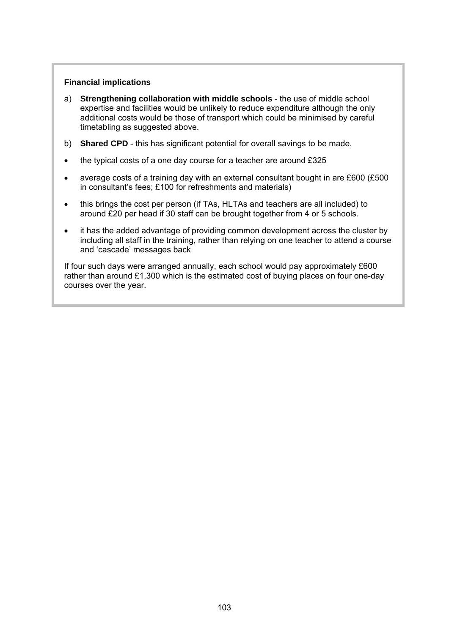#### **Financial implications**

- a) **Strengthening collaboration with middle schools** the use of middle school expertise and facilities would be unlikely to reduce expenditure although the only additional costs would be those of transport which could be minimised by careful timetabling as suggested above.
- b) **Shared CPD** this has significant potential for overall savings to be made.
- the typical costs of a one day course for a teacher are around £325
- average costs of a training day with an external consultant bought in are £600 (£500 in consultant's fees; £100 for refreshments and materials)
- this brings the cost per person (if TAs, HLTAs and teachers are all included) to around £20 per head if 30 staff can be brought together from 4 or 5 schools.
- it has the added advantage of providing common development across the cluster by including all staff in the training, rather than relying on one teacher to attend a course and 'cascade' messages back

If four such days were arranged annually, each school would pay approximately £600 rather than around £1,300 which is the estimated cost of buying places on four one-day courses over the year.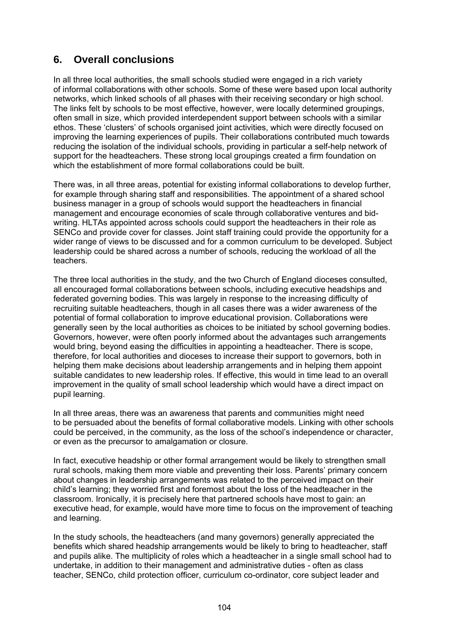# **6. Overall conclusions**

In all three local authorities, the small schools studied were engaged in a rich variety of informal collaborations with other schools. Some of these were based upon local authority networks, which linked schools of all phases with their receiving secondary or high school. The links felt by schools to be most effective, however, were locally determined groupings, often small in size, which provided interdependent support between schools with a similar ethos. These 'clusters' of schools organised joint activities, which were directly focused on improving the learning experiences of pupils. Their collaborations contributed much towards reducing the isolation of the individual schools, providing in particular a self-help network of support for the headteachers. These strong local groupings created a firm foundation on which the establishment of more formal collaborations could be built.

There was, in all three areas, potential for existing informal collaborations to develop further, for example through sharing staff and responsibilities. The appointment of a shared school business manager in a group of schools would support the headteachers in financial management and encourage economies of scale through collaborative ventures and bidwriting. HLTAs appointed across schools could support the headteachers in their role as SENCo and provide cover for classes. Joint staff training could provide the opportunity for a wider range of views to be discussed and for a common curriculum to be developed. Subject leadership could be shared across a number of schools, reducing the workload of all the teachers.

The three local authorities in the study, and the two Church of England dioceses consulted, all encouraged formal collaborations between schools, including executive headships and federated governing bodies. This was largely in response to the increasing difficulty of recruiting suitable headteachers, though in all cases there was a wider awareness of the potential of formal collaboration to improve educational provision. Collaborations were generally seen by the local authorities as choices to be initiated by school governing bodies. Governors, however, were often poorly informed about the advantages such arrangements would bring, beyond easing the difficulties in appointing a headteacher. There is scope, therefore, for local authorities and dioceses to increase their support to governors, both in helping them make decisions about leadership arrangements and in helping them appoint suitable candidates to new leadership roles. If effective, this would in time lead to an overall improvement in the quality of small school leadership which would have a direct impact on pupil learning.

In all three areas, there was an awareness that parents and communities might need to be persuaded about the benefits of formal collaborative models. Linking with other schools could be perceived, in the community, as the loss of the school's independence or character, or even as the precursor to amalgamation or closure.

In fact, executive headship or other formal arrangement would be likely to strengthen small rural schools, making them more viable and preventing their loss. Parents' primary concern about changes in leadership arrangements was related to the perceived impact on their child's learning; they worried first and foremost about the loss of the headteacher in the classroom. Ironically, it is precisely here that partnered schools have most to gain: an executive head, for example, would have more time to focus on the improvement of teaching and learning.

In the study schools, the headteachers (and many governors) generally appreciated the benefits which shared headship arrangements would be likely to bring to headteacher, staff and pupils alike. The multiplicity of roles which a headteacher in a single small school had to undertake, in addition to their management and administrative duties - often as class teacher, SENCo, child protection officer, curriculum co-ordinator, core subject leader and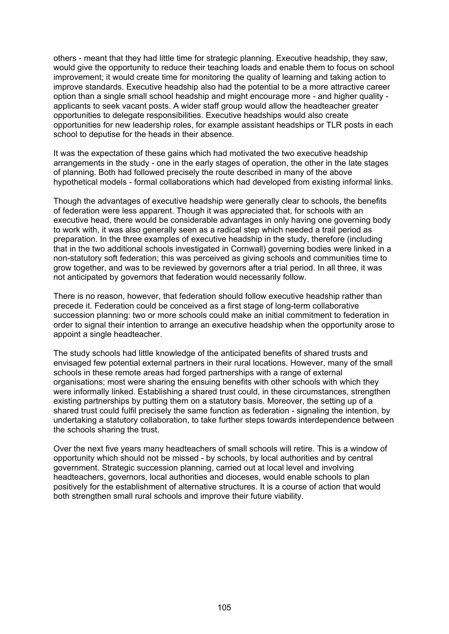others - meant that they had little time for strategic planning. Executive headship, they saw, would give the opportunity to reduce their teaching loads and enable them to focus on school improvement; it would create time for monitoring the quality of learning and taking action to improve standards. Executive headship also had the potential to be a more attractive career option than a single small school headship and might encourage more - and higher quality applicants to seek vacant posts. A wider staff group would allow the headteacher greater opportunities to delegate responsibilities. Executive headships would also create opportunities for new leadership roles, for example assistant headships or TLR posts in each school to deputise for the heads in their absence.

It was the expectation of these gains which had motivated the two executive headship arrangements in the study - one in the early stages of operation, the other in the late stages of planning. Both had followed precisely the route described in many of the above hypothetical models - formal collaborations which had developed from existing informal links.

Though the advantages of executive headship were generally clear to schools, the benefits of federation were less apparent. Though it was appreciated that, for schools with an executive head, there would be considerable advantages in only having one governing body to work with, it was also generally seen as a radical step which needed a trail period as preparation. In the three examples of executive headship in the study, therefore (including that in the two additional schools investigated in Cornwall) governing bodies were linked in a non-statutory soft federation; this was perceived as giving schools and communities time to grow together, and was to be reviewed by governors after a trial period. In all three, it was not anticipated by governors that federation would necessarily follow.

There is no reason, however, that federation should follow executive headship rather than precede it. Federation could be conceived as a first stage of long-term collaborative succession planning: two or more schools could make an initial commitment to federation in order to signal their intention to arrange an executive headship when the opportunity arose to appoint a single headteacher.

The study schools had little knowledge of the anticipated benefits of shared trusts and envisaged few potential external partners in their rural locations. However, many of the small schools in these remote areas had forged partnerships with a range of external organisations; most were sharing the ensuing benefits with other schools with which they were informally linked. Establishing a shared trust could, in these circumstances, strengthen existing partnerships by putting them on a statutory basis. Moreover, the setting up of a shared trust could fulfil precisely the same function as federation - signaling the intention, by undertaking a statutory collaboration, to take further steps towards interdependence between the schools sharing the trust.

Over the next five years many headteachers of small schools will retire. This is a window of opportunity which should not be missed - by schools, by local authorities and by central government. Strategic succession planning, carried out at local level and involving headteachers, governors, local authorities and dioceses, would enable schools to plan positively for the establishment of alternative structures. It is a course of action that would both strengthen small rural schools and improve their future viability.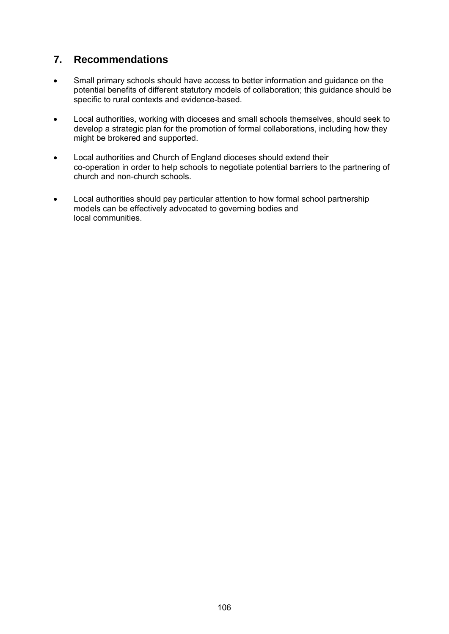# **7. Recommendations**

- Small primary schools should have access to better information and guidance on the potential benefits of different statutory models of collaboration; this guidance should be specific to rural contexts and evidence-based.
- Local authorities, working with dioceses and small schools themselves, should seek to develop a strategic plan for the promotion of formal collaborations, including how they might be brokered and supported.
- Local authorities and Church of England dioceses should extend their co-operation in order to help schools to negotiate potential barriers to the partnering of church and non-church schools.
- Local authorities should pay particular attention to how formal school partnership models can be effectively advocated to governing bodies and local communities.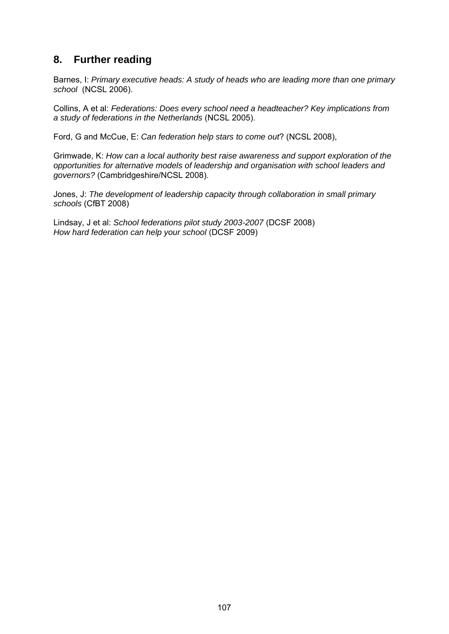# **8. Further reading**

Barnes, I: *Primary executive heads: A study of heads who are leading more than one primary school* (NCSL 2006).

Collins, A et al: *Federations: Does every school need a headteacher? Key implications from a study of federations in the Netherlands* (NCSL 2005).

Ford, G and McCue, E: *Can federation help stars to come out*? (NCSL 2008),

Grimwade, K: *How can a local authority best raise awareness and support exploration of the opportunities for alternative models of leadership and organisation with school leaders and governors?* (Cambridgeshire/NCSL 2008).

Jones, J: *The development of leadership capacity through collaboration in small primary schools* (CfBT 2008)

Lindsay, J et al: *School federations pilot study 2003-2007* (DCSF 2008) *How hard federation can help your school* (DCSF 2009)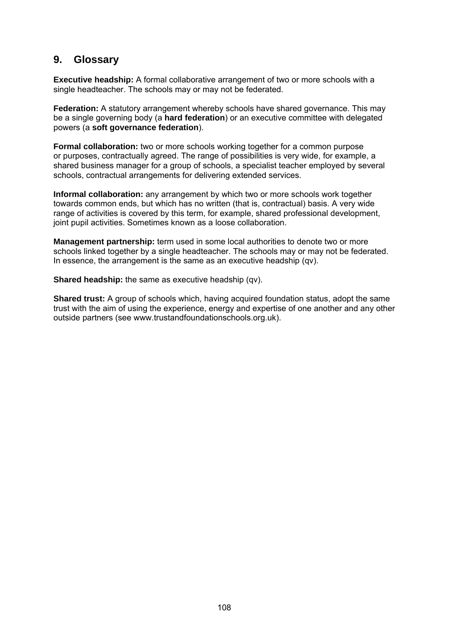# **9. Glossary**

**Executive headship:** A formal collaborative arrangement of two or more schools with a single headteacher. The schools may or may not be federated.

**Federation:** A statutory arrangement whereby schools have shared governance. This may be a single governing body (a **hard federation**) or an executive committee with delegated powers (a **soft governance federation**).

**Formal collaboration:** two or more schools working together for a common purpose or purposes, contractually agreed. The range of possibilities is very wide, for example, a shared business manager for a group of schools, a specialist teacher employed by several schools, contractual arrangements for delivering extended services.

**Informal collaboration:** any arrangement by which two or more schools work together towards common ends, but which has no written (that is, contractual) basis. A very wide range of activities is covered by this term, for example, shared professional development, joint pupil activities. Sometimes known as a loose collaboration.

**Management partnership:** term used in some local authorities to denote two or more schools linked together by a single headteacher. The schools may or may not be federated. In essence, the arrangement is the same as an executive headship (qv).

**Shared headship:** the same as executive headship (qv).

**Shared trust:** A group of schools which, having acquired foundation status, adopt the same trust with the aim of using the experience, energy and expertise of one another and any other outside partners (see www.trustandfoundationschools.org.uk).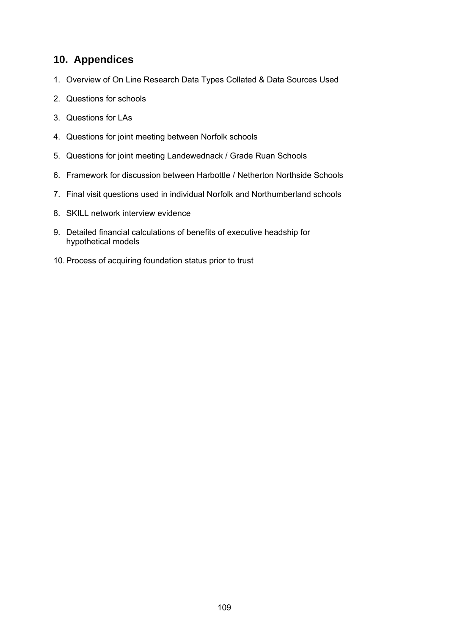# **10. Appendices**

- 1. Overview of On Line Research Data Types Collated & Data Sources Used
- 2. Questions for schools
- 3. Questions for LAs
- 4. Questions for joint meeting between Norfolk schools
- 5. Questions for joint meeting Landewednack / Grade Ruan Schools
- 6. Framework for discussion between Harbottle / Netherton Northside Schools
- 7. Final visit questions used in individual Norfolk and Northumberland schools
- 8. SKILL network interview evidence
- 9. Detailed financial calculations of benefits of executive headship for hypothetical models
- 10. Process of acquiring foundation status prior to trust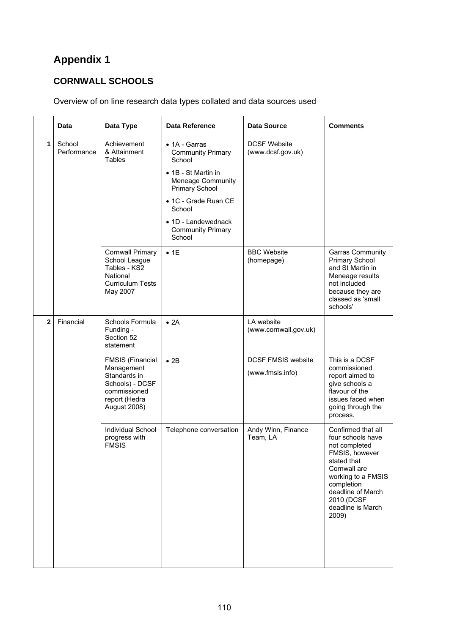# **CORNWALL SCHOOLS**

# Overview of on line research data types collated and data sources used

|              | Data                  | Data Type                                                                                                                        | <b>Data Reference</b>                                                                                                                                                                                                           | <b>Data Source</b>                            | <b>Comments</b>                                                                                                                                                                                                |
|--------------|-----------------------|----------------------------------------------------------------------------------------------------------------------------------|---------------------------------------------------------------------------------------------------------------------------------------------------------------------------------------------------------------------------------|-----------------------------------------------|----------------------------------------------------------------------------------------------------------------------------------------------------------------------------------------------------------------|
| 1            | School<br>Performance | Achievement<br>& Attainment<br><b>Tables</b>                                                                                     | $\bullet$ 1A - Garras<br><b>Community Primary</b><br>School<br>• 1B - St Martin in<br>Meneage Community<br><b>Primary School</b><br>• 1C - Grade Ruan CE<br>School<br>• 1D - Landewednack<br><b>Community Primary</b><br>School | <b>DCSF Website</b><br>(www.dcsf.gov.uk)      |                                                                                                                                                                                                                |
|              |                       | <b>Cornwall Primary</b><br>School League<br>Tables - KS2<br>National<br><b>Curriculum Tests</b><br>May 2007                      | • 1E                                                                                                                                                                                                                            | <b>BBC Website</b><br>(homepage)              | Garras Community<br><b>Primary School</b><br>and St Martin in<br>Meneage results<br>not included<br>because they are<br>classed as 'small<br>schools'                                                          |
| $\mathbf{2}$ | Financial             | Schools Formula<br>Funding -<br>Section 52<br>statement                                                                          | • 2A                                                                                                                                                                                                                            | LA website<br>(www.cornwall.gov.uk)           |                                                                                                                                                                                                                |
|              |                       | <b>FMSIS (Financial</b><br>Management<br>Standards in<br>Schools) - DCSF<br>commissioned<br>report (Hedra<br><b>August 2008)</b> | $\bullet$ 2B                                                                                                                                                                                                                    | <b>DCSF FMSIS website</b><br>(www.fmsis.info) | This is a DCSF<br>commissioned<br>report aimed to<br>give schools a<br>flavour of the<br>issues faced when<br>going through the<br>process.                                                                    |
|              |                       | Individual School<br>progress with<br><b>FMSIS</b>                                                                               | Telephone conversation                                                                                                                                                                                                          | Andy Winn, Finance<br>Team, LA                | Confirmed that all<br>four schools have<br>not completed<br>FMSIS, however<br>stated that<br>Cornwall are<br>working to a FMSIS<br>completion<br>deadline of March<br>2010 (DCSF<br>deadline is March<br>2009) |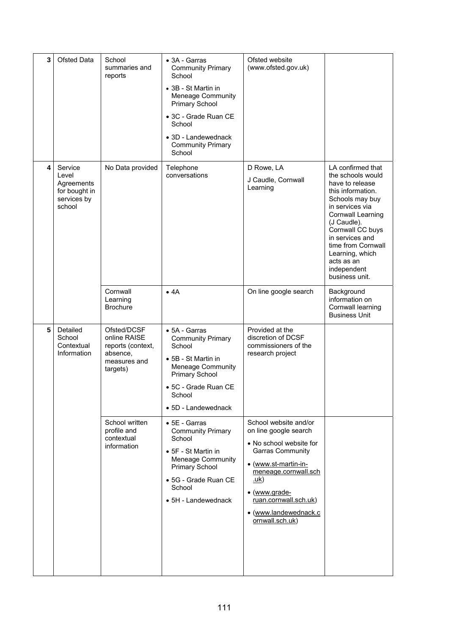| 3 | Ofsted Data                                                              | School<br>summaries and<br>reports                                                       | $\bullet$ 3A - Garras<br><b>Community Primary</b><br>School<br>• 3B - St Martin in<br>Meneage Community<br>Primary School<br>• 3C - Grade Ruan CE<br>School<br>• 3D - Landewednack<br><b>Community Primary</b><br>School | Ofsted website<br>(www.ofsted.gov.uk)                                                                                                                                                                                                                      |                                                                                                                                                                                                                                                                                         |
|---|--------------------------------------------------------------------------|------------------------------------------------------------------------------------------|--------------------------------------------------------------------------------------------------------------------------------------------------------------------------------------------------------------------------|------------------------------------------------------------------------------------------------------------------------------------------------------------------------------------------------------------------------------------------------------------|-----------------------------------------------------------------------------------------------------------------------------------------------------------------------------------------------------------------------------------------------------------------------------------------|
| 4 | Service<br>Level<br>Agreements<br>for bought in<br>services by<br>school | No Data provided                                                                         | Telephone<br>conversations                                                                                                                                                                                               | D Rowe, LA<br>J Caudle, Cornwall<br>Learning                                                                                                                                                                                                               | LA confirmed that<br>the schools would<br>have to release<br>this information.<br>Schools may buy<br>in services via<br>Cornwall Learning<br>(J Caudle).<br>Cornwall CC buys<br>in services and<br>time from Cornwall<br>Learning, which<br>acts as an<br>independent<br>business unit. |
|   |                                                                          | Cornwall<br>Learning<br><b>Brochure</b>                                                  | • 4A                                                                                                                                                                                                                     | On line google search                                                                                                                                                                                                                                      | Background<br>information on<br>Cornwall learning<br><b>Business Unit</b>                                                                                                                                                                                                               |
| 5 | Detailed<br>School<br>Contextual<br>Information                          | Ofsted/DCSF<br>online RAISE<br>reports (context,<br>absence,<br>measures and<br>targets) | • 5A - Garras<br><b>Community Primary</b><br>School<br>• 5B - St Martin in<br>Meneage Community<br><b>Primary School</b><br>• 5C - Grade Ruan CE<br>School<br>• 5D - Landewednack                                        | Provided at the<br>discretion of DCSF<br>commissioners of the<br>research project                                                                                                                                                                          |                                                                                                                                                                                                                                                                                         |
|   |                                                                          | School written<br>profile and<br>contextual<br>information                               | • 5E - Garras<br><b>Community Primary</b><br>School<br>• 5F - St Martin in<br>Meneage Community<br><b>Primary School</b><br>• 5G - Grade Ruan CE<br>School<br>$\bullet$ 5H - Landewednack                                | School website and/or<br>on line google search<br>• No school website for<br><b>Garras Community</b><br>• (www.st-martin-in-<br>meneage.cornwall.sch<br><u>.uk</u> )<br>• (www.grade-<br>ruan.cornwall.sch.uk)<br>· (www.landewednack.c<br>ornwall.sch.uk) |                                                                                                                                                                                                                                                                                         |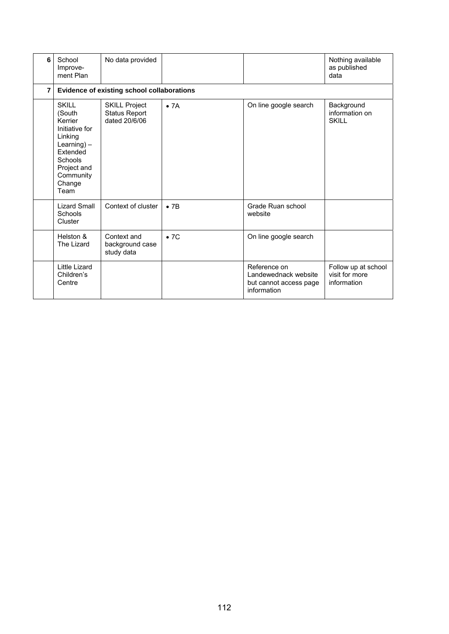| 6              | School<br>Improve-<br>ment Plan                                                                                                                       | No data provided                                              |                          |                                                                               | Nothing available<br>as published<br>data            |  |  |  |  |
|----------------|-------------------------------------------------------------------------------------------------------------------------------------------------------|---------------------------------------------------------------|--------------------------|-------------------------------------------------------------------------------|------------------------------------------------------|--|--|--|--|
| $\overline{7}$ | Evidence of existing school collaborations                                                                                                            |                                                               |                          |                                                                               |                                                      |  |  |  |  |
|                | <b>SKILL</b><br>(South<br>Kerrier<br>Initiative for<br>Linking<br>Learning $) -$<br>Extended<br>Schools<br>Project and<br>Community<br>Change<br>Team | <b>SKILL Project</b><br><b>Status Report</b><br>dated 20/6/06 | $\bullet$ 7A             | On line google search                                                         | Background<br>information on<br><b>SKILL</b>         |  |  |  |  |
|                | <b>Lizard Small</b><br>Schools<br>Cluster                                                                                                             | Context of cluster                                            | $\bullet$ 7 <sub>B</sub> | Grade Ruan school<br>website                                                  |                                                      |  |  |  |  |
|                | Helston &<br>The Lizard                                                                                                                               | Context and<br>background case<br>study data                  | $\bullet$ 7C             | On line google search                                                         |                                                      |  |  |  |  |
|                | Little Lizard<br>Children's<br>Centre                                                                                                                 |                                                               |                          | Reference on<br>Landewednack website<br>but cannot access page<br>information | Follow up at school<br>visit for more<br>information |  |  |  |  |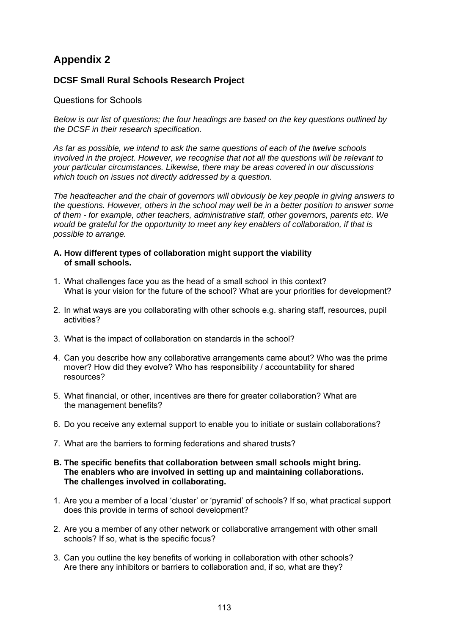# **DCSF Small Rural Schools Research Project**

## Questions for Schools

*Below is our list of questions; the four headings are based on the key questions outlined by the DCSF in their research specification.* 

*As far as possible, we intend to ask the same questions of each of the twelve schools involved in the project. However, we recognise that not all the questions will be relevant to your particular circumstances. Likewise, there may be areas covered in our discussions which touch on issues not directly addressed by a question.* 

*The headteacher and the chair of governors will obviously be key people in giving answers to the questions. However, others in the school may well be in a better position to answer some of them - for example, other teachers, administrative staff, other governors, parents etc. We would be grateful for the opportunity to meet any key enablers of collaboration, if that is possible to arrange.* 

#### **A. How different types of collaboration might support the viability of small schools.**

- 1. What challenges face you as the head of a small school in this context? What is your vision for the future of the school? What are your priorities for development?
- 2. In what ways are you collaborating with other schools e.g. sharing staff, resources, pupil activities?
- 3. What is the impact of collaboration on standards in the school?
- 4. Can you describe how any collaborative arrangements came about? Who was the prime mover? How did they evolve? Who has responsibility / accountability for shared resources?
- 5. What financial, or other, incentives are there for greater collaboration? What are the management benefits?
- 6. Do you receive any external support to enable you to initiate or sustain collaborations?
- 7. What are the barriers to forming federations and shared trusts?
- **B. The specific benefits that collaboration between small schools might bring. The enablers who are involved in setting up and maintaining collaborations. The challenges involved in collaborating.**
- 1. Are you a member of a local 'cluster' or 'pyramid' of schools? If so, what practical support does this provide in terms of school development?
- 2. Are you a member of any other network or collaborative arrangement with other small schools? If so, what is the specific focus?
- 3. Can you outline the key benefits of working in collaboration with other schools? Are there any inhibitors or barriers to collaboration and, if so, what are they?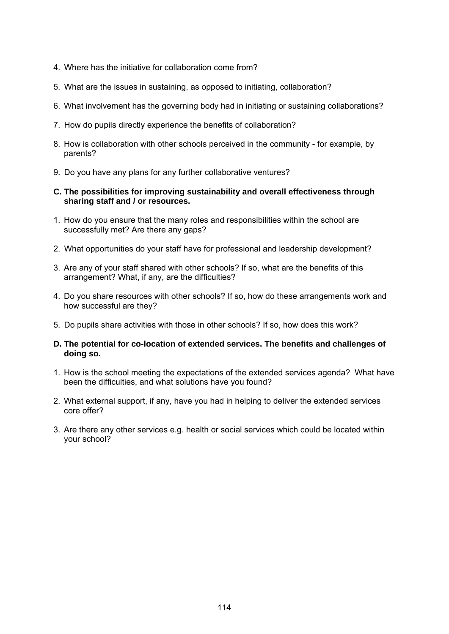- 4. Where has the initiative for collaboration come from?
- 5. What are the issues in sustaining, as opposed to initiating, collaboration?
- 6. What involvement has the governing body had in initiating or sustaining collaborations?
- 7. How do pupils directly experience the benefits of collaboration?
- 8. How is collaboration with other schools perceived in the community for example, by parents?
- 9. Do you have any plans for any further collaborative ventures?
- **C. The possibilities for improving sustainability and overall effectiveness through sharing staff and / or resources.**
- 1. How do you ensure that the many roles and responsibilities within the school are successfully met? Are there any gaps?
- 2. What opportunities do your staff have for professional and leadership development?
- 3. Are any of your staff shared with other schools? If so, what are the benefits of this arrangement? What, if any, are the difficulties?
- 4. Do you share resources with other schools? If so, how do these arrangements work and how successful are they?
- 5. Do pupils share activities with those in other schools? If so, how does this work?
- **D. The potential for co-location of extended services. The benefits and challenges of doing so.**
- 1. How is the school meeting the expectations of the extended services agenda? What have been the difficulties, and what solutions have you found?
- 2. What external support, if any, have you had in helping to deliver the extended services core offer?
- 3. Are there any other services e.g. health or social services which could be located within your school?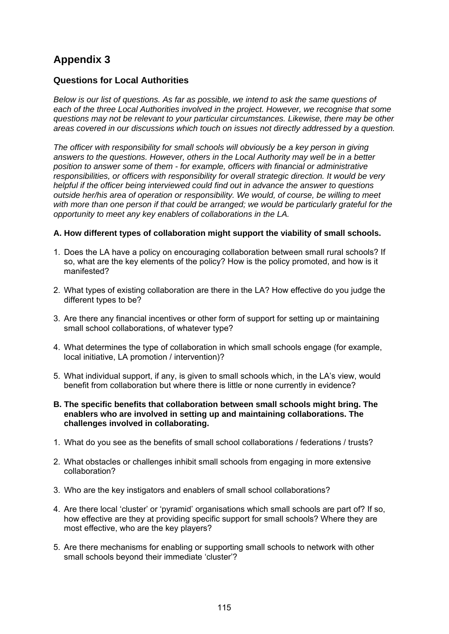# **Questions for Local Authorities**

*Below is our list of questions. As far as possible, we intend to ask the same questions of each of the three Local Authorities involved in the project. However, we recognise that some questions may not be relevant to your particular circumstances. Likewise, there may be other areas covered in our discussions which touch on issues not directly addressed by a question.* 

*The officer with responsibility for small schools will obviously be a key person in giving answers to the questions. However, others in the Local Authority may well be in a better position to answer some of them - for example, officers with financial or administrative responsibilities, or officers with responsibility for overall strategic direction. It would be very helpful if the officer being interviewed could find out in advance the answer to questions outside her/his area of operation or responsibility. We would, of course, be willing to meet with more than one person if that could be arranged; we would be particularly grateful for the opportunity to meet any key enablers of collaborations in the LA.* 

### **A. How different types of collaboration might support the viability of small schools.**

- 1. Does the LA have a policy on encouraging collaboration between small rural schools? If so, what are the key elements of the policy? How is the policy promoted, and how is it manifested?
- 2. What types of existing collaboration are there in the LA? How effective do you judge the different types to be?
- 3. Are there any financial incentives or other form of support for setting up or maintaining small school collaborations, of whatever type?
- 4. What determines the type of collaboration in which small schools engage (for example, local initiative, LA promotion / intervention)?
- 5. What individual support, if any, is given to small schools which, in the LA's view, would benefit from collaboration but where there is little or none currently in evidence?
- **B. The specific benefits that collaboration between small schools might bring. The enablers who are involved in setting up and maintaining collaborations. The challenges involved in collaborating.**
- 1. What do you see as the benefits of small school collaborations / federations / trusts?
- 2. What obstacles or challenges inhibit small schools from engaging in more extensive collaboration?
- 3. Who are the key instigators and enablers of small school collaborations?
- 4. Are there local 'cluster' or 'pyramid' organisations which small schools are part of? If so, how effective are they at providing specific support for small schools? Where they are most effective, who are the key players?
- 5. Are there mechanisms for enabling or supporting small schools to network with other small schools beyond their immediate 'cluster'?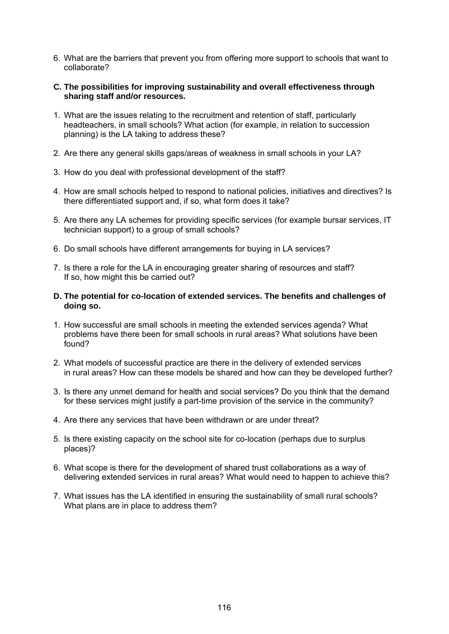- 6. What are the barriers that prevent you from offering more support to schools that want to collaborate?
- **C. The possibilities for improving sustainability and overall effectiveness through sharing staff and/or resources.**
- 1. What are the issues relating to the recruitment and retention of staff, particularly headteachers, in small schools? What action (for example, in relation to succession planning) is the LA taking to address these?
- 2. Are there any general skills gaps/areas of weakness in small schools in your LA?
- 3. How do you deal with professional development of the staff?
- 4. How are small schools helped to respond to national policies, initiatives and directives? Is there differentiated support and, if so, what form does it take?
- 5. Are there any LA schemes for providing specific services (for example bursar services, IT technician support) to a group of small schools?
- 6. Do small schools have different arrangements for buying in LA services?
- 7. Is there a role for the LA in encouraging greater sharing of resources and staff? If so, how might this be carried out?
- **D. The potential for co-location of extended services. The benefits and challenges of doing so.**
- 1. How successful are small schools in meeting the extended services agenda? What problems have there been for small schools in rural areas? What solutions have been found?
- 2. What models of successful practice are there in the delivery of extended services in rural areas? How can these models be shared and how can they be developed further?
- 3. Is there any unmet demand for health and social services? Do you think that the demand for these services might justify a part-time provision of the service in the community?
- 4. Are there any services that have been withdrawn or are under threat?
- 5. Is there existing capacity on the school site for co-location (perhaps due to surplus places)?
- 6. What scope is there for the development of shared trust collaborations as a way of delivering extended services in rural areas? What would need to happen to achieve this?
- 7. What issues has the LA identified in ensuring the sustainability of small rural schools? What plans are in place to address them?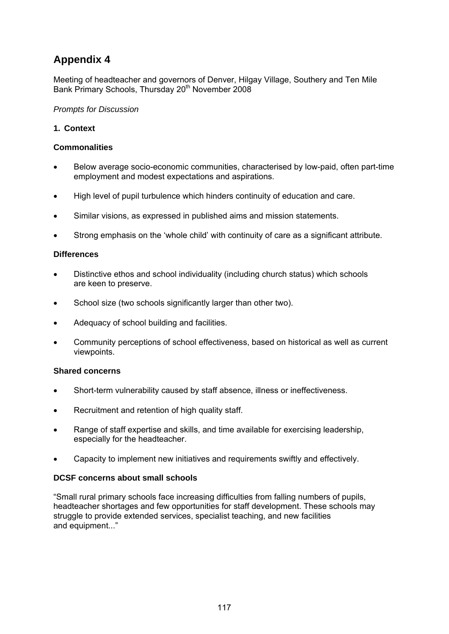Meeting of headteacher and governors of Denver, Hilgay Village, Southery and Ten Mile Bank Primary Schools, Thursday 20<sup>th</sup> November 2008

*Prompts for Discussion* 

# **1. Context**

## **Commonalities**

- Below average socio-economic communities, characterised by low-paid, often part-time employment and modest expectations and aspirations.
- High level of pupil turbulence which hinders continuity of education and care.
- Similar visions, as expressed in published aims and mission statements.
- Strong emphasis on the 'whole child' with continuity of care as a significant attribute.

### **Differences**

- Distinctive ethos and school individuality (including church status) which schools are keen to preserve.
- School size (two schools significantly larger than other two).
- Adequacy of school building and facilities.
- Community perceptions of school effectiveness, based on historical as well as current viewpoints.

### **Shared concerns**

- Short-term vulnerability caused by staff absence, illness or ineffectiveness.
- Recruitment and retention of high quality staff.
- Range of staff expertise and skills, and time available for exercising leadership, especially for the headteacher.
- Capacity to implement new initiatives and requirements swiftly and effectively.

### **DCSF concerns about small schools**

"Small rural primary schools face increasing difficulties from falling numbers of pupils, headteacher shortages and few opportunities for staff development. These schools may struggle to provide extended services, specialist teaching, and new facilities and equipment..."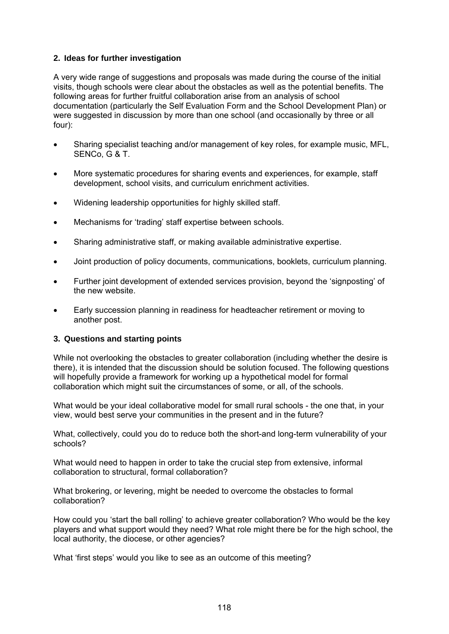# **2. Ideas for further investigation**

A very wide range of suggestions and proposals was made during the course of the initial visits, though schools were clear about the obstacles as well as the potential benefits. The following areas for further fruitful collaboration arise from an analysis of school documentation (particularly the Self Evaluation Form and the School Development Plan) or were suggested in discussion by more than one school (and occasionally by three or all four):

- Sharing specialist teaching and/or management of key roles, for example music, MFL, SENCo, G & T.
- More systematic procedures for sharing events and experiences, for example, staff development, school visits, and curriculum enrichment activities.
- Widening leadership opportunities for highly skilled staff.
- Mechanisms for 'trading' staff expertise between schools.
- Sharing administrative staff, or making available administrative expertise.
- Joint production of policy documents, communications, booklets, curriculum planning.
- Further joint development of extended services provision, beyond the 'signposting' of the new website.
- Early succession planning in readiness for headteacher retirement or moving to another post.

### **3. Questions and starting points**

While not overlooking the obstacles to greater collaboration (including whether the desire is there), it is intended that the discussion should be solution focused. The following questions will hopefully provide a framework for working up a hypothetical model for formal collaboration which might suit the circumstances of some, or all, of the schools.

What would be your ideal collaborative model for small rural schools - the one that, in your view, would best serve your communities in the present and in the future?

What, collectively, could you do to reduce both the short-and long-term vulnerability of your schools?

What would need to happen in order to take the crucial step from extensive, informal collaboration to structural, formal collaboration?

What brokering, or levering, might be needed to overcome the obstacles to formal collaboration?

How could you 'start the ball rolling' to achieve greater collaboration? Who would be the key players and what support would they need? What role might there be for the high school, the local authority, the diocese, or other agencies?

What 'first steps' would you like to see as an outcome of this meeting?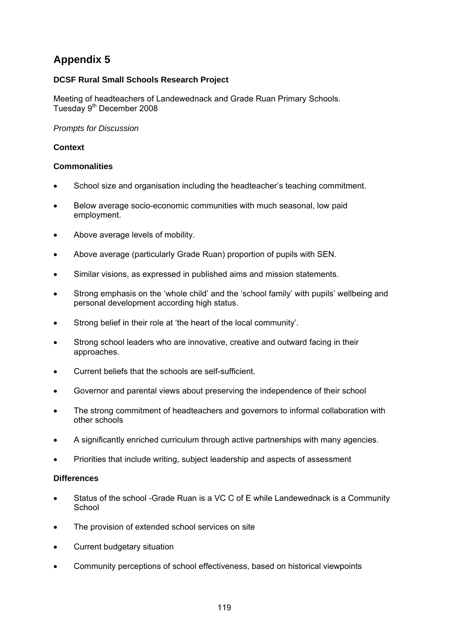# **DCSF Rural Small Schools Research Project**

Meeting of headteachers of Landewednack and Grade Ruan Primary Schools. Tuesday 9<sup>th</sup> December 2008

#### *Prompts for Discussion*

## **Context**

### **Commonalities**

- School size and organisation including the headteacher's teaching commitment.
- Below average socio-economic communities with much seasonal, low paid employment.
- Above average levels of mobility.
- Above average (particularly Grade Ruan) proportion of pupils with SEN.
- Similar visions, as expressed in published aims and mission statements.
- Strong emphasis on the 'whole child' and the 'school family' with pupils' wellbeing and personal development according high status.
- Strong belief in their role at 'the heart of the local community'.
- Strong school leaders who are innovative, creative and outward facing in their approaches.
- Current beliefs that the schools are self-sufficient.
- Governor and parental views about preserving the independence of their school
- The strong commitment of headteachers and governors to informal collaboration with other schools
- A significantly enriched curriculum through active partnerships with many agencies.
- Priorities that include writing, subject leadership and aspects of assessment

### **Differences**

- Status of the school -Grade Ruan is a VC C of E while Landewednack is a Community **School**
- The provision of extended school services on site
- Current budgetary situation
- Community perceptions of school effectiveness, based on historical viewpoints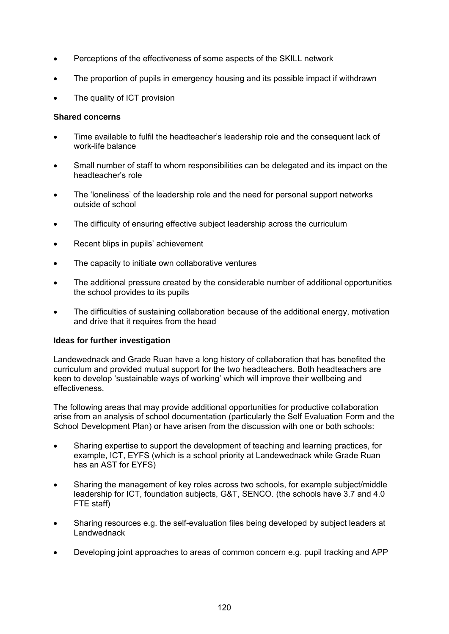- Perceptions of the effectiveness of some aspects of the SKILL network
- The proportion of pupils in emergency housing and its possible impact if withdrawn
- The quality of ICT provision

#### **Shared concerns**

- Time available to fulfil the headteacher's leadership role and the consequent lack of work-life balance
- Small number of staff to whom responsibilities can be delegated and its impact on the headteacher's role
- The 'loneliness' of the leadership role and the need for personal support networks outside of school
- The difficulty of ensuring effective subject leadership across the curriculum
- Recent blips in pupils' achievement
- The capacity to initiate own collaborative ventures
- The additional pressure created by the considerable number of additional opportunities the school provides to its pupils
- The difficulties of sustaining collaboration because of the additional energy, motivation and drive that it requires from the head

### **Ideas for further investigation**

Landewednack and Grade Ruan have a long history of collaboration that has benefited the curriculum and provided mutual support for the two headteachers. Both headteachers are keen to develop 'sustainable ways of working' which will improve their wellbeing and effectiveness.

The following areas that may provide additional opportunities for productive collaboration arise from an analysis of school documentation (particularly the Self Evaluation Form and the School Development Plan) or have arisen from the discussion with one or both schools:

- Sharing expertise to support the development of teaching and learning practices, for example, ICT, EYFS (which is a school priority at Landewednack while Grade Ruan has an AST for EYFS)
- Sharing the management of key roles across two schools, for example subject/middle leadership for ICT, foundation subjects, G&T, SENCO. (the schools have 3.7 and 4.0 FTE staff)
- Sharing resources e.g. the self-evaluation files being developed by subject leaders at Landwednack
- Developing joint approaches to areas of common concern e.g. pupil tracking and APP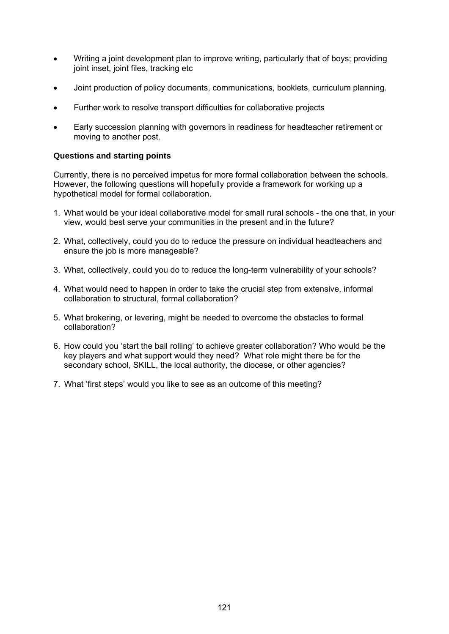- Writing a joint development plan to improve writing, particularly that of boys; providing joint inset, joint files, tracking etc
- Joint production of policy documents, communications, booklets, curriculum planning.
- Further work to resolve transport difficulties for collaborative projects
- Early succession planning with governors in readiness for headteacher retirement or moving to another post.

### **Questions and starting points**

Currently, there is no perceived impetus for more formal collaboration between the schools. However, the following questions will hopefully provide a framework for working up a hypothetical model for formal collaboration.

- 1. What would be your ideal collaborative model for small rural schools the one that, in your view, would best serve your communities in the present and in the future?
- 2. What, collectively, could you do to reduce the pressure on individual headteachers and ensure the job is more manageable?
- 3. What, collectively, could you do to reduce the long-term vulnerability of your schools?
- 4. What would need to happen in order to take the crucial step from extensive, informal collaboration to structural, formal collaboration?
- 5. What brokering, or levering, might be needed to overcome the obstacles to formal collaboration?
- 6. How could you 'start the ball rolling' to achieve greater collaboration? Who would be the key players and what support would they need? What role might there be for the secondary school, SKILL, the local authority, the diocese, or other agencies?
- 7. What 'first steps' would you like to see as an outcome of this meeting?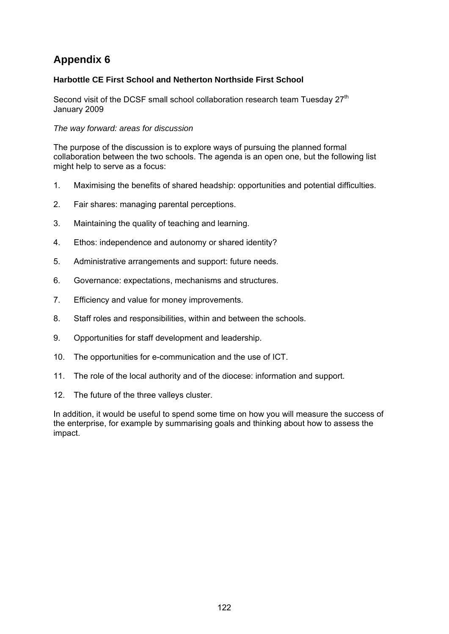# **Harbottle CE First School and Netherton Northside First School**

Second visit of the DCSF small school collaboration research team Tuesday 27<sup>th</sup> January 2009

### *The way forward: areas for discussion*

The purpose of the discussion is to explore ways of pursuing the planned formal collaboration between the two schools. The agenda is an open one, but the following list might help to serve as a focus:

- 1. Maximising the benefits of shared headship: opportunities and potential difficulties.
- 2. Fair shares: managing parental perceptions.
- 3. Maintaining the quality of teaching and learning.
- 4. Ethos: independence and autonomy or shared identity?
- 5. Administrative arrangements and support: future needs.
- 6. Governance: expectations, mechanisms and structures.
- 7. Efficiency and value for money improvements.
- 8. Staff roles and responsibilities, within and between the schools.
- 9. Opportunities for staff development and leadership.
- 10. The opportunities for e-communication and the use of ICT.
- 11. The role of the local authority and of the diocese: information and support.
- 12. The future of the three valleys cluster.

In addition, it would be useful to spend some time on how you will measure the success of the enterprise, for example by summarising goals and thinking about how to assess the impact.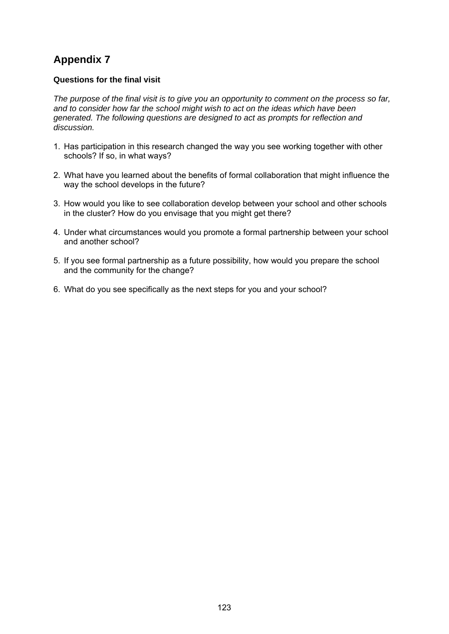## **Questions for the final visit**

*The purpose of the final visit is to give you an opportunity to comment on the process so far, and to consider how far the school might wish to act on the ideas which have been generated. The following questions are designed to act as prompts for reflection and discussion.* 

- 1. Has participation in this research changed the way you see working together with other schools? If so, in what ways?
- 2. What have you learned about the benefits of formal collaboration that might influence the way the school develops in the future?
- 3. How would you like to see collaboration develop between your school and other schools in the cluster? How do you envisage that you might get there?
- 4. Under what circumstances would you promote a formal partnership between your school and another school?
- 5. If you see formal partnership as a future possibility, how would you prepare the school and the community for the change?
- 6. What do you see specifically as the next steps for you and your school?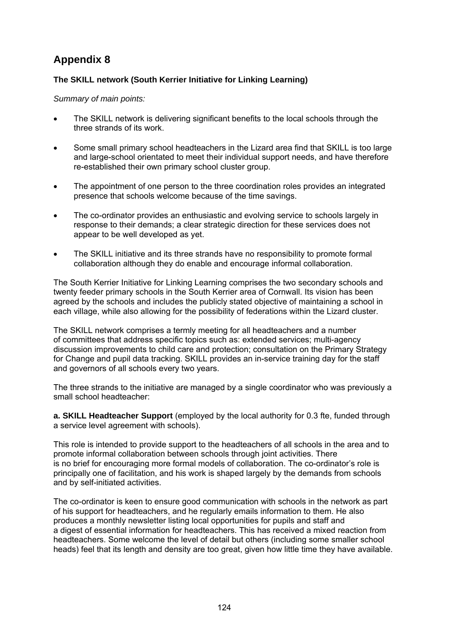# **The SKILL network (South Kerrier Initiative for Linking Learning)**

#### *Summary of main points:*

- The SKILL network is delivering significant benefits to the local schools through the three strands of its work.
- Some small primary school headteachers in the Lizard area find that SKILL is too large and large-school orientated to meet their individual support needs, and have therefore re-established their own primary school cluster group.
- The appointment of one person to the three coordination roles provides an integrated presence that schools welcome because of the time savings.
- The co-ordinator provides an enthusiastic and evolving service to schools largely in response to their demands; a clear strategic direction for these services does not appear to be well developed as yet.
- The SKILL initiative and its three strands have no responsibility to promote formal collaboration although they do enable and encourage informal collaboration.

The South Kerrier Initiative for Linking Learning comprises the two secondary schools and twenty feeder primary schools in the South Kerrier area of Cornwall. Its vision has been agreed by the schools and includes the publicly stated objective of maintaining a school in each village, while also allowing for the possibility of federations within the Lizard cluster.

The SKILL network comprises a termly meeting for all headteachers and a number of committees that address specific topics such as: extended services; multi-agency discussion improvements to child care and protection; consultation on the Primary Strategy for Change and pupil data tracking. SKILL provides an in-service training day for the staff and governors of all schools every two years.

The three strands to the initiative are managed by a single coordinator who was previously a small school headteacher:

**a. SKILL Headteacher Support** (employed by the local authority for 0.3 fte, funded through a service level agreement with schools).

This role is intended to provide support to the headteachers of all schools in the area and to promote informal collaboration between schools through joint activities. There is no brief for encouraging more formal models of collaboration. The co-ordinator's role is principally one of facilitation, and his work is shaped largely by the demands from schools and by self-initiated activities.

The co-ordinator is keen to ensure good communication with schools in the network as part of his support for headteachers, and he regularly emails information to them. He also produces a monthly newsletter listing local opportunities for pupils and staff and a digest of essential information for headteachers. This has received a mixed reaction from headteachers. Some welcome the level of detail but others (including some smaller school heads) feel that its length and density are too great, given how little time they have available.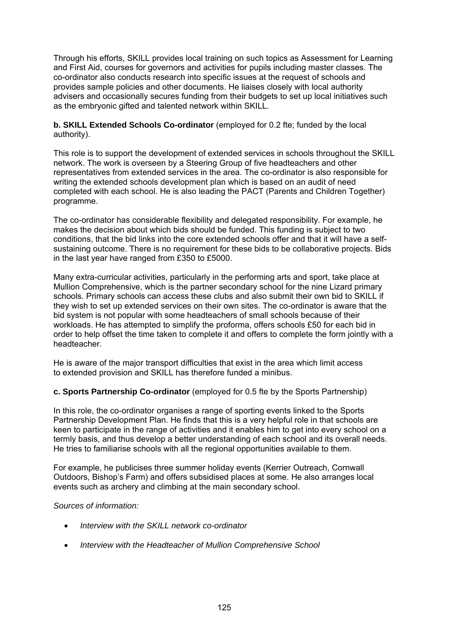Through his efforts, SKILL provides local training on such topics as Assessment for Learning and First Aid, courses for governors and activities for pupils including master classes. The co-ordinator also conducts research into specific issues at the request of schools and provides sample policies and other documents. He liaises closely with local authority advisers and occasionally secures funding from their budgets to set up local initiatives such as the embryonic gifted and talented network within SKILL.

**b. SKILL Extended Schools Co-ordinator** (employed for 0.2 fte; funded by the local authority).

This role is to support the development of extended services in schools throughout the SKILL network. The work is overseen by a Steering Group of five headteachers and other representatives from extended services in the area. The co-ordinator is also responsible for writing the extended schools development plan which is based on an audit of need completed with each school. He is also leading the PACT (Parents and Children Together) programme.

The co-ordinator has considerable flexibility and delegated responsibility. For example, he makes the decision about which bids should be funded. This funding is subject to two conditions, that the bid links into the core extended schools offer and that it will have a selfsustaining outcome. There is no requirement for these bids to be collaborative projects. Bids in the last year have ranged from £350 to £5000.

Many extra-curricular activities, particularly in the performing arts and sport, take place at Mullion Comprehensive, which is the partner secondary school for the nine Lizard primary schools. Primary schools can access these clubs and also submit their own bid to SKILL if they wish to set up extended services on their own sites. The co-ordinator is aware that the bid system is not popular with some headteachers of small schools because of their workloads. He has attempted to simplify the proforma, offers schools £50 for each bid in order to help offset the time taken to complete it and offers to complete the form jointly with a headteacher.

He is aware of the major transport difficulties that exist in the area which limit access to extended provision and SKILL has therefore funded a minibus.

### **c. Sports Partnership Co-ordinator** (employed for 0.5 fte by the Sports Partnership)

In this role, the co-ordinator organises a range of sporting events linked to the Sports Partnership Development Plan. He finds that this is a very helpful role in that schools are keen to participate in the range of activities and it enables him to get into every school on a termly basis, and thus develop a better understanding of each school and its overall needs. He tries to familiarise schools with all the regional opportunities available to them.

For example, he publicises three summer holiday events (Kerrier Outreach, Cornwall Outdoors, Bishop's Farm) and offers subsidised places at some. He also arranges local events such as archery and climbing at the main secondary school.

#### *Sources of information:*

- *Interview with the SKILL network co-ordinator*
- *Interview with the Headteacher of Mullion Comprehensive School*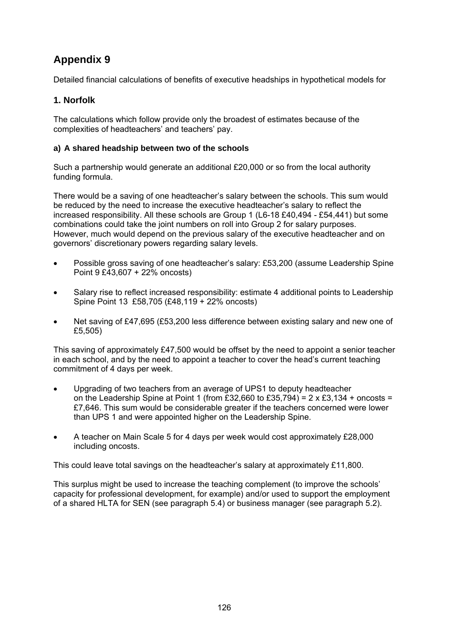Detailed financial calculations of benefits of executive headships in hypothetical models for

# **1. Norfolk**

The calculations which follow provide only the broadest of estimates because of the complexities of headteachers' and teachers' pay.

# **a) A shared headship between two of the schools**

Such a partnership would generate an additional £20,000 or so from the local authority funding formula.

There would be a saving of one headteacher's salary between the schools. This sum would be reduced by the need to increase the executive headteacher's salary to reflect the increased responsibility. All these schools are Group 1 (L6-18 £40,494 - £54,441) but some combinations could take the joint numbers on roll into Group 2 for salary purposes. However, much would depend on the previous salary of the executive headteacher and on governors' discretionary powers regarding salary levels.

- Possible gross saving of one headteacher's salary: £53,200 (assume Leadership Spine Point 9 £43,607 + 22% oncosts)
- Salary rise to reflect increased responsibility: estimate 4 additional points to Leadership Spine Point 13 £58,705 (£48,119 + 22% oncosts)
- Net saving of £47,695 (£53,200 less difference between existing salary and new one of £5,505)

This saving of approximately £47,500 would be offset by the need to appoint a senior teacher in each school, and by the need to appoint a teacher to cover the head's current teaching commitment of 4 days per week.

- Upgrading of two teachers from an average of UPS1 to deputy headteacher on the Leadership Spine at Point 1 (from £32,660 to £35,794) =  $2 \times £3,134 +$  oncosts = £7,646. This sum would be considerable greater if the teachers concerned were lower than UPS 1 and were appointed higher on the Leadership Spine.
- A teacher on Main Scale 5 for 4 days per week would cost approximately £28,000 including oncosts.

This could leave total savings on the headteacher's salary at approximately £11,800.

This surplus might be used to increase the teaching complement (to improve the schools' capacity for professional development, for example) and/or used to support the employment of a shared HLTA for SEN (see paragraph 5.4) or business manager (see paragraph 5.2).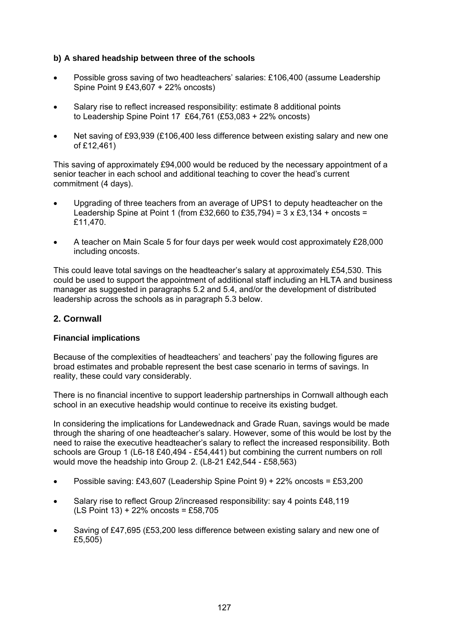## **b) A shared headship between three of the schools**

- Possible gross saving of two headteachers' salaries: £106,400 (assume Leadership Spine Point 9 £43,607 + 22% oncosts)
- Salary rise to reflect increased responsibility: estimate 8 additional points to Leadership Spine Point 17 £64,761 (£53,083 + 22% oncosts)
- Net saving of £93,939 (£106,400 less difference between existing salary and new one of £12,461)

This saving of approximately £94,000 would be reduced by the necessary appointment of a senior teacher in each school and additional teaching to cover the head's current commitment (4 days).

- Upgrading of three teachers from an average of UPS1 to deputy headteacher on the Leadership Spine at Point 1 (from £32,660 to £35,794) =  $3 \times £3,134 +$  oncosts = £11,470.
- A teacher on Main Scale 5 for four days per week would cost approximately £28,000 including oncosts.

This could leave total savings on the headteacher's salary at approximately £54,530. This could be used to support the appointment of additional staff including an HLTA and business manager as suggested in paragraphs 5.2 and 5.4, and/or the development of distributed leadership across the schools as in paragraph 5.3 below.

# **2. Cornwall**

### **Financial implications**

Because of the complexities of headteachers' and teachers' pay the following figures are broad estimates and probable represent the best case scenario in terms of savings. In reality, these could vary considerably.

There is no financial incentive to support leadership partnerships in Cornwall although each school in an executive headship would continue to receive its existing budget.

In considering the implications for Landewednack and Grade Ruan, savings would be made through the sharing of one headteacher's salary. However, some of this would be lost by the need to raise the executive headteacher's salary to reflect the increased responsibility. Both schools are Group 1 (L6-18 £40,494 - £54,441) but combining the current numbers on roll would move the headship into Group 2. (L8-21 £42,544 - £58,563)

- Possible saving: £43,607 (Leadership Spine Point 9) + 22% oncosts = £53,200
- Salary rise to reflect Group 2/increased responsibility: say 4 points £48,119 (LS Point 13) + 22% oncosts = £58,705
- Saving of £47,695 (£53,200 less difference between existing salary and new one of £5,505)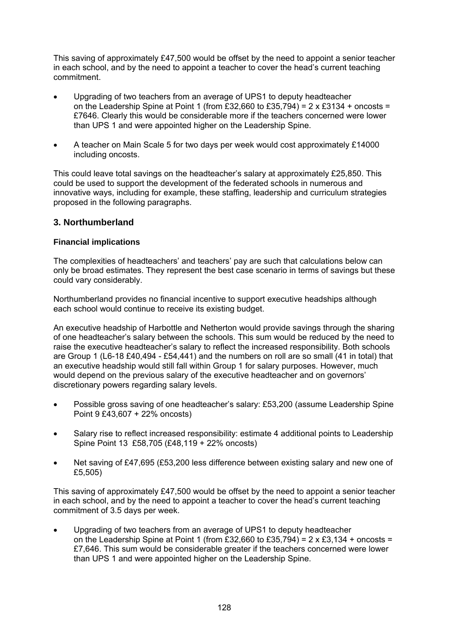This saving of approximately £47,500 would be offset by the need to appoint a senior teacher in each school, and by the need to appoint a teacher to cover the head's current teaching commitment.

- Upgrading of two teachers from an average of UPS1 to deputy headteacher on the Leadership Spine at Point 1 (from £32,660 to £35,794) =  $2 \times £3134 +$  oncosts = £7646. Clearly this would be considerable more if the teachers concerned were lower than UPS 1 and were appointed higher on the Leadership Spine.
- A teacher on Main Scale 5 for two days per week would cost approximately £14000 including oncosts.

This could leave total savings on the headteacher's salary at approximately £25,850. This could be used to support the development of the federated schools in numerous and innovative ways, including for example, these staffing, leadership and curriculum strategies proposed in the following paragraphs.

# **3. Northumberland**

# **Financial implications**

The complexities of headteachers' and teachers' pay are such that calculations below can only be broad estimates. They represent the best case scenario in terms of savings but these could vary considerably.

Northumberland provides no financial incentive to support executive headships although each school would continue to receive its existing budget.

An executive headship of Harbottle and Netherton would provide savings through the sharing of one headteacher's salary between the schools. This sum would be reduced by the need to raise the executive headteacher's salary to reflect the increased responsibility. Both schools are Group 1 (L6-18 £40,494 - £54,441) and the numbers on roll are so small (41 in total) that an executive headship would still fall within Group 1 for salary purposes. However, much would depend on the previous salary of the executive headteacher and on governors' discretionary powers regarding salary levels.

- Possible gross saving of one headteacher's salary: £53,200 (assume Leadership Spine Point 9 £43,607 + 22% oncosts)
- Salary rise to reflect increased responsibility: estimate 4 additional points to Leadership Spine Point 13 £58,705 (£48,119 + 22% oncosts)
- Net saving of £47,695 (£53,200 less difference between existing salary and new one of £5,505)

This saving of approximately £47,500 would be offset by the need to appoint a senior teacher in each school, and by the need to appoint a teacher to cover the head's current teaching commitment of 3.5 days per week.

• Upgrading of two teachers from an average of UPS1 to deputy headteacher on the Leadership Spine at Point 1 (from £32,660 to £35,794) =  $2 \times £3,134 +$  oncosts = £7,646. This sum would be considerable greater if the teachers concerned were lower than UPS 1 and were appointed higher on the Leadership Spine.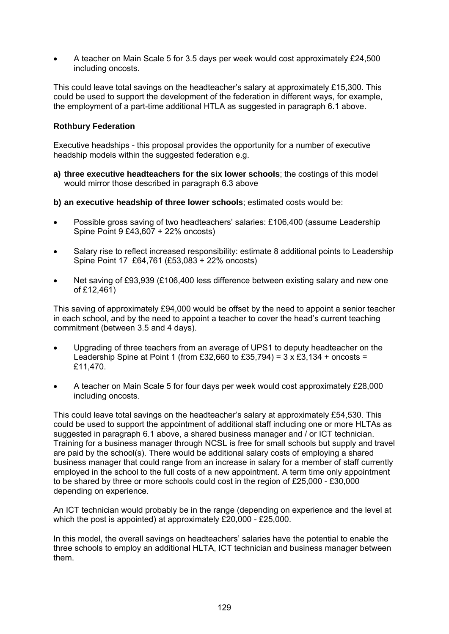• A teacher on Main Scale 5 for 3.5 days per week would cost approximately £24,500 including oncosts.

This could leave total savings on the headteacher's salary at approximately £15,300. This could be used to support the development of the federation in different ways, for example, the employment of a part-time additional HTLA as suggested in paragraph 6.1 above.

### **Rothbury Federation**

Executive headships - this proposal provides the opportunity for a number of executive headship models within the suggested federation e.g.

- **a) three executive headteachers for the six lower schools**; the costings of this model would mirror those described in paragraph 6.3 above
- **b) an executive headship of three lower schools**; estimated costs would be:
- Possible gross saving of two headteachers' salaries: £106,400 (assume Leadership Spine Point 9 £43,607 + 22% oncosts)
- Salary rise to reflect increased responsibility: estimate 8 additional points to Leadership Spine Point 17 £64,761 (£53,083 + 22% oncosts)
- Net saving of £93,939 (£106,400 less difference between existing salary and new one of £12,461)

This saving of approximately £94,000 would be offset by the need to appoint a senior teacher in each school, and by the need to appoint a teacher to cover the head's current teaching commitment (between 3.5 and 4 days).

- Upgrading of three teachers from an average of UPS1 to deputy headteacher on the Leadership Spine at Point 1 (from £32,660 to £35,794) =  $3 \times \text{\pounds}3,134$  + oncosts = £11,470.
- A teacher on Main Scale 5 for four days per week would cost approximately £28,000 including oncosts.

This could leave total savings on the headteacher's salary at approximately £54,530. This could be used to support the appointment of additional staff including one or more HLTAs as suggested in paragraph 6.1 above, a shared business manager and / or ICT technician. Training for a business manager through NCSL is free for small schools but supply and travel are paid by the school(s). There would be additional salary costs of employing a shared business manager that could range from an increase in salary for a member of staff currently employed in the school to the full costs of a new appointment. A term time only appointment to be shared by three or more schools could cost in the region of £25,000 - £30,000 depending on experience.

An ICT technician would probably be in the range (depending on experience and the level at which the post is appointed) at approximately £20,000 - £25,000.

In this model, the overall savings on headteachers' salaries have the potential to enable the three schools to employ an additional HLTA, ICT technician and business manager between them.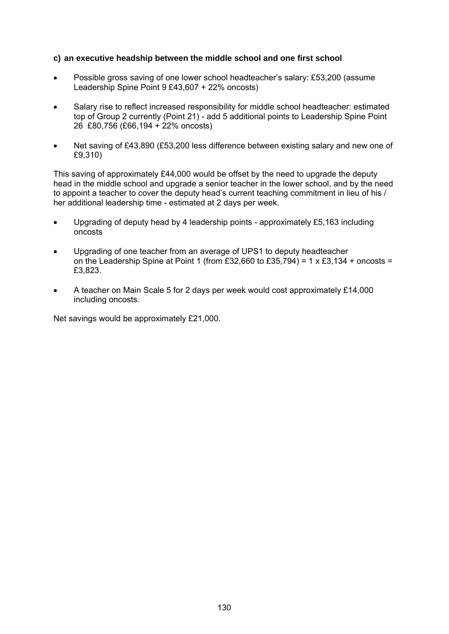#### **c) an executive headship between the middle school and one first school**

- Possible gross saving of one lower school headteacher's salary: £53,200 (assume Leadership Spine Point 9 £43,607 + 22% oncosts)
- Salary rise to reflect increased responsibility for middle school headteacher: estimated top of Group 2 currently (Point 21) - add 5 additional points to Leadership Spine Point 26 £80,756 (£66,194 + 22% oncosts)
- Net saving of £43,890 (£53,200 less difference between existing salary and new one of £9,310)

This saving of approximately £44,000 would be offset by the need to upgrade the deputy head in the middle school and upgrade a senior teacher in the lower school, and by the need to appoint a teacher to cover the deputy head's current teaching commitment in lieu of his / her additional leadership time - estimated at 2 days per week.

- Upgrading of deputy head by 4 leadership points approximately £5,163 including oncosts
- Upgrading of one teacher from an average of UPS1 to deputy headteacher on the Leadership Spine at Point 1 (from £32,660 to £35,794) = 1 x £3,134 + oncosts = £3,823.
- A teacher on Main Scale 5 for 2 days per week would cost approximately £14,000 including oncosts.

Net savings would be approximately £21,000.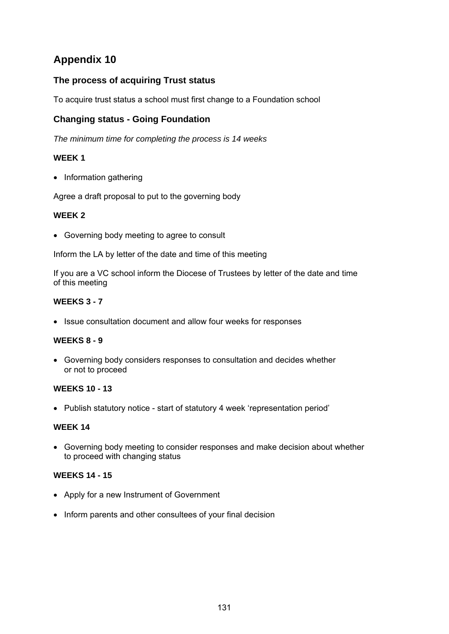# **The process of acquiring Trust status**

To acquire trust status a school must first change to a Foundation school

# **Changing status - Going Foundation**

*The minimum time for completing the process is 14 weeks* 

# **WEEK 1**

• Information gathering

Agree a draft proposal to put to the governing body

### **WEEK 2**

• Governing body meeting to agree to consult

Inform the LA by letter of the date and time of this meeting

If you are a VC school inform the Diocese of Trustees by letter of the date and time of this meeting

# **WEEKS 3 - 7**

• Issue consultation document and allow four weeks for responses

### **WEEKS 8 - 9**

• Governing body considers responses to consultation and decides whether or not to proceed

# **WEEKS 10 - 13**

• Publish statutory notice - start of statutory 4 week 'representation period'

### **WEEK 14**

• Governing body meeting to consider responses and make decision about whether to proceed with changing status

### **WEEKS 14 - 15**

- Apply for a new Instrument of Government
- Inform parents and other consultees of your final decision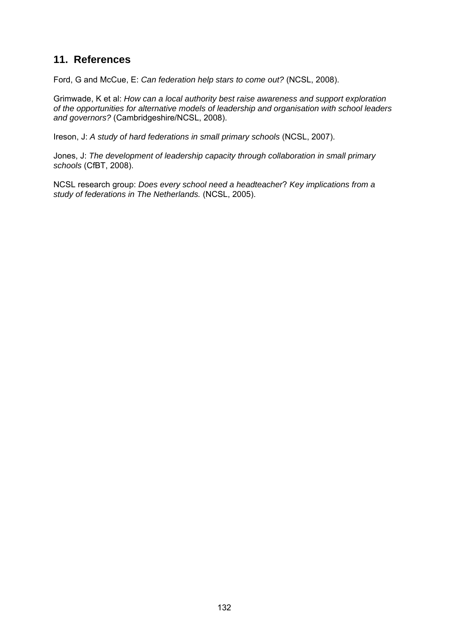# **11. References**

Ford, G and McCue, E: *Can federation help stars to come out?* (NCSL, 2008).

Grimwade, K et al: *How can a local authority best raise awareness and support exploration of the opportunities for alternative models of leadership and organisation with school leaders and governors?* (Cambridgeshire/NCSL, 2008).

Ireson, J: *A study of hard federations in small primary schools* (NCSL, 2007).

Jones, J: *The development of leadership capacity through collaboration in small primary schools* (CfBT, 2008).

NCSL research group: *Does every school need a headteacher*? *Key implications from a study of federations in The Netherlands.* (NCSL, 2005).